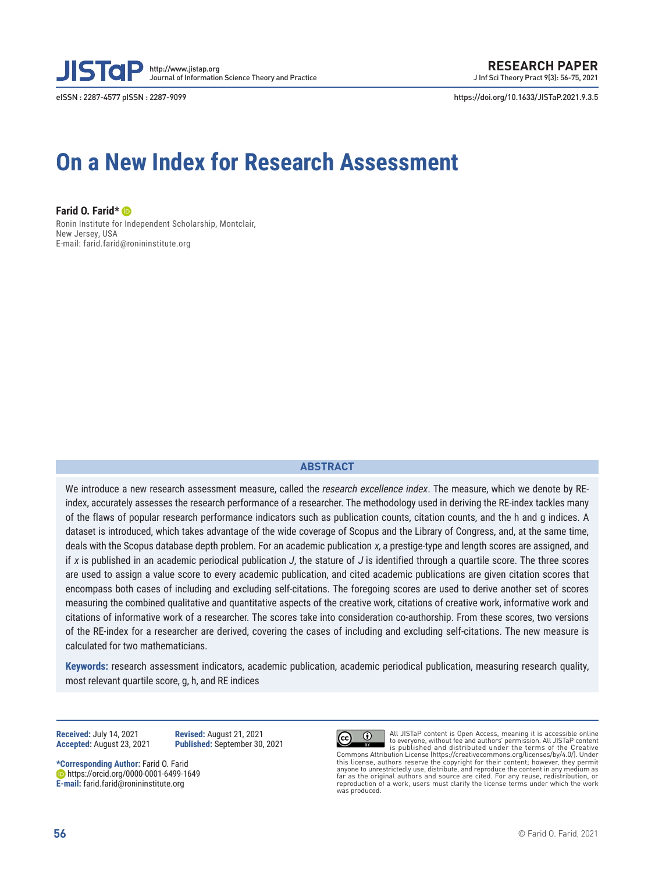

eISSN : 2287-4577 pISSN : 2287-9099 https://doi.org/10.1633/JISTaP.2021.9.3.5

# **On a New Index for Research Assessment**

**Farid O. Farid\*** Ronin Institute for Independent Scholarship, Montclair, New Jersey, USA E-mail: farid.farid@ronininstitute.org

### **ABSTRACT**

We introduce a new research assessment measure, called the *research excellence index*. The measure, which we denote by REindex, accurately assesses the research performance of a researcher. The methodology used in deriving the RE-index tackles many of the flaws of popular research performance indicators such as publication counts, citation counts, and the h and g indices. A dataset is introduced, which takes advantage of the wide coverage of Scopus and the Library of Congress, and, at the same time, deals with the Scopus database depth problem. For an academic publication  $x$ , a prestige-type and length scores are assigned, and if x is published in an academic periodical publication  $J$ , the stature of  $J$  is identified through a quartile score. The three scores are used to assign a value score to every academic publication, and cited academic publications are given citation scores that encompass both cases of including and excluding self-citations. The foregoing scores are used to derive another set of scores measuring the combined qualitative and quantitative aspects of the creative work, citations of creative work, informative work and citations of informative work of a researcher. The scores take into consideration co-authorship. From these scores, two versions of the RE-index for a researcher are derived, covering the cases of including and excluding self-citations. The new measure is calculated for two mathematicians.

**Keywords:** research assessment indicators, academic publication, academic periodical publication, measuring research quality, most relevant quartile score, g, h, and RE indices

**Received:** July 14, 2021 **Revised:** August 21, 2021

**Accepted:** August 23, 2021 **Published:** September 30, 2021

**\*Corresponding Author:** Farid O. Farid https://orcid.org/0000-0001-6499-1649 **E-mail:** farid.farid@ronininstitute.org



All JISTaP content is Open Access, meaning it is accessible online to everyone, without fee and authors' permission. All JISTaP content is published and distributed under the terms of the Creative Commons Attribution License (https://creativecommons.org/licenses/by/4.0/). Under this license, authors reserve the copyright for their content; however, they permit<br>anyone to unrestrictedly use, distribute, and reproduce the content in any medium as<br>far as the original authors and source are cited. For reproduction of a work, users must clarify the license terms under which the work was produced.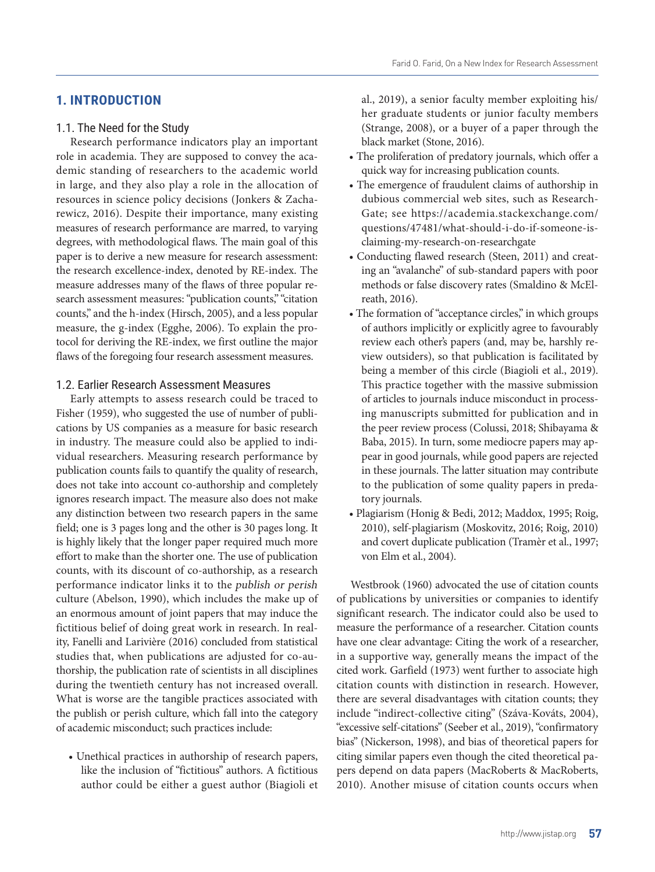### **1. INTRODUCTION**

### 1.1. The Need for the Study

Research performance indicators play an important role in academia. They are supposed to convey the academic standing of researchers to the academic world in large, and they also play a role in the allocation of resources in science policy decisions (Jonkers & Zacharewicz, 2016). Despite their importance, many existing measures of research performance are marred, to varying degrees, with methodological flaws. The main goal of this paper is to derive a new measure for research assessment: the research excellence-index, denoted by RE-index. The measure addresses many of the flaws of three popular research assessment measures: "publication counts," "citation counts," and the h-index (Hirsch, 2005), and a less popular measure, the g-index (Egghe, 2006). To explain the protocol for deriving the RE-index, we first outline the major flaws of the foregoing four research assessment measures.

### 1.2. Earlier Research Assessment Measures

Early attempts to assess research could be traced to Fisher (1959), who suggested the use of number of publications by US companies as a measure for basic research in industry. The measure could also be applied to individual researchers. Measuring research performance by publication counts fails to quantify the quality of research, does not take into account co-authorship and completely ignores research impact. The measure also does not make any distinction between two research papers in the same field; one is 3 pages long and the other is 30 pages long. It is highly likely that the longer paper required much more effort to make than the shorter one. The use of publication counts, with its discount of co-authorship, as a research performance indicator links it to the publish or perish culture (Abelson, 1990), which includes the make up of an enormous amount of joint papers that may induce the fictitious belief of doing great work in research. In reality, Fanelli and Larivière (2016) concluded from statistical studies that, when publications are adjusted for co-authorship, the publication rate of scientists in all disciplines during the twentieth century has not increased overall. What is worse are the tangible practices associated with the publish or perish culture, which fall into the category of academic misconduct; such practices include:

• Unethical practices in authorship of research papers, like the inclusion of "fictitious" authors. A fictitious author could be either a guest author (Biagioli et

al., 2019), a senior faculty member exploiting his/ her graduate students or junior faculty members (Strange, 2008), or a buyer of a paper through the black market (Stone, 2016).

- The proliferation of predatory journals, which offer a quick way for increasing publication counts.
- The emergence of fraudulent claims of authorship in dubious commercial web sites, such as Research-Gate; see https://academia.stackexchange.com/ questions/47481/what-should-i-do-if-someone-isclaiming-my-research-on-researchgate
- Conducting flawed research (Steen, 2011) and creating an "avalanche" of sub-standard papers with poor methods or false discovery rates (Smaldino & McElreath, 2016).
- The formation of "acceptance circles," in which groups of authors implicitly or explicitly agree to favourably review each other's papers (and, may be, harshly review outsiders), so that publication is facilitated by being a member of this circle (Biagioli et al., 2019). This practice together with the massive submission of articles to journals induce misconduct in processing manuscripts submitted for publication and in the peer review process (Colussi, 2018; Shibayama & Baba, 2015). In turn, some mediocre papers may appear in good journals, while good papers are rejected in these journals. The latter situation may contribute to the publication of some quality papers in predatory journals.
- Plagiarism (Honig & Bedi, 2012; Maddox, 1995; Roig, 2010), self-plagiarism (Moskovitz, 2016; Roig, 2010) and covert duplicate publication (Tramèr et al., 1997; von Elm et al., 2004).

Westbrook (1960) advocated the use of citation counts of publications by universities or companies to identify significant research. The indicator could also be used to measure the performance of a researcher. Citation counts have one clear advantage: Citing the work of a researcher, in a supportive way, generally means the impact of the cited work. Garfield (1973) went further to associate high citation counts with distinction in research. However, there are several disadvantages with citation counts; they include "indirect-collective citing" (Száva-Kováts, 2004), "excessive self-citations" (Seeber et al., 2019), "confirmatory bias" (Nickerson, 1998), and bias of theoretical papers for citing similar papers even though the cited theoretical papers depend on data papers (MacRoberts & MacRoberts, 2010). Another misuse of citation counts occurs when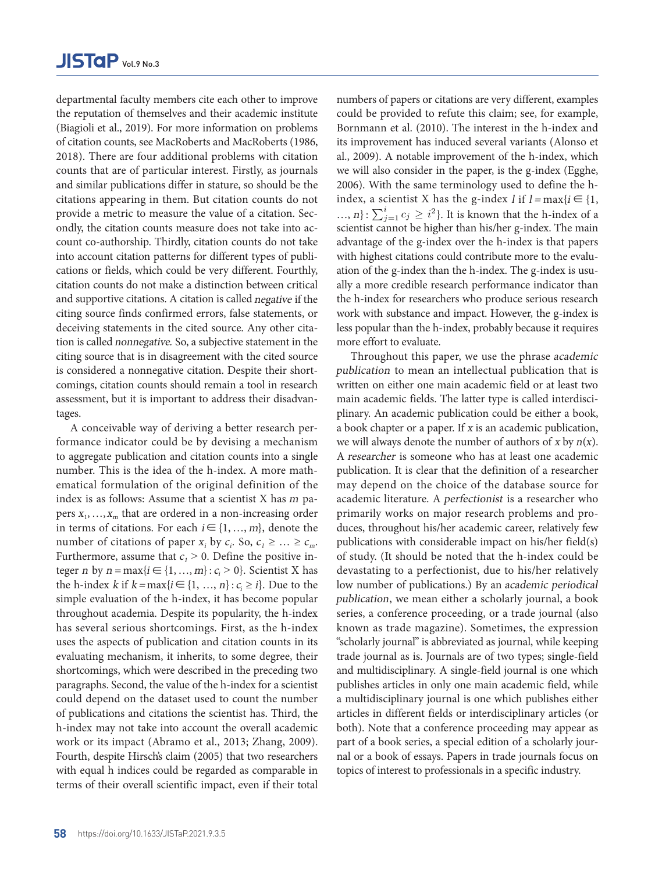departmental faculty members cite each other to improve the reputation of themselves and their academic institute (Biagioli et al., 2019). For more information on problems of citation counts, see MacRoberts and MacRoberts (1986, 2018). There are four additional problems with citation counts that are of particular interest. Firstly, as journals and similar publications differ in stature, so should be the citations appearing in them. But citation counts do not provide a metric to measure the value of a citation. Sec-  $\ldots$ , n}: ondly, the citation counts measure does not take into account co-authorship. Thirdly, citation counts do not take into account citation patterns for different types of publications or fields, which could be very different. Fourthly, citation counts do not make a distinction between critical and supportive citations. A citation is called negative if the citing source finds confirmed errors, false statements, or deceiving statements in the cited source. Any other citation is called nonnegative. So, a subjective statement in the citing source that is in disagreement with the cited source is considered a nonnegative citation. Despite their shortcomings, citation counts should remain a tool in research assessment, but it is important to address their disadvantages. nbers cite each other to improve numbers of papers or citations are very different, examples

A conceivable way of deriving a better research performance indicator could be by devising a mechanism to aggregate publication and citation counts into a single number. This is the idea of the h-index. A more mathematical formulation of the original definition of the index is as follows: Assume that a scientist  $X$  has  $m$  papers  $x_1, \ldots, x_m$  that are ordered in a non-increasing order in terms of citations. For each  $i \in \{1, ..., m\}$ , denote the number of citations of paper  $x_i$  by  $c_i$ . So,  $c_1 \geq ... \geq c_m$ . Furthermore, assume that  $c_1 > 0$ . Define the positive integer *n* by  $n = max\{i \in \{1, ..., m\} : c_i > 0\}$ . Scientist X has the h-index  $k$  if  $k = \max\{i \in \{1, ..., n\} : c_i \geq i\}$ . Due to the simple evaluation of the h-index, it has become popular throughout academia. Despite its popularity, the h-index has several serious shortcomings. First, as the h-index uses the aspects of publication and citation counts in its evaluating mechanism, it inherits, to some degree, their shortcomings, which were described in the preceding two paragraphs. Second, the value of the h-index for a scientist could depend on the dataset used to count the number of publications and citations the scientist has. Third, the h-index may not take into account the overall academic work or its impact (Abramo et al., 2013; Zhang, 2009). Fourth, despite Hirsch's claim (2005) that two researchers with equal h indices could be regarded as comparable in terms of their overall scientific impact, even if their total

lives and their academic institute could be provided to refute this claim; see, for example, rest and their deductions motivate the scientist of provided to relate this chain, see, for entarpy, cRoberts and MacRoberts (1986, its improvement has induced several variants (Alonso et ditional problems with citation al., 2009). A notable improvement of the h-index, which ular interest. Firstly, as journals — we will also consider in the paper, is the g-index (Egghe,  $\text{differ in}$  stature, so should be the  $\quad$  2006). With the same terminology used to define the hiem. But citation counts do not index, a scientist X has the g-index *l* if  $l = max\{i \in \{1,$ ..., n}:  $\sum_{j=1}^{i} c_j \geq i^2$ . It is known that the h-index of a the overall action of problems of borificial claim (2013). The interest in the H fitted and with highest citations could contribute more to the evaluscientist cannot be higher than his/her g-index. The main advantage of the g-index over the h-index is that papers ation of the g-index than the h-index. The g-index is usually a more credible research performance indicator than the h-index for researchers who produce serious research work with substance and impact. However, the g-index is less popular than the h-index, probably because it requires more effort to evaluate. Throughout this paper, we use the phrase academic

Due to the simple evaluation of the h-index, it has become popular throughout academia. Despite its popularity,

publication to mean an intellectual publication that is written on either one main academic field or at least two main academic fields. The latter type is called interdisciplinary. An academic publication could be either a book, a book chapter or a paper. If x is an academic publication, we will always denote the number of authors of  $x$  by  $n(x)$ . A researcher is someone who has at least one academic publication. It is clear that the definition of a researcher may depend on the choice of the database source for academic literature. A perfectionist is a researcher who primarily works on major research problems and produces, throughout his/her academic career, relatively few publications with considerable impact on his/her field(s) of study. (It should be noted that the h-index could be devastating to a perfectionist, due to his/her relatively low number of publications.) By an academic periodical publication, we mean either a scholarly journal, a book series, a conference proceeding, or a trade journal (also known as trade magazine). Sometimes, the expression "scholarly journal" is abbreviated as journal, while keeping trade journal as is. Journals are of two types; single-field and multidisciplinary. A single-field journal is one which publishes articles in only one main academic field, while a multidisciplinary journal is one which publishes either articles in different fields or interdisciplinary articles (or both). Note that a conference proceeding may appear as part of a book series, a special edition of a scholarly journal or a book of essays. Papers in trade journals focus on topics of interest to professionals in a specific industry.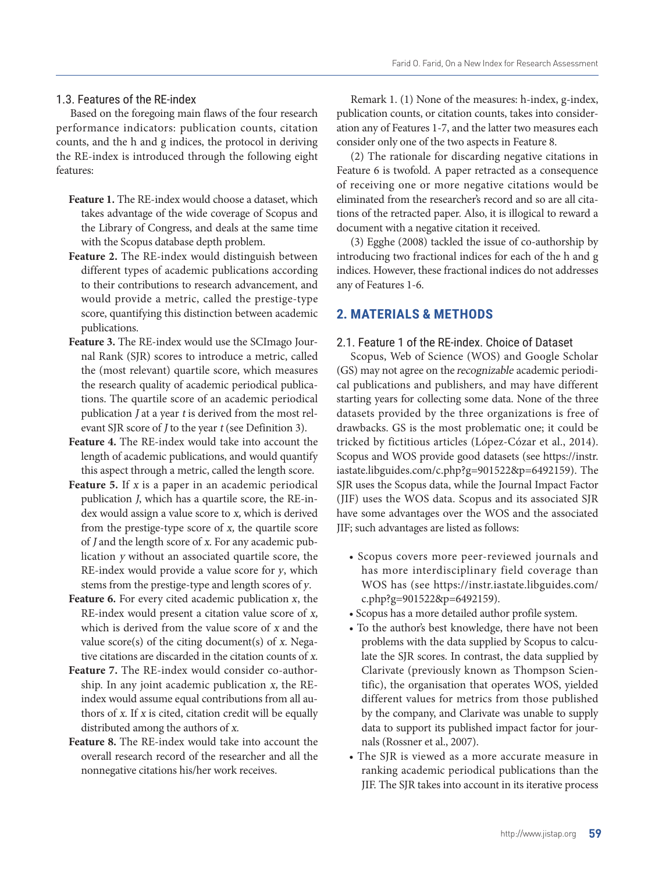### 1.3. Features of the RE-index

Based on the foregoing main flaws of the four research performance indicators: publication counts, citation counts, and the h and g indices, the protocol in deriving the RE-index is introduced through the following eight features:

- **Feature 1.** The RE-index would choose a dataset, which takes advantage of the wide coverage of Scopus and the Library of Congress, and deals at the same time with the Scopus database depth problem.
- **Feature 2.** The RE-index would distinguish between different types of academic publications according to their contributions to research advancement, and would provide a metric, called the prestige-type score, quantifying this distinction between academic publications.
- **Feature 3.** The RE-index would use the SCImago Journal Rank (SJR) scores to introduce a metric, called the (most relevant) quartile score, which measures the research quality of academic periodical publications. The quartile score of an academic periodical publication J at a year t is derived from the most relevant SJR score of *J* to the year *t* (see Definition 3).
- **Feature 4.** The RE-index would take into account the length of academic publications, and would quantify this aspect through a metric, called the length score.
- Feature 5. If x is a paper in an academic periodical publication J, which has a quartile score, the RE-index would assign a value score to x, which is derived from the prestige-type score of x, the quartile score of J and the length score of x. For any academic publication y without an associated quartile score, the RE-index would provide a value score for y, which stems from the prestige-type and length scores of y.
- **Feature 6.** For every cited academic publication x, the RE-index would present a citation value score of x, which is derived from the value score of x and the value score(s) of the citing document(s) of x. Negative citations are discarded in the citation counts of x.
- **Feature 7.** The RE-index would consider co-authorship. In any joint academic publication x, the REindex would assume equal contributions from all authors of  $x$ . If  $x$  is cited, citation credit will be equally distributed among the authors of x.
- **Feature 8.** The RE-index would take into account the overall research record of the researcher and all the nonnegative citations his/her work receives.

Remark 1. (1) None of the measures: h-index, g-index, publication counts, or citation counts, takes into consideration any of Features 1-7, and the latter two measures each consider only one of the two aspects in Feature 8.

(2) The rationale for discarding negative citations in Feature 6 is twofold. A paper retracted as a consequence of receiving one or more negative citations would be eliminated from the researcher's record and so are all citations of the retracted paper. Also, it is illogical to reward a document with a negative citation it received.

(3) Egghe (2008) tackled the issue of co-authorship by introducing two fractional indices for each of the h and g indices. However, these fractional indices do not addresses any of Features 1-6.

### **2. MATERIALS & METHODS**

### 2.1. Feature 1 of the RE-index. Choice of Dataset

Scopus, Web of Science (WOS) and Google Scholar (GS) may not agree on the recognizable academic periodical publications and publishers, and may have different starting years for collecting some data. None of the three datasets provided by the three organizations is free of drawbacks. GS is the most problematic one; it could be tricked by fictitious articles (López-Cózar et al., 2014). Scopus and WOS provide good datasets (see https://instr. iastate.libguides.com/c.php?g=901522&p=6492159). The SJR uses the Scopus data, while the Journal Impact Factor (JIF) uses the WOS data. Scopus and its associated SJR have some advantages over the WOS and the associated JIF; such advantages are listed as follows:

- Scopus covers more peer-reviewed journals and has more interdisciplinary field coverage than WOS has (see https://instr.iastate.libguides.com/ c.php?g=901522&p=6492159).
- Scopus has a more detailed author profile system.
- To the author's best knowledge, there have not been problems with the data supplied by Scopus to calculate the SJR scores. In contrast, the data supplied by Clarivate (previously known as Thompson Scientific), the organisation that operates WOS, yielded different values for metrics from those published by the company, and Clarivate was unable to supply data to support its published impact factor for journals (Rossner et al., 2007).
- The SJR is viewed as a more accurate measure in ranking academic periodical publications than the JIF. The SJR takes into account in its iterative process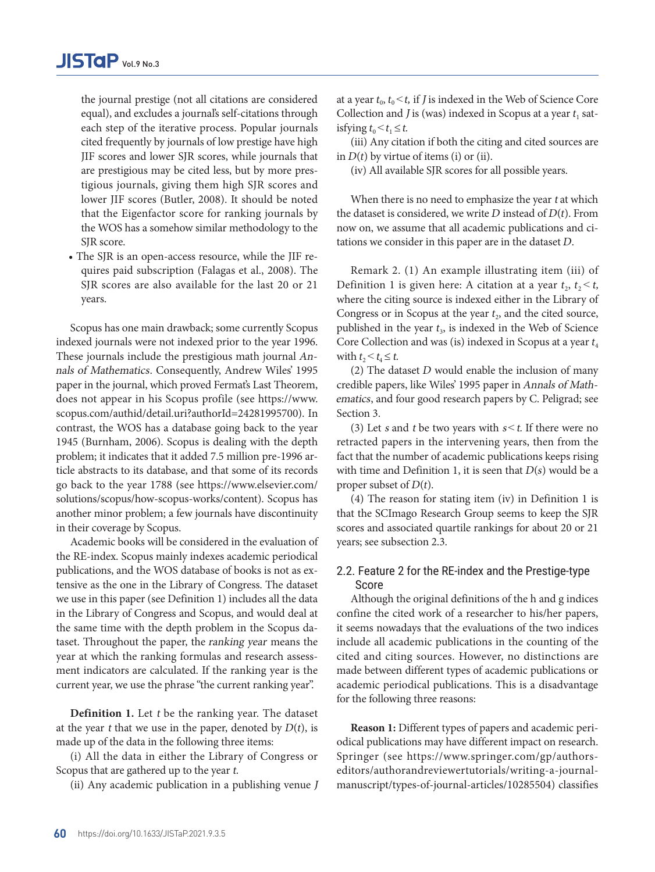the journal prestige (not all citations are considered equal), and excludes a journal's self-citations through each step of the iterative process. Popular journals cited frequently by journals of low prestige have high JIF scores and lower SJR scores, while journals that are prestigious may be cited less, but by more prestigious journals, giving them high SJR scores and lower JIF scores (Butler, 2008). It should be noted that the Eigenfactor score for ranking journals by the WOS has a somehow similar methodology to the SIR score.

• The SJR is an open-access resource, while the JIF requires paid subscription (Falagas et al., 2008). The SIR scores are also available for the last 20 or 21 years.

Scopus has one main drawback; some currently Scopus indexed journals were not indexed prior to the year 1996. These journals include the prestigious math journal Annals of Mathematics. Consequently, Andrew Wiles' 1995 paper in the journal, which proved Fermat's Last Theorem, does not appear in his Scopus profile (see https://www. scopus.com/authid/detail.uri?authorId=24281995700). In contrast, the WOS has a database going back to the year 1945 (Burnham, 2006). Scopus is dealing with the depth problem; it indicates that it added 7.5 million pre-1996 article abstracts to its database, and that some of its records go back to the year 1788 (see https://www.elsevier.com/ solutions/scopus/how-scopus-works/content). Scopus has another minor problem; a few journals have discontinuity in their coverage by Scopus.

Academic books will be considered in the evaluation of the RE-index. Scopus mainly indexes academic periodical publications, and the WOS database of books is not as extensive as the one in the Library of Congress. The dataset we use in this paper (see Definition 1) includes all the data in the Library of Congress and Scopus, and would deal at the same time with the depth problem in the Scopus dataset. Throughout the paper, the ranking year means the year at which the ranking formulas and research assessment indicators are calculated. If the ranking year is the current year, we use the phrase "the current ranking year".

**Definition 1.** Let t be the ranking year. The dataset at the year t that we use in the paper, denoted by  $D(t)$ , is made up of the data in the following three items:

(i) All the data in either the Library of Congress or Scopus that are gathered up to the year t.

(ii) Any academic publication in a publishing venue J

at a year  $t_0$ ,  $t_0 < t$ , if *J* is indexed in the Web of Science Core Collection and *J* is (was) indexed in Scopus at a year  $t_1$  satisfying  $t_0 < t_1 \leq t$ .

(iii) Any citation if both the citing and cited sources are in  $D(t)$  by virtue of items (i) or (ii).

(iv) All available SJR scores for all possible years.

When there is no need to emphasize the year t at which the dataset is considered, we write  $D$  instead of  $D(t)$ . From now on, we assume that all academic publications and citations we consider in this paper are in the dataset D.

Remark 2. (1) An example illustrating item (iii) of Definition 1 is given here: A citation at a year  $t_2$ ,  $t_2 < t$ , where the citing source is indexed either in the Library of Congress or in Scopus at the year  $t_2$ , and the cited source, published in the year  $t_3$ , is indexed in the Web of Science Core Collection and was (is) indexed in Scopus at a year  $t_4$ with  $t_2 < t_4 \leq t$ .

(2) The dataset  $D$  would enable the inclusion of many credible papers, like Wiles' 1995 paper in Annals of Mathematics, and four good research papers by C. Peligrad; see Section 3.

(3) Let s and t be two years with  $s < t$ . If there were no retracted papers in the intervening years, then from the fact that the number of academic publications keeps rising with time and Definition 1, it is seen that  $D(s)$  would be a proper subset of  $D(t)$ .

(4) The reason for stating item (iv) in Definition 1 is that the SCImago Research Group seems to keep the SJR scores and associated quartile rankings for about 20 or 21 years; see subsection 2.3.

### 2.2. Feature 2 for the RE-index and the Prestige-type Score

Although the original definitions of the h and g indices confine the cited work of a researcher to his/her papers, it seems nowadays that the evaluations of the two indices include all academic publications in the counting of the cited and citing sources. However, no distinctions are made between different types of academic publications or academic periodical publications. This is a disadvantage for the following three reasons:

**Reason 1:** Different types of papers and academic periodical publications may have different impact on research. Springer (see https://www.springer.com/gp/authorseditors/authorandreviewertutorials/writing-a-journalmanuscript/types-of-journal-articles/10285504) classifies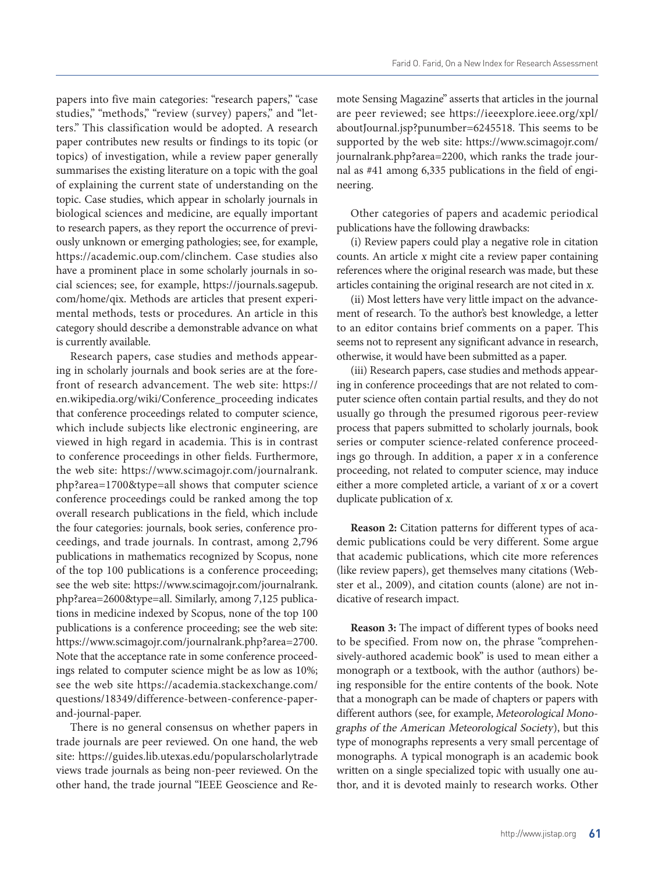papers into five main categories: "research papers," "case studies," "methods," "review (survey) papers," and "letters." This classification would be adopted. A research paper contributes new results or findings to its topic (or topics) of investigation, while a review paper generally summarises the existing literature on a topic with the goal of explaining the current state of understanding on the topic. Case studies, which appear in scholarly journals in biological sciences and medicine, are equally important to research papers, as they report the occurrence of previously unknown or emerging pathologies; see, for example, https://academic.oup.com/clinchem. Case studies also have a prominent place in some scholarly journals in social sciences; see, for example, https://journals.sagepub. com/home/qix. Methods are articles that present experimental methods, tests or procedures. An article in this category should describe a demonstrable advance on what is currently available.

Research papers, case studies and methods appearing in scholarly journals and book series are at the forefront of research advancement. The web site: https:// en.wikipedia.org/wiki/Conference\_proceeding indicates that conference proceedings related to computer science, which include subjects like electronic engineering, are viewed in high regard in academia. This is in contrast to conference proceedings in other fields. Furthermore, the web site: https://www.scimagojr.com/journalrank. php?area=1700&type=all shows that computer science conference proceedings could be ranked among the top overall research publications in the field, which include the four categories: journals, book series, conference proceedings, and trade journals. In contrast, among 2,796 publications in mathematics recognized by Scopus, none of the top 100 publications is a conference proceeding; see the web site: https://www.scimagojr.com/journalrank. php?area=2600&type=all. Similarly, among 7,125 publications in medicine indexed by Scopus, none of the top 100 publications is a conference proceeding; see the web site: https://www.scimagojr.com/journalrank.php?area=2700. Note that the acceptance rate in some conference proceedings related to computer science might be as low as 10%; see the web site https://academia.stackexchange.com/ questions/18349/difference-between-conference-paperand-journal-paper.

There is no general consensus on whether papers in trade journals are peer reviewed. On one hand, the web site: https://guides.lib.utexas.edu/popularscholarlytrade views trade journals as being non-peer reviewed. On the other hand, the trade journal "IEEE Geoscience and Remote Sensing Magazine" asserts that articles in the journal are peer reviewed; see https://ieeexplore.ieee.org/xpl/ aboutJournal.jsp?punumber=6245518. This seems to be supported by the web site: https://www.scimagojr.com/ journalrank.php?area=2200, which ranks the trade journal as #41 among 6,335 publications in the field of engineering.

Other categories of papers and academic periodical publications have the following drawbacks:

(i) Review papers could play a negative role in citation counts. An article x might cite a review paper containing references where the original research was made, but these articles containing the original research are not cited in x.

(ii) Most letters have very little impact on the advancement of research. To the author's best knowledge, a letter to an editor contains brief comments on a paper. This seems not to represent any significant advance in research, otherwise, it would have been submitted as a paper.

(iii) Research papers, case studies and methods appearing in conference proceedings that are not related to computer science often contain partial results, and they do not usually go through the presumed rigorous peer-review process that papers submitted to scholarly journals, book series or computer science-related conference proceedings go through. In addition, a paper x in a conference proceeding, not related to computer science, may induce either a more completed article, a variant of x or a covert duplicate publication of x.

**Reason 2:** Citation patterns for different types of academic publications could be very different. Some argue that academic publications, which cite more references (like review papers), get themselves many citations (Webster et al., 2009), and citation counts (alone) are not indicative of research impact.

**Reason 3:** The impact of different types of books need to be specified. From now on, the phrase "comprehensively-authored academic book" is used to mean either a monograph or a textbook, with the author (authors) being responsible for the entire contents of the book. Note that a monograph can be made of chapters or papers with different authors (see, for example, Meteorological Monographs of the American Meteorological Society), but this type of monographs represents a very small percentage of monographs. A typical monograph is an academic book written on a single specialized topic with usually one author, and it is devoted mainly to research works. Other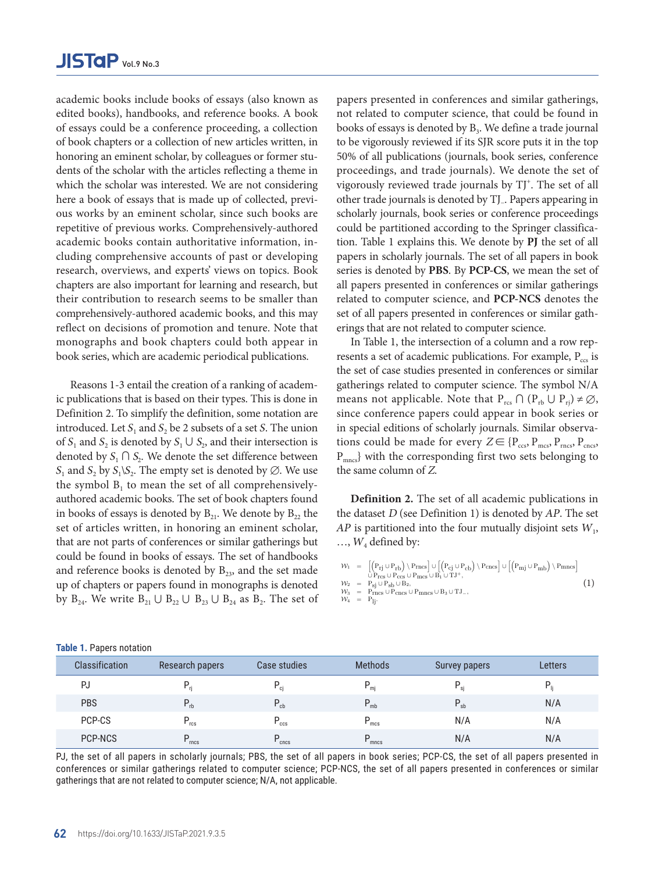academic books include books of essays (also known as edited books), handbooks, and reference books. A book of essays could be a conference proceeding, a collection of book chapters or a collection of new articles written, in honoring an eminent scholar, by colleagues or former students of the scholar with the articles reflecting a theme in which the scholar was interested. We are not considering here a book of essays that is made up of collected, previous works by an eminent scholar, since such books are repetitive of previous works. Comprehensively-authored academic books contain authoritative information, including comprehensive accounts of past or developing research, overviews, and experts' views on topics. Book chapters are also important for learning and research, but their contribution to research seems to be smaller than comprehensively-authored academic books, and this may reflect on decisions of promotion and tenure. Note that monographs and book chapters could both appear in book series, which are academic periodical publications.

Reasons 1-3 entail the creation of a ranking of academic publications that is based on their types. This is done in Definition 2. To simplify the definition, some notation are introduced. Let  $S_1$  and  $S_2$  be 2 subsets of a set S. The union of  $S_1$  and  $S_2$  is denoted by  $S_1 \cup S_2$ , and their intersection is denoted by  $S_1 \cap S_2$ . We denote the set difference between  $S_1$  and  $S_2$  by  $S_1\backslash S_2$ . The empty set is denoted by  $\emptyset$ . We use the symbol  $B_1$  to mean the set of all comprehensivelyauthored academic books. The set of book chapters found in books of essays is denoted by  $B_{21}$ . We denote by  $B_{22}$  the set of articles written, in honoring an eminent scholar, that are not parts of conferences or similar gatherings but could be found in books of essays. The set of handbooks and reference books is denoted by  $B_{23}$  and the set made up of chapters or papers found in monographs is denoted by  $B_{24}$ . We write  $B_{21} \cup B_{22} \cup B_{23} \cup B_{24}$  as  $B_2$ . The set of papers presented in conferences and similar gatherings, not related to computer science, that could be found in books of essays is denoted by  $B_3$ . We define a trade journal to be vigorously reviewed if its SJR score puts it in the top 50% of all publications (journals, book series, conference proceedings, and trade journals). We denote the set of vigorously reviewed trade journals by TJ<sup>+</sup>. The set of all other trade journals is denoted by TJ−. Papers appearing in scholarly journals, book series or conference proceedings could be partitioned according to the Springer classification. Table 1 explains this. We denote by **PJ** the set of all papers in scholarly journals. The set of all papers in book series is denoted by **PBS**. By **PCP-CS**, we mean the set of all papers presented in conferences or similar gatherings related to computer science, and **PCP-NCS** denotes the set of all papers presented in conferences or similar gatherings that are not related to computer science.

In Table 1, the intersection of a column and a row represents a set of academic publications. For example,  $P_{\text{ccs}}$  is the set of case studies presented in conferences or similar gatherings related to computer science. The symbol N/A means not applicable. Note that  $P_{res} \cap (P_{rb} \cup P_{ri}) \neq \emptyset$ , since conference papers could appear in book series or in special editions of scholarly journals. Similar observations could be made for every  $Z \in \{P_{ccs}, P_{mcs}, P_{mcs}, P_{cncs}\}$ P<sub>mncs</sub>} with the corresponding first two sets belonging to the same column of Z.

and **Definition 2.** The set of all academic publications in the the dataset  $D$  (see Definition 1) is denoted by  $AP$ . The set lar, AP is partitioned into the four mutually disjoint sets  $W_1$ , but  $\ldots$ ,  $W_4$  defined by: set AP is partitioned into the four mutually disjoint sets W1,..., W4 defined by:

$$
\begin{array}{lll} \mathcal{W}_1 &=& \left[\left(P_{rj} \cup P_{rb}\right) \backslash P_{rncs}\right] \cup \left[\left(P_{cj} \cup P_{cb}\right) \backslash P_{cncs}\right] \cup \left[\left(P_{mj} \cup P_{mb}\right) \backslash P_{mncs}\right] \\ &&\\ \mathcal{W}_2 &=& P_{sj} \cup P_{sb} \cup B_2,\\ \mathcal{W}_3 &=& P_{rncs} \cup P_{cncs} \cup P_{mncs} \cup B_3 \cup TJ_-,\\ \mathcal{W}_4 &=& P_{lj}. \end{array} \tag{1}
$$

| Classification | Research papers  | Case studies      | <b>Methods</b>    | <b>Survey papers</b> | <b>Letters</b> |
|----------------|------------------|-------------------|-------------------|----------------------|----------------|
| PJ             |                  | ci                | $P_{mj}$          | P<br>si              |                |
| <b>PBS</b>     | $P_{rb}$         | $P_{cb}$          | $P_{mb}$          | $P_{sb}$             | N/A            |
| PCP-CS         | $P_{\text{rcs}}$ | $P_{\rm ccs}$     | $P_{\text{mcs}}$  | N/A                  | N/A            |
| PCP-NCS        | D<br>rncs        | $P_{\text{cncs}}$ | $P_{\text{mncs}}$ | N/A                  | N/A            |

**Table 1.** Papers notation

PJ, the set of all papers in scholarly journals; PBS, the set of all papers in book series; PCP-CS, the set of all papers presented in conferences or similar gatherings related to computer science; PCP-NCS, the set of all papers presented in conferences or similar<br>conferences or similar gatherings related to computer science; PCP-NCS, the set of all paper  $S<sub>1</sub>$  suppression  $S<sub>2</sub>$  at a year to unavailable. This could on undefine  $S<sub>1</sub>$ gatherings that are not related to computer science; N/A, not applicable.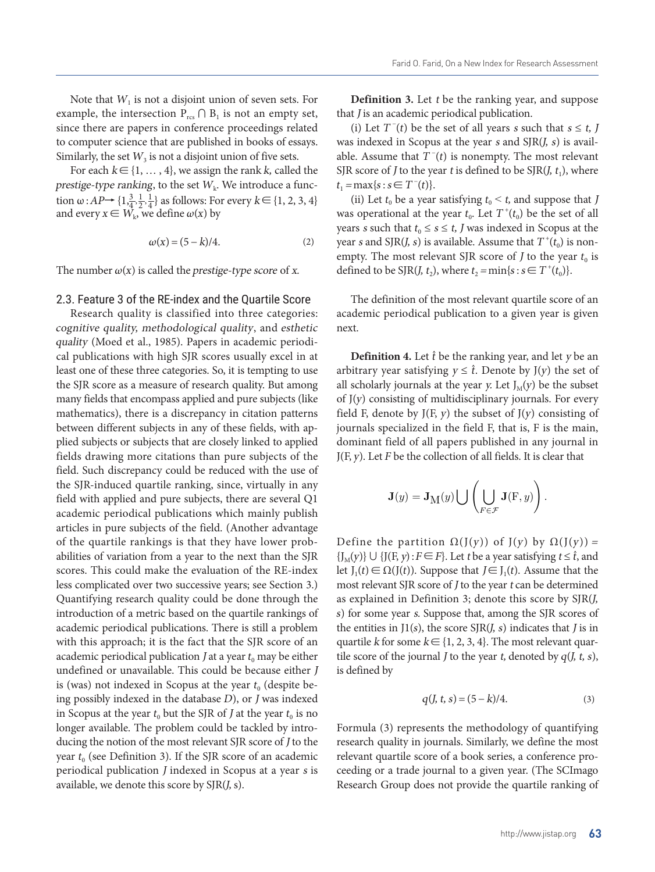Note that  $W_1$  is not a disjoint union of seven sets. For example, the intersection  $P_{res} \cap B_1$  is not an empty set, since there are papers in conference proceedings related to computer science that are published in books of essays. Similarly, the set  $W_3$  is not a disjoint union of five sets.

For each  $k \in \{1, ..., 4\}$ , we assign the rank k, called the prestige-type ranking, to the set  $W_k$ . We introduce a function  $\omega$ :  $AP \rightarrow \{1, \frac{3}{4}, \frac{1}{2}, \frac{1}{4}\}$  as follows: For every  $k \in \{1, 2, 3, 4\}$ and every  $x \in W_k$ , we define  $\omega(x)$  by

$$
\omega(x) = (5 - k)/4. \tag{2}
$$

The number  $\omega(x)$  is called the prestige-type score of x.

### 2.3. Feature 3 of the RE-index and the Quartile Score

Research quality is classified into three categories: cognitive quality, methodological quality, and esthetic quality (Moed et al., 1985). Papers in academic periodical publications with high SJR scores usually excel in at least one of these three categories. So, it is tempting to use the SJR score as a measure of research quality. But among many fields that encompass applied and pure subjects (like mathematics), there is a discrepancy in citation patterns between different subjects in any of these fields, with applied subjects or subjects that are closely linked to applied fields drawing more citations than pure subjects of the field. Such discrepancy could be reduced with the use of the SJR-induced quartile ranking, since, virtually in any field with applied and pure subjects, there are several Q1 academic periodical publications which mainly publish articles in pure subjects of the field. (Another advantage  $\frac{1}{\sqrt{2}}$ of the quartile rankings is that they have lower probabilities of variation from a year to the next than the SJR scores. This could make the evaluation of the RE-index less complicated over two successive years; see Section 3.) Quantifying research quality could be done through the introduction of a metric based on the quartile rankings of academic periodical publications. There is still a problem with this approach; it is the fact that the SJR score of an academic periodical publication  $J$  at a year  $t_0$  may be either undefined or unavailable. This could be because either J is (was) not indexed in Scopus at the year  $t_0$  (despite being possibly indexed in the database D), or J was indexed  $q(l, t, s) = (5 - k)/4$ . (3) in Scopus at the year  $t_0$  but the SJR of J at the year  $t_0$  is no longer available. The problem could be tackled by intro-<br> ducing the notion of the most relevant SJR score of J to the year  $t_0$  (see Definition 3). If the SJR score of an academic periodical publication J indexed in Scopus at a year s is available, we denote this score by SJR(J, s).  $\lim_{n \to \infty} \frac{d}{dx} \int_{-\infty}^{\infty} \frac{d}{dx} \int_{-\infty}^{\infty} \frac{d}{dx} \int_{-\infty}^{\infty} \frac{d}{dx} \int_{-\infty}^{\infty} \frac{d}{dx} \int_{-\infty}^{\infty} \frac{d}{dx} \int_{-\infty}^{\infty} \frac{d}{dx} \int_{-\infty}^{\infty} \frac{d}{dx} \int_{-\infty}^{\infty} \frac{d}{dx} \int_{-\infty}^{\infty} \frac{d}{dx} \int_{-\infty}^{\infty} \frac{d}{dx} \int_{-\infty}^{\infty} \$ 

**Definition 3.** Let t be the ranking year, and suppose that *J* is an academic periodical publication.

(i) Let  $T^{-}(t)$  be the set of all years *s* such that *s* ≤ *t*, *J* was indexed in Scopus at the year  $s$  and  $SIR(J, s)$  is available. Assume that  $T^{-}(t)$  is nonempty. The most relevant SJR score of *J* to the year *t* is defined to be SJR(*J*,  $t_1$ ), where  $t_1 = \max\{s : s \in T^-(t)\}.$ 

(ii) Let  $t_0$  be a year satisfying  $t_0 \leq t$ , and suppose that J was operational at the year  $t_0$ . Let  $T^+(t_0)$  be the set of all years *s* such that  $t_0 \leq s \leq t$ , *J* was indexed in Scopus at the year *s* and SJR(*J*, *s*) is available. Assume that  $T^+(t_0)$  is nonempty. The most relevant SJR score of *J* to the year  $t_0$  is defined to be SJR(*J*,  $t_2$ ), where  $t_2 = \min\{s : s \in T^+(t_0)\}.$ 

The definition of the most relevant quartile score of an academic periodical publication to a given year is given next.

**Definition 4.** Let  $\hat{t}$  be the ranking year, and let  $y$  be an arbitrary year satisfying  $y \leq \hat{t}$ . Denote by J(y) the set of all scholarly journals at the year y. Let  $J_M(y)$  be the subset of J(y) consisting of multidisciplinary journals. For every field F, denote by J(F,  $y$ ) the subset of J( $y$ ) consisting of  $\frac{1}{2}$  be the ranking  $\frac{1}{2}$  is the main,  $\frac{1}{2}$  be an arbitrary  $\frac{1}{2}$  is the main, of all papers published in any journal in electrolary in the dominant field of all papers published in any journal in than pure subjects of the  $J(F, y)$ . Let F be the collection of all fields. It is clear that

$$
\mathbf{J}(y) = \mathbf{J}_{\mathbf{M}}(y) \bigcup \left( \bigcup_{F \in \mathcal{F}} \mathbf{J}(F, y) \right).
$$

at they have lower prob- Define the partition  $\Omega(J(y))$  of  $J(y)$  by  $\Omega(J(y)) =$ r to the next than the SJR  $\{J_M(y)\} \cup \{J(F, y) : F \in F\}$ . Let t be a year satisfying  $t \leq \hat{t}$ , and valuation of the RE-index let  $J_1(t) \in \Omega(J(t))$ . Suppose that  $J \in J_1(t)$ . Assume that the The most relevant  $T_{\text{max}}$  and  $T_{\text{max}}$  is defined by  $T_{\text{max}}$  to the year t, can be determined by  $T_{\text{max}}$  and  $T_{\text{max}}$  and  $T_{\text{max}}$  and  $T_{\text{max}}$  and  $T_{\text{max}}$  and  $T_{\text{max}}$  and  $T_{\text{max}}$  and  $T_{\text{max}}$  and  $T_{\text{max$ as explained in Definition 3; denote this score by SJR(J, For the quartile rankings of  $s$ ) for some year s. Suppose that, among the SJR scores of the entities in J1(s), the score SJR(J, s) indicates that J is in  $\text{Li}(s)$ t that the SJR score of an quartile k for some  $k \in \{1, 2, 3, 4\}$ . The most relevant quartile score of the journal *J* to the year *t*, denoted by  $q$ (*J*, *t*, *s*), is defined by

$$
q(J, t, s) = (5 - k)/4.
$$
 (3)

Formula (3) represents the methodology of quantifying Example 1 Feature 4 of the Re-index and the Length Score of the Length Score of the Length Score of the Length Score of the Length Score of the Length Score of the most studies are confirmed a most studies of the Length S  $\Re$  score of an academic relevant quartile score of a book series, a conference proed in Scopus at a year s is ceeding or a trade journal to a given year. (The SCImago  $\sum_{n=1}^{\infty}$ y SJR(J, s). The same same of the same type and provide the quartile ranking of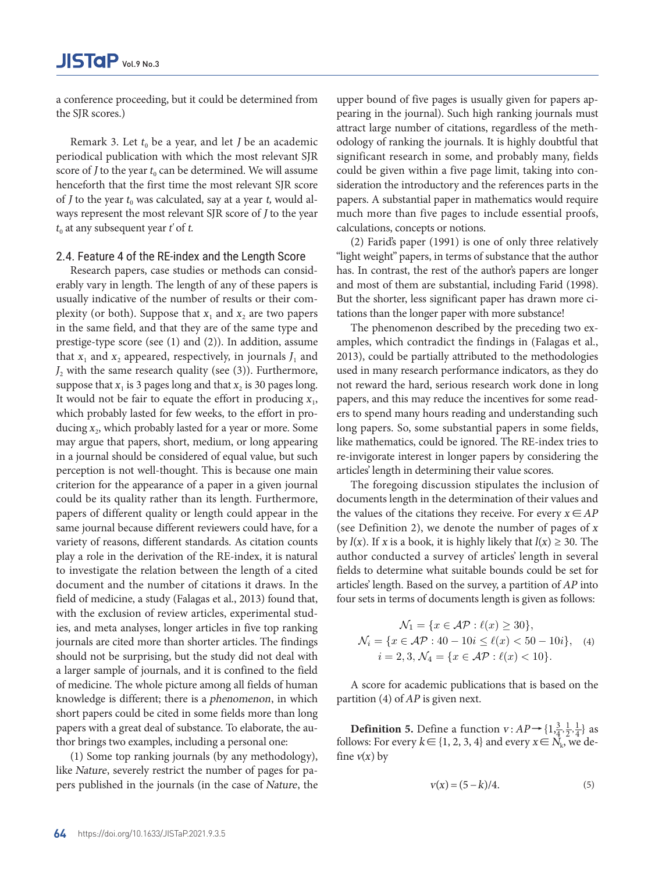a conference proceeding, but it could be determined from the SJR scores.)

Remark 3. Let  $t_0$  be a year, and let *J* be an academic periodical publication with which the most relevant SJR score of *J* to the year  $t_0$  can be determined. We will assume henceforth that the first time the most relevant SJR score of *J* to the year  $t_0$  was calculated, say at a year t, would always represent the most relevant SJR score of J to the year  $t_0$  at any subsequent year  $t'$  of  $t$ .

### 2.4. Feature 4 of the RE-index and the Length Score

Research papers, case studies or methods can considerably vary in length. The length of any of these papers is usually indicative of the number of results or their complexity (or both). Suppose that  $x_1$  and  $x_2$  are two papers in the same field, and that they are of the same type and prestige-type score (see (1) and (2)). In addition, assume that  $x_1$  and  $x_2$  appeared, respectively, in journals  $J_1$  and  $J_2$  with the same research quality (see (3)). Furthermore, suppose that  $x_1$  is 3 pages long and that  $x_2$  is 30 pages long. It would not be fair to equate the effort in producing  $x_1$ , which probably lasted for few weeks, to the effort in producing  $x_2$ , which probably lasted for a year or more. Some may argue that papers, short, medium, or long appearing in a journal should be considered of equal value, but such perception is not well-thought. This is because one main criterion for the appearance of a paper in a given journal could be its quality rather than its length. Furthermore, papers of different quality or length could appear in the same journal because different reviewers could have, for a (see Definition 2), we denote the number of p variety of reasons, different standards. As citation counts by  $I(x)$ . If x is a book, it is highly likely that  $I(x)$  and play a role in the derivation of the RE-index, it is natural author conducted a survey of articles' length i to investigate the relation between the length of a cited document and the number of citations it draws. In the articles' length. Based on the survey, a partition o field of medicine, a study (Falagas et al., 2013) found that, four sets in terms of documents length is given as with the exclusion of review articles, experimental stud-<br> $\mathcal{M}_{\text{eff}}$  ( $\mathcal{M}_{\text{eff}}$  =  $\mathcal{M}_{\text{eff}}$  =  $\mathcal{M}_{\text{eff}}$  =  $\mathcal{M}_{\text{eff}}$  =  $\mathcal{M}_{\text{eff}}$  =  $\mathcal{M}_{\text{eff}}$  =  $\mathcal{M}_{\text{eff}}$  =  $\mathcal{M}_{\text{eff}}$  =  $\mathcal{M}_{\text{eff}}$  =  $\mathcal$ ies, and meta analyses, longer articles in five top ranking  $\mathcal{N}_1 = \{x \in \mathcal{AP} : \ell(x) \geq 30\},\$ journals are cited more than shorter articles. The findings  $\mathcal{N}_i = \{x \in \mathcal{AP} : 40 - 10i \leq \ell(x) < 50 - 10i\}, \quad \text{(4)}$ should not be surprising, but the study did not deal with  $i = 2, 3, \mathcal{N}_4 = \{x \in \mathcal{AP} : \ell(x) < 10\}.$ a larger sample of journals, and it is confined to the field and the partition (4) of AP is given next. of medicine. The whole picture among all fields of human A score for academic pu knowledge is different; there is a phenomenon, in which short papers could be cited in some fields more than long papers with a great deal of substance. To elaborate, the author brings two examples, including a personal one:  $x_i$  by  $\alpha_i$  is a book, it is a book, it is a book, it is a book, it is an author conducted a survey of articles' length in  $\alpha_i$  $\alpha$ , and fittia analyses, fought affilies in the top failuring

(1) Some top ranking journals (by any methodology),  $\binom{1}{1}$  boint top runking journals  $\binom{5}{7}$  any interfedency,  $\binom{5}{7}$  and  $\binom{6}{x}$  of the Rature, severely restrict the number of pages for papers published in the journals (in the case of Nature, the  $v(x) = (5$ 

upper bound of five pages is usually given for papers appearing in the journal). Such high ranking journals must attract large number of citations, regardless of the methodology of ranking the journals. It is highly doubtful that significant research in some, and probably many, fields could be given within a five page limit, taking into consideration the introductory and the references parts in the papers. A substantial paper in mathematics would require much more than five pages to include essential proofs, calculations, concepts or notions.

(2) Farid's paper (1991) is one of only three relatively "light weight" papers, in terms of substance that the author has. In contrast, the rest of the author's papers are longer and most of them are substantial, including Farid (1998). But the shorter, less significant paper has drawn more citations than the longer paper with more substance!

The phenomenon described by the preceding two examples, which contradict the findings in (Falagas et al., 2013), could be partially attributed to the methodologies used in many research performance indicators, as they do not reward the hard, serious research work done in long papers, and this may reduce the incentives for some readers to spend many hours reading and understanding such long papers. So, some substantial papers in some fields, like mathematics, could be ignored. The RE-index tries to re-invigorate interest in longer papers by considering the articles' length in determining their value scores.

The foregoing discussion stipulates the inclusion of documents length in the determination of their values and th could appear in the the values of the citations they receive. For every  $x \in AP$ ewers could have, for a (see Definition 2), we denote the number of pages of x rds. As citation counts by  $I(x)$ . If x is a book, it is highly likely that  $I(x) \ge 30$ . The  $\frac{f(t)}{g(t)}$ , it a set book, it is highly likely did  $f(t) \geq 56$ . The author conducted a survey of articles' length in several fields to determine what suitable bounds could be set for articles' length. Based on the survey, a partition of  $AP$  into et al., 2013) found that, four sets in terms of documents length is given as follows: the values of the citations they receive  $\frac{1}{2}$ , we define the number of pages of pages of pages of pages of pages of pages of pages of pages of pages of pages of pages of pages of pages of pages of pages of pages of p  $RF\text{-index}$  it is natural author conducted a survey of articles' leg of foregoing discussion stipulates the inclusion of documents length in the interval of documents of the set for the values of the citations the citations that is considered the consequence of  $\Lambda$  D into the number of  $\Lambda$  D into the number of  $\Lambda$  D into the number of  $\Lambda$  D into the number of pages of pages of pages of pages of p  $x_1 \sin \alpha$  is a book, it includes the author of a survey of a survey of a survey of a survey of a survey of a survey of a survey of a survey of a survey of a survey of a survey of a survey of a survey of a survey of a surv

$$
\mathcal{N}_1 = \{x \in \mathcal{AP} : \ell(x) \ge 30\},\
$$

$$
\mathcal{N}_i = \{x \in \mathcal{AP} : 40 - 10i \le \ell(x) < 50 - 10i\}, \quad (4)
$$

$$
i = 2, 3, \mathcal{N}_4 = \{x \in \mathcal{AP} : \ell(x) < 10\}.
$$

Definition 5. Define a function ν : AP −→ {1, <sup>3</sup> A score for academic publications that is based on the  $\mathcal{L}(x)$  $\frac{d}{dx}$  an field of function  $\frac{d}{dx}$  are  $\frac{d}{dx}$  function (4) of  $AP$  is given next. <sup>4</sup> } as follows: For every k ∈ {1, 2, 3, 4} and every x ∈ Nk,

**Definition 5.** Define a function  $v : AP \rightarrow \{1, \frac{3}{4}, \frac{1}{2}, \frac{1}{4}\}$  as  $\begin{array}{ll}\n\text{S.} & \text{Demll} \text{S.} & \text{Demll} \text{S.} & \text{Demll} \text{S.} & \text{Demll} \text{S.} & \text{Demll} \text{S.} \\
\text{S.} & \text{S.} & \text{S.} & \text{S.} & \text{S.} \\
\text{S.} & \text{S.} & \text{S.} & \text{S.} & \text{S.} \\
\text{S.} & \text{S.} & \text{S.} & \text{S.} & \text{S.} \\
\text{S.} & \text{S.} & \text{S.} & \text{S.} & \text$ fine  $v(x)$  by

where 
$$
y(x) = \frac{5 - k}{4}
$$
.

\n(5)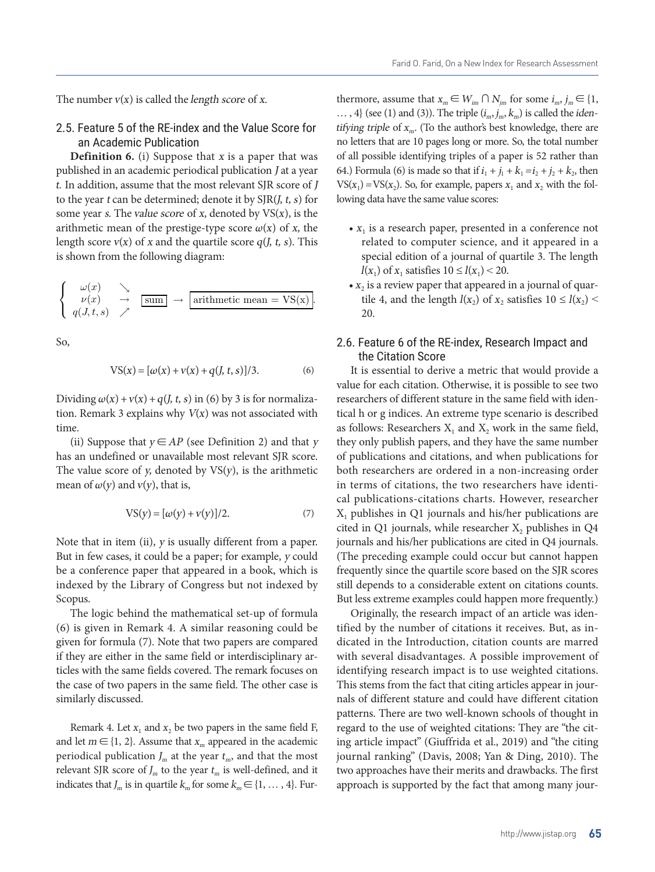The number  $v(x)$  is called the *length score* of  $x$ .

2.5. Feature 5 of the RE-index and the Value Score for *tifying triple* of  $x_m$ . (To t an Academic Publication

N1 = {x ∈ AP : {x}, Ni = 30}, Ni = 3, N4 = 2, 3, N4 = {x}, i = 3, N4 = {x}, i = 2, 3, N4 = {x}, i = 2, 10}. I = {x}, i = {x}, i = {x}, i = {x}, i = {x}, i = {x}, i = {x}, i = {x}, i = {x}, i = {x}, i = {x}, i = {x}, i = {

In Actual Transmitter **Contraction**<br> **Definition 6.** (i) Suppose that x is a paper that was of all possible identifyin published in an academic periodical publication J at a year t. In addition, assume that the most relevant SJR score of  $J$  VS( $x$ to the year  $t$  can be determined; denote it by  $SIR(I, t, s)$  for some year s. The value score of x, denoted by  $VS(x)$ , is the arithmetic mean of the prestige-type score  $\omega(x)$  of x, the  $\cdots$   $\cdots$  is a research pa length score  $v(x)$  of x and the quartile score  $q(J, t, s)$ . This related to compute is shown from the following diagram: special edition of x and the special edition of

$$
\begin{cases}\n\omega(x) & \searrow \\
\nu(x) & \to \text{sum} \\
q(J, t, s) & \nearrow\n\end{cases} \rightarrow \text{arithmetic mean} = \text{VS}(x).
$$

So,

$$
VS(x) = [\omega(x) + v(x) + q(l, t, s)]/3.
$$
 (6) It is essential to der

Dividing  $\omega(x) + v(x) + q(J, t, s)$  in (6) by 3 is for normalization. Remark 3 explains why  $V(x)$  was not associated with time.

(ii) Suppose that  $y \in AP$  (see Definition 2) and that y they only publish paper. has an undefined or unavailable most relevant SJR score. In of publications and cit The value score of  $y$ , denoted by  $VS(y)$ , is the arithmetic mean of  $\omega(y)$  and  $v(y)$ , that is,

$$
VS(y) = [\omega(y) + v(y)]/2.
$$
 (7)

But in few cases, it could be a paper; for example, y could — (The preceding examp be a conference paper that appeared in a book, which is frequently since the quantity of  $\alpha$ indexed by the Library of Congress but not indexed by still depends to a consi x ⊆ Njm for some intervals of the intervals of the intervals of the intervals of the intervals of the intervals but less extreme examples could happen more frequently.)  $t_{\text{max}}$  the logic behind the methemotical est un of formula. Outsinelly, the none Note that in item (ii), y is usually different from a paper. Scopus.

The logic behind the mathematical set-up of formula  $\qquad$  Originally, the research  $\qquad$  is mathematical set-up of formula  $(6)$  is given in Remark 4. A similar reasoning could be tified by the number 9 ticles with the same fields covered. The remark focuses on given for formula (7). Note that two papers are compared if they are either in the same field or interdisciplinary arthe case of two papers in the same field. The other case is similarly discussed.

> Remark 4. Let  $x_1$  and  $x_2$  be two papers in the same field F, and let  $m \in \{1, 2\}$ . Assume that  $x_m$  appeared in the academic periodical publication  $J_m$  at the year  $t_m$ , and that the most relevant SJR score of  $J_m$  to the year  $t_m$  is well-defined, and it indicates that  $J_m$  is in quartile  $k_m$  for some  $k_m \in \{1, ..., 4\}$ . Fur-

thermore, assume that  $x_m \in W_{im} \cap N_{im}$  for some  $i_m, j_m \in \{1, \}$  $\ldots$ , 4} (see (1) and (3)). The triple  $(i_m, j_m, k_m)$  is called the *iden*tifying triple of  $x_m$ . (To the author's best knowledge, there are no letters that are 10 pages long or more. So, the total number of all possible identifying triples of a paper is 52 rather than 64.) Formula (6) is made so that if  $i_1 + j_1 + k_1 = i_2 + i_3 + k_2$ , then  $VS(x_1) = VS(x_2)$ . So, for example, papers  $x_1$  and  $x_2$  with the following data have the same value scores:

- $x_1$  is a research paper, presented in a conference not related to computer science, and it appeared in a special edition of a journal of quartile 3. The length  $l(x_1)$  of  $x_1$  satisfies  $10 \le l(x_1) < 20$ .
- $x_2$  is a review paper that appeared in a journal of quartile 4, and the length  $l(x_2)$  of  $x_2$  satisfies  $10 \le l(x_2)$  < 20.

### 2.6. Feature 6 of the RE-index, Research Impact and the Citation Score

 $\alpha$  value for each change. as follows: Researchers  $X_1$  and  $X_2$  work in the same field, The mathematical set-up of the mathematical set-up of formula (6) is given in Remark 4. A similar researcher  $VS(y) = [\omega(y) + v(y)]/2.$  (7)  $X_1$  publishes in Q1 journals and his/her publications are  $\alpha$ rticles with the same fields covered. The remarks focus on the same field. The same field of two papers in the same field. The other two papers in the same field. The other two papers in the same field. The other two It is essential to derive a metric that would provide a value for each citation. Otherwise, it is possible to see two researchers of different stature in the same field with identical h or g indices. An extreme type scenario is described they only publish papers, and they have the same number of publications and citations, and when publications for both researchers are ordered in a non-increasing order in terms of citations, the two researchers have identicited in Q1 journals, while researcher  $X$ , publishes in Q4 journals and his/her publications are cited in Q4 journals. (The preceding example could occur but cannot happen frequently since the quartile score based on the SJR scores still depends to a considerable extent on citations counts.

> Originally, the research impact of an article was identified by the number of citations it receives. But, as indicated in the Introduction, citation counts are marred with several disadvantages. A possible improvement of identifying research impact is to use weighted citations. This stems from the fact that citing articles appear in journals of different stature and could have different citation patterns. There are two well-known schools of thought in regard to the use of weighted citations: They are "the citing article impact" (Giuffrida et al., 2019) and "the citing journal ranking" (Davis, 2008; Yan & Ding, 2010). The two approaches have their merits and drawbacks. The first approach is supported by the fact that among many jour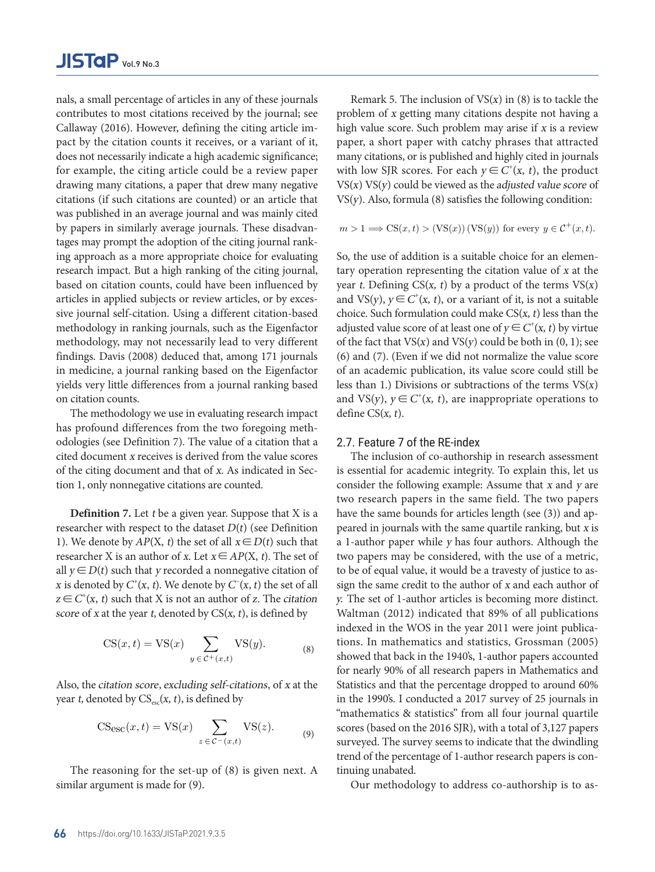nals, a small percentage of articles in any of these journals Remark 5. The inclusion contributes to most citations received by the journal; see Callaway (2016). However, defining the citing article im-<br>high value score. Such pro pact by the citation counts it receives, or a variant of it, paper, a short paper with does not necessarily indicate a high academic significance; many citations, or is publifor example, the citing article could be a review paper — with low SJR scores. For drawing many citations, a paper that drew many negative  $V S(x) V S(y)$  could be view citations (if such citations are counted) or an article that  $VS(y)$ . Also, formula (8) say was published in an average journal and was mainly cited<br>by papers in similarly average journals. These disadvan-<br> $m > 1 \Longrightarrow CS(x, t) > (VS(x, t))$ by papers in similarly average journals. These disadvan- $m > 1 \Longrightarrow CS(x, t) > (VS(x, t))$ tages may prompt the adoption of the citing journal ranking approach as a more appropriate choice for evaluating So, the use of addition is research impact. But a high ranking of the citing journal, tary operation representing based on citation counts, could have been influenced by year *t*. Defining  $CS(x, t)$  based on citation counts, could have been influenced by articles in applied subjects or review articles, or by exces-<br>and  $VS(y)$ ,  $y \in C^*(x, t)$ , or sive journal self-citation. Using a different citation-based choice. Such formulation c methodology in ranking journals, such as the Eigenfactor adjusted value score of at l methodology, may not necessarily lead to very different of the fact that  $VS(x)$  and  $V$ findings. Davis (2008) deduced that, among 171 journals (6) and (7). (Even if we di in medicine, a journal ranking based on the Eigenfactor bot an academic publication yields very little differences from a journal ranking based less than 1.) Divisions or on citation counts.  $\alpha$  identified and the fact that city articles and the fact that city  $\beta$  originally, the number of an articles appear of an article was identified by the number of an article was identified by the number of an article on citation counts. and VS(y),  $y \in C^{\dagger}(x, t)$ , are inappropriate operations to  $\alpha$  and  $\alpha$  ( $\alpha$ ) of  $\alpha$  is a satisfied (x1) of  $\alpha$  satisfies 10  $\alpha$  satisfies 10  $\alpha$  $\text{e}$ extreme extreme extreme extreme extreme extreme extreme extreme extreme extreme extreme extreme extreme extreme extreme extreme extreme extreme extreme extreme extreme extreme extreme extreme extreme extreme extrem

The methodology we use in evaluating research impact define  $CS(x, t)$ . has profound differences from the two foregoing methodologies (see Definition 7). The value of a citation that a 2.7. Feature 7 of the REcited document x receives is derived from the value scores The inclusion of co-au cited document x receives is derived from the value scores of the citing document and that of x. As indicated in Sec-<br>is essential for academic tion 1, only nonnegative citations are counted. Consider the following exsuch documental steelwest or by excessive form the value secrets. The methodology is different control.  $\alpha$  average journal and was mainly considered by papers in similar  $\alpha$  and  $\alpha$  and  $\alpha$  in  $\alpha$ the adoption of the citizens is derived from the value scores. The medision of co-au

**Definition 7.** Let t be a given year. Suppose that X is a have the same bounds for researcher with respect to the dataset  $D(t)$  (see Definition e peared in journals with the 1). We denote by  $AP(X, t)$  the set of all  $x \in D(t)$  such that a 1-author paper while y researcher X is an author of x. Let  $x \in AP(X, t)$ . The set of two papers may be considered that  $x \in AP(X, t)$ . The set of all  $y \in D(t)$  such that y recorded a nonnegative citation of to be of equal value, it wo x is denoted by  $C^{\dagger}$ (x, t). We denote by  $C^{\dagger}$ (x, t) the set of all sign the same credit to the  $z \in C^{\dagger}(x, t)$  such that X is not an author of z. The citation y. The set of 1-author arti score of x at the year t, denoted by  $CS(x, t)$ , is defined by Waltman (2012) indicate  $\frac{1}{2}$  sector of  $\pi$  at *xore* of *x* at the year *t*, denoted by C<sub>2</sub>(*x*, *t*), is defined by  $\frac{1}{2}$  wall that  $\frac{1}{2}$  is denoted by C<sub>2</sub>

$$
CS(x,t) = VS(x) \sum_{y \in C^+(x,t)} VS(y).
$$
 (8)

Also, the citation score, excluding self-citations, of x at the Statistics and that year *t*, denoted by  $CS_{\rm esc}(x, t)$ , is defined by  $\begin{array}{ccc} \text{in the } 1990\text{'s.} & \text{i.c.} \end{array}$ 

$$
\text{CS}_{\text{esc}}(x,t) = \text{VS}(x) \sum_{z \in \mathcal{C}^-(x,t)} \text{VS}(z). \tag{9}
$$

The reasoning for the set-up of  $\delta$ ) is given hext. A short phrases that  $\delta$ similar argument is made for (9). Our methodology to a The reasoning for the set-up of (8) is given next. A similar argument is made for  $\alpha$ The reasoning for the set-up of (8) is given next. A

ny of these journals Remark 5. The inclusion of  $VS(x)$  in (8) is to tackle the problem of x getting many citations despite not having a high value score. Such problem may arise if  $x$  is a review r a variant of it, paper, a short paper with catchy phrases that attracted many citations, or is published and highly cited in journals be a review paper with low SJR scores. For each  $y \in C^+(x, t)$ , the product lrew many negative  $V S(x) V S(y)$  could be viewed as the adjusted value score of at the many conditions,  $V(S(y))$ ,  $V(S(y))$ ,  $S(Y)$  is published and the map matrix cited in  $S(Y)$ . The conditions,  $S(Y)$ ,  $S(Y)$ ,  $S(Y)$ ,  $S(Y)$ ,  $S(Y)$ ,  $S(Y)$ ,  $S(Y)$ ,  $S(Y)$ ,  $S(Y)$ ,  $S(Y)$ ,  $S(Y)$ ,  $S(Y)$ ,  $S(Y)$ ,  $S(Y)$ ,  $S(Y)$ ,  $S(Y)$ ,  $t_{\rm y}$  or an article that  $v_{\rm y}$ ,  $v_{\rm y}$ ,  $v_{\rm x}$ , formula (8) satisfies the following condition.

$$
m > 1 \Longrightarrow CS(x, t) > (VS(x))(VS(y))
$$
 for every  $y \in C^+(x, t)$ .

So, the use of addition is a suitable choice for an elementary operation representing the citation value of x at the year t. Defining  $CS(x, t)$  by a product of the terms  $VS(x)$ and VS(y),  $y \in C^{\dagger}(x, t)$ , or a variant of it, is not a suitable choice. Such formulation could make  $CS(x, t)$  less than the adjusted value score of at least one of  $y \in C^{\dagger}(x, t)$  by virtue of the fact that  $VS(x)$  and  $VS(y)$  could be both in  $(0, 1)$ ; see (6) and (7). (Even if we did not normalize the value score of an academic publication, its value score could still be less than 1.) Divisions or subtractions of the terms  $VS(x)$ define  $CS(x, t)$ .

### 2.7. Feature 7 of the RE-index

 $VS(y)$ . (8) tions. In mathematics and statistics, Grossman (2005) in the 1990's. I conducted a 2017 survey of 25 journals in Remark 5. The inclusion of VS(x) in (8) is to tackle the problem of x getting many citations despite not having tion 1, only nonnegative citations are counted.<br>two research papers in the same field. The two papers indexed in the WOS in the year 2011 were joint publica-<br>
∴ for nearly 90% of all research papers in Mathematics and VS(*z*). (9) scores (based on the 2016 SJR), with a total of 3,127 papers The inclusion of co-authorship in research assessment is essential for academic integrity. To explain this, let us consider the following example: Assume that x and y are have the same bounds for articles length (see (3)) and appeared in journals with the same quartile ranking, but x is a 1-author paper while y has four authors. Although the two papers may be considered, with the use of a metric, to be of equal value, it would be a travesty of justice to assign the same credit to the author of x and each author of y. The set of 1-author articles is becoming more distinct. Waltman (2012) indicated that 89% of all publications showed that back in the 1940's, 1-author papers accounted Statistics and that the percentage dropped to around 60% "mathematics & statistics" from all four journal quartile surveyed. The survey seems to indicate that the dwindling trend of the percentage of 1-author research papers is continuing unabated.

Our methodology to address co-authorship is to as-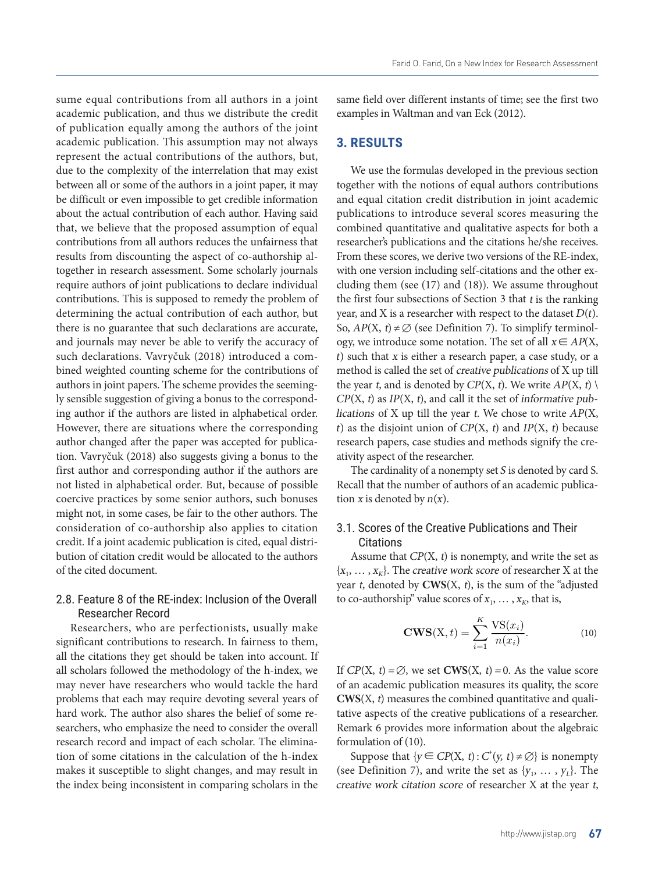sume equal contributions from all authors in a joint academic publication, and thus we distribute the credit of publication equally among the authors of the joint academic publication. This assumption may not always represent the actual contributions of the authors, but, due to the complexity of the interrelation that may exist between all or some of the authors in a joint paper, it may be difficult or even impossible to get credible information about the actual contribution of each author. Having said that, we believe that the proposed assumption of equal contributions from all authors reduces the unfairness that results from discounting the aspect of co-authorship altogether in research assessment. Some scholarly journals require authors of joint publications to declare individual contributions. This is supposed to remedy the problem of determining the actual contribution of each author, but there is no guarantee that such declarations are accurate, and journals may never be able to verify the accuracy of such declarations. Vavryčuk (2018) introduced a combined weighted counting scheme for the contributions of authors in joint papers. The scheme provides the seemingly sensible suggestion of giving a bonus to the corresponding author if the authors are listed in alphabetical order. However, there are situations where the corresponding author changed after the paper was accepted for publication. Vavryčuk (2018) also suggests giving a bonus to the first author and corresponding author if the authors are not listed in alphabetical order. But, because of possible coercive practices by some senior authors, such bonuses might not, in some cases, be fair to the other authors. The consideration of co-authorship also applies to citation credit. If a joint academic publication is cited, equal distribution of citation credit would be allocated to the authors of the cited document.

### 2.8. Feature 8 of the RE-index: Inclusion of the Overall Researcher Record

Researchers, who are perfectionists, usually make significant contributions to research. In fairness to them, all the citations they get should be taken into account. If all scholars followed the methodology of the h-index, we may never have researchers who would tackle the hard problems that each may require devoting several years of hard work. The author also shares the belief of some researchers, who emphasize the need to consider the overall research record and impact of each scholar. The elimina- formulation of (10). tion of some citations in the calculation of the h-index makes it susceptible to slight changes, and may result in the index being inconsistent in comparing scholars in the If CP(X, t)  $\alpha$  of  $\alpha$  and  $\alpha$  and  $\alpha$  its  $\alpha$  of an according publication measures its quality of an action measures its quality of an action measures its quality of an action measures its quality, the value of  $\alpha$ 

same field over different instants of time; see the first two examples in Waltman and van Eck (2012).

### **3. RESULTS**

We use the formulas developed in the previous section together with the notions of equal authors contributions and equal citation credit distribution in joint academic publications to introduce several scores measuring the combined quantitative and qualitative aspects for both a researcher's publications and the citations he/she receives. From these scores, we derive two versions of the RE-index, with one version including self-citations and the other excluding them (see (17) and (18)). We assume throughout the first four subsections of Section 3 that  $t$  is the ranking year, and X is a researcher with respect to the dataset  $D(t)$ . So,  $AP(X, t) \neq \emptyset$  (see Definition 7). To simplify terminology, we introduce some notation. The set of all  $x \in AP(X)$ , <sup>t</sup>) such that x is either a research paper, a case study, or a method is called the set of creative publications of X up till the year t, and is denoted by  $CP(X, t)$ . We write  $AP(X, t)$  $CP(X, t)$  as  $IP(X, t)$ , and call it the set of informative publications of X up till the year  $t$ . We chose to write  $AP(X,$ t) as the disjoint union of  $CP(X, t)$  and  $IP(X, t)$  because research papers, case studies and methods signify the creativity aspect of the researcher.

g author if the authors are The cardinality of a nonempty set S is denoted by card S. parties in the diality are the cast and the set of concerning the set of an academic publica-<br>r. But, because of possible Recall that the number of authors of an academic publication x is denoted by  $n(x)$ .  $\mathbf{r}_k$ ,  $\mathbf{r}_k$ , the set of  $\mathbf{r}_k$  the set of  $\mathbf{r}_k$  and  $\mathbf{r}_k$  is the set of  $\mathbf{r}_k$  up time  $\mathbf{r}_k$ . the distribution of  $\sum_{i=1}^{\infty}$  and  $\sum_{i=1}^{\infty}$  are distribution of  $\sum_{i=1}^{\infty}$ 

### lso applies to citation 3.1. Scores of the Creative Publications and Their **Citations**

Assume that  $CP(X, t)$  is nonempty, and write the set as  $\{x_1, \ldots, x_k\}$ . The *creative work score* of researcher X at the year  $t$ , denoted by  $CWS(X, t)$ , is the sum of the "adjusted"  $x:$  Inclusion of the Overall to co-authorship" value scores of  $x_1, \ldots, x_k$ , that is,

$$
\mathbf{CWS}(\mathbf{X}, t) = \sum_{i=1}^{K} \frac{\mathbf{VS}(x_i)}{n(x_i)}.
$$
 (10)

odology of the h-index, we If  $CP(X, t) = \emptyset$ , we set **CWS** $(X, t) = 0$ . As the value score tho would tackle the hard of an academic publication measures its quality, the score ares the belief of some re- tative aspects of the creative publications of a researcher. leed to consider the overall helmark 6 provides more information about the algebraic **CWS**(X, t) measures the combined quantitative and qualiformulation of (10).

> (see Definition 7), and write the set as  $\{y_1, \ldots, y_L\}$ . The Suppose that  $\{y \in CP(X, t) : C^*(y, t) \neq \emptyset\}$  is nonempty (see Definition 7), and write the set as  $y_1, \ldots, y_L$ . The creative work citation score of researcher X at the year t,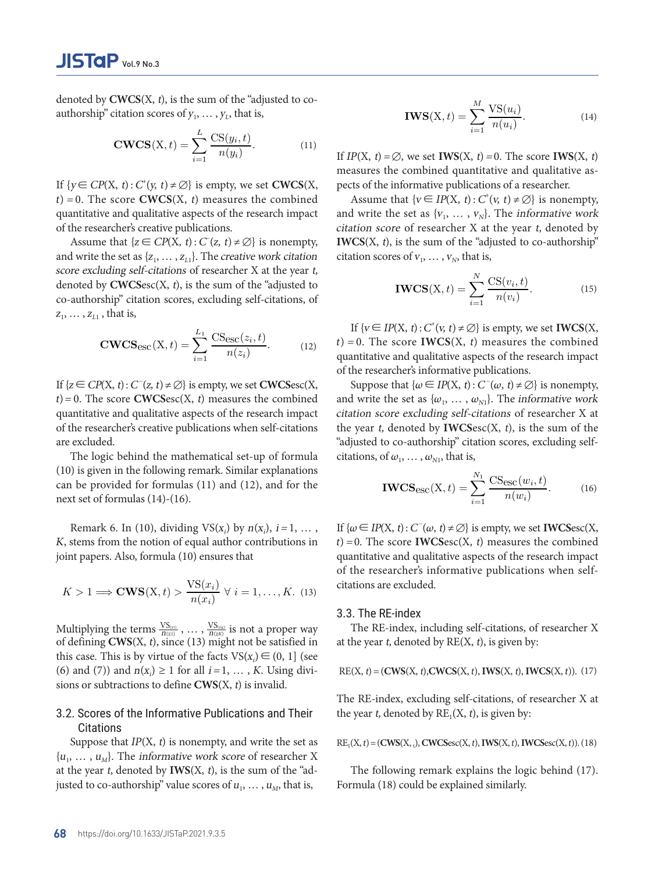3.1 Scores of the Creative Publications and their Citations

denoted by  $CWCS(X, t)$ , is the sum of the "adjusted to coauthorship" citation scores of  $y_1, ..., y_L$ , that is,<br> **IWS**(X, t)  $\mathbf{r}$  are information about the algebraic formulation about the algebraic formulation of  $\mathbf{r}$ .

$$
\text{CWCS}(X, t) = \sum_{i=1}^{L} \frac{CS(y_i, t)}{n(y_i)}.
$$
\n(11)\nIf  $IP(X, t) = \emptyset$ , we set  $IWS(X, t) = 0$ . The score  $IWS(X, t)$ 

n(xi) . (10) . (10) . (10) . (10) . (10) . (10) . (10) . (10) . (10) . (10) . (10) . (10) . (10) . (10) . (10)

If  $\{y \in CP(X, t): C^*(y, t) \neq \emptyset\}$  is empty, we set **CWCS**(X, pects of the informative pro $t$ ) = 0. The score CWCS(X, t) measures the combined Assume that {v quantitative and qualitative aspects of the research impact<br>of the second  $\{v_1, v_2, v_3, v_4, v_5, v_6, v_7, v_8, v_9, v_1, v_2, v_3, v_4, v_5, v_6, v_7, v_8, v_9, v_1, v_2, v_3, v_4, v_1, v_2, v_3, v_4, v_5, v_6, v_7, v_7, v_8, v_9, v_1, v_2, v_3, v_4,$ of the researchers creative publications.  $\alpha$  at the self-citation score of researcher  $\alpha$ ,  $\alpha$ ,  $\alpha$ ,  $\alpha$ ,  $\alpha$ ,  $\alpha$ ,  $\alpha$ ,  $\alpha$ ,  $\alpha$ ,  $\alpha$ ,  $\alpha$ ,  $\alpha$ ,  $\alpha$ ,  $\alpha$ ,  $\alpha$ ,  $\alpha$ ,  $\alpha$ ,  $\alpha$ ,  $\alpha$ ,  $\alpha$ ,  $\alpha$ ,  $\alpha$ , of the researcher's creative publications. The set as  ${\rm citation\ score}$  of research  ${\rm c}$  $\mathcal{L}(\mathcal{L} = \mathcal{L}(\mathbf{P}(\mathbf{Y},\cdot),\mathcal{L}(\mathcal{L})))$ If  $\{y \in CP(X, t): C(y, t) \neq \emptyset\}$  is empty, we set CWCS(X, exects of the informative

Assume that  $\{z \in CP(X, t): C(z, t) \neq \emptyset\}$  is nonempty, **IWCS** $(X, t)$ , is the sum of denoted by CWCSesc(X, t), is the sum of the "adjusted to<br>
co-authorship" citation scores excluding self-citations of  $\mathbf{IWCS}(X,t) = \sum_{n=0}^{N} \frac{CS(v_i, t)}{n(v_i)}$ . (15) score excluding self-citations of researcher X at the year t, co-authorship" citation scores, excluding self-citations, of  $n(v_i)$   $\sum_{i=1}^{\infty} n(v_i)$  $z_1, \ldots, z_{L1}$ , that is, and write the set as  $\{z_1, \ldots, z_{L1}\}\$ . The creative work citation citation scores of  $v_1$  $Z_1, \ldots, Z_{L1}$ , that is,<br> $I_f^f(x \subset \text{ID}(X, t), C^f(x))$  $v = \sum_{k=1}^{\infty}$  is non-verticely of  $v = \sum_{k=1}^{\infty}$ .

$$
\text{CWCS}_{\text{esc}}(\mathbf{X}, t) = \sum_{i=1}^{L_1} \frac{\text{CS}_{\text{esc}}(z_i, t)}{n(z_i)}.
$$
 (12)  $t$ ) = 0. The score  
quantitative and c

If  $\{z \in CP(X, t): C^-(z, t) \neq \emptyset\}$  is empty, we set **CWCS**esc(X, Suppose that  $\{\omega \in IP(X, t)\}$ quantitative and qualitative aspects of the research impact  $\frac{m}{\pi}$  citation score excluding s quantiture and qu t) = 0. The score **CWCS**esc(X, t) measures the combined and write the set as  $\{\omega_1, \ldots, \omega_n\}$  $\ddot{\phantom{a}}$ quantitative and quantative aspects of the research in the change change of the researcher's creative publications when self-citations the year  $t$ , denoted by IV tions can be provided for formulas (11) and (12), and for the next set of formulas (14)-(16). are excluded. blications when self-citations the

are excluded.<br>The logic behind the mathematical set-up of formula citations, of  $\omega_1, \ldots, \omega_{N1}$ ,  $M_{\rm H}$  Multiplying the terms  $\alpha$ can be provided for formulas (11) and (12), and for the **IWCS**<sub>eSC</sub>(X, t) next set of formulas  $(14)-(16)$ . (10) is given in the following remark. Similar explanations  $N_1$  and  $N_2$  (1)  $\lambda$  ,  $\lambda$  , the contract of  $\lambda$ when self-category and self-category are excluded. The logic behind the mathematical set-up of formula (10) is given in the following remark. Similar explana-

K, stems from the notion of equal author contributions in  $t$ ) = 0. The score **IWCS** K, stems from the notion of equal author contributions in  $t$  = 0. The score **IWCSes**<br>joint papers. Also, formula (10) ensures that quantitative and qualitative  $\frac{1}{\cdot}$ Remark 6. In (10), dividing  $VS(x_i)$  by  $n(x_i)$ ,  $i=1, \ldots,$  If {

$$
K > 1 \Longrightarrow \mathbf{CWS}(X, t) > \frac{VS(x_i)}{n(x_i)} \ \forall \ i = 1, ..., K. \tag{13}
$$

 $S.5.1 \text{ HEE-HIUEX}$  is the set as  $V_c$  is non-more of  $V_c$ . The information  $V_c$ Multiplying the terms  $\frac{\text{VS}_{(21)}}{n_{(21)}}$ , ...,  $\frac{\text{VS}_{(28)}}{n_{(25)}}$  is not a proper way The RE-index, including (6) and (7)) and  $n(x_i) \ge 1$  for all  $i = 1, ..., K$ . Using diviof defining **CWS**(X, t), since (13) might not be satisfied in at the year t, denoted by this case. This is by virtue of the facts  $VS(x_i) \in (0, 1]$  (see sions or subtractions to define  $CWS(X, t)$  is invalid.

#### 3.2. Scores of the Informative Publications and Their the year t, denoted by RE **Citations**  $\mathbf{u}_1$  up of the RE-index. A weighted product  $\mathbf{u}_1$  is  $\mathbf{u}_2$  is even  $\mathbf{u}_3$ .  $\mathcal{F}$  as the product of the scores (10), (11), (11), and also shares the same problems of a weighted of a weighted  $\mathcal{L}$  and  $\mathcal{L}$  that it is not logical to represent the  $\mathcal{L}$  the scores (10), (10), (10), (10), (14), (14), (14), (14), (14), (14), (14), (14), (14), (14), (14), (14), (14), (14), (14), (14), (14), (14), (14), ( (1), (14) since the sum could tilt the sum could tilt the sum could tilt the score heavily towards either (11) or  $\alpha$

Suppose that  $IP(X, t)$  is nonempty, and write the set as  $\{u_1, \ldots, u_M\}$ . The *informative work score* of researcher X at the year  $t$ , denoted by **IWS** $(X, t)$ , is the sum of the "adjusted to co-authorship" value scores of  $u_1, \ldots, u_M$ , that is, be less than at least  $\mathbf{R}_{\mathbf{I}}(x, t) - (\mathbf{C}\mathbf{W}\mathbf{J}(x, t), \mathbf{b}) \mathbf{C}\mathbf{W}\mathbf{C}\mathbf{J}\mathbf{S}(\mathbf{C}\mathbf{A}, t)$ ,  $(\mathbf{W}\mathbf{C}\mathbf{J}\mathbf{S}\mathbf{C}\mathbf{A}, t)$ ,  $(\mathbf{W}\mathbf{C}\mathbf{J}\mathbf{S}\mathbf{C}\mathbf{A}, t)$  $s \cos \theta$  is considered to consider  $\mathbf{X}$ with the same field, and selection the selection  $\mathcal{L}$  and selection  $\mathcal{L}$  is the same of the  $\mathcal{L}$  to to topics is to topic topics is to topic to the topics is to topic to the same of the  $\mathcal{L}$ 

$$
IWS(X, t) = \sum_{i=1}^{M} \frac{VS(u_i)}{n(u_i)}.
$$
 (14)

 $\sum_{n=1}^{\infty} \frac{\cos(y_i, t)}{n(y_i)}$ . (11) If IP(X, t) = Ø, we set **IWS**(X, t) = 0. The score **IWS**(X, t)  $z=1$  at the year transfer researcher  $\frac{d}{dx}$  at the year transfer the sum of the  $\frac{d}{dx}$ If  $\{y \in CD(X, t), C^{\dagger}(x, t) \neq \emptyset\}$  is annot we set CWCS(X, the value of the informative publication of a researcher is empty, we set  $\text{CWCS}(X, \text{ }$  pects of the informative publications of a researcher.

bects of the research impact and write the set as  $\{v_1, \ldots, v_N\}$ . The informative work ) measures the combined Assume that  $\{v \in IP(X, t) : C^*(v, t) \neq \emptyset\}$  is nonempty,  $(C(z, t) \neq \emptyset)$  is nonempty, **IWCS**(X, t), is the sum of the "adjusted to co-authorship" citation score of researcher X at the year t, denoted by The creative work citation scores of  $v_1, \ldots, v_N$ , that is,

$$
IWCS(X, t) = \sum_{i=1}^{N} \frac{CS(v_i, t)}{n(v_i)}.
$$
 (15)

 $Z_1, \ldots, Z_{L1}$ , that is,<br> $L_1 \cap Z_2 \neq \emptyset$  is empty, we set **IWCS**(X,  $\frac{1}{2}$  of the researcher's informative publications.  $\text{CWCS}_{\text{esc}}(X, t) = \sum_{i=1}^{\infty} \frac{\cos(\mathbf{x}_i, t)}{n(z_i)}$ . (12)  $t) = 0$ . The score **IWCS**( $X$ ,  $t$ ) measures the combined qualitative and qualitative appects of the research impact of the recently publications  $L_1$   $\alpha$  co-authorship co-authorship city city city is empty, we set  $\alpha$  and  $\alpha$ ,  $\alpha$ ,  $\alpha$ ,  $\alpha$ ,  $\alpha$ ,  $\alpha$ ,  $\alpha$ ,  $\alpha$ ,  $\alpha$ ,  $\alpha$ ,  $\alpha$ ,  $\alpha$ ,  $\alpha$ ,  $\alpha$ ,  $\alpha$ ,  $\alpha$ ,  $\alpha$ ,  $\alpha$ ,  $\alpha$ ,  $\alpha$ ,  $\alpha$ ,  $\alpha$ ,  $\alpha$ ,  $\alpha$  $\frac{1}{\pi}$  . (16)  $I(f \subset ID(X, \Delta) \cap (V, \Delta) \cup (C)$  is extended in  $IMO(X, \Delta)$  $L_1$   $\text{CS}_{\text{ceo}}(z, t)$   $\text{If } \{v \in IP(X, t) : C^+(v, t) \neq \emptyset\} \text{ is empty, we set } \text{IWCS}(X, t)$  $t$ ) = 0. The score **IWCS**(X, t) measures the combined

ematical set-up of formula citations, of  $\omega_1, \dots, \omega_{N1}$ , that is, is the interest of the research impact  $\alpha$  change that  $\alpha$  is nonempty of  $\alpha$ . The sum of the set as  $\alpha$  is nonempty, and write the set as  $\alpha$  is nonempty, and write the set as  $\alpha$  is nonempty of  $\alpha$ . s empty, we set **CWCS**esc(X, Suppose that  $\{\omega \in IP(X, t): C^-(\omega, t) \neq \emptyset\}$  is nonempty, t) measures the combined and write the set as  $\{\omega_1, \dots, \omega_{N1}\}\.$  The informative work is the research impact citation score excluding self-citations of researcher X at<br>isotions when self-citations the wear t-denoted by **IWCSesc(X, t)** is the sum of the citation score excluding self-citations of researcher X at "adjusted to co-authorship" citation scores, excluding self-

$$
IWCS_{\text{esc}}(X, t) = \sum_{i=1}^{N_1} \frac{CS_{\text{esc}}(w_i, t)}{n(w_i)}.
$$
 (16)

function of the researcher's informative publications when self-<br>of the researcher's informative publications when self- $\{VS(x_i) \text{ by } n(x_i), i=1,\ldots, \text{ If } \{\omega \in IP(X, t): C^-(\omega, t) \neq \emptyset\} \text{ is empty, we set **IWCS**esc(X, t) = 0 \}$ and author contributions in  $t = 0$ . The score **IWCS**esc(X, t) measures the combined  $\frac{\partial (x_i)}{\partial t}$   $\forall i = 1, ..., K$ . (13) channot set excluded.  $R(13)$  examples the extension of  $\alpha$ ,  $\beta$  $T_i$   $\forall i = 1, ..., K$ , (13) citations are excluded. quantitative and qualitative aspects of the research impact citations are excluded.

#### $c_{\text{c}}$  in light of the misuse of citations. A weighted sum has its problems as well because assigning weights weights  $c_{\text{c}}$  assigning weights assigning weights assigning weights assigning weights assigning weights  $T_{\text{max}}$  remarks the following behind behind behind behind behind behind be explained similar similar similar similar similar similar similar similar similar similar similar similar similar similar similar similar simila 3.3. The RE-index and the Solid Company of the RE-index state of the Solid Company of the Solid Company of the Solid Company of the Solid Company of the Solid Company of the Solid Company of the Solid Company of the Solid

.,  $\frac{VS_{\text{0xx}}}{P(\text{0xx})}$  is not a proper way The RE-index, including self-citations, of researcher X 3) might not be satisfied in at the year t, denoted by  $RE(X, t)$ , is given by:

ile racts  $v(s(x_i) \in (0, 1])$  (see<br>all  $i = 1, ..., K$ . Using divi-<br>RE(X, t) = (CWS(X, t), CWCS(X, t), IWS(X, t), IWCS(X, t)). (17)

The RE-index, excluding self-citations, of researcher X at e Publications and Their the vear  $t$  denoted by  $DE(X, t)$  is given by: e Publications and Their the year t, denoted by  $RE<sub>1</sub>(X, t)$ , is given by:

> empty, and write the set as  $RE<sub>1</sub>(X, t) = (CWS(X, t), CWS. (X, t), IWS(X, t), IWS. (X, t))$ , (18) country one, or more, or more, or more, or  $\alpha$ ,  $\alpha$ ,  $\alpha$ ,  $\alpha$ ,  $\alpha$ ,  $\alpha$ ,  $\alpha$ ,  $\alpha$ ,  $\alpha$ ,  $\alpha$ ,  $\alpha$ ,  $\alpha$ ,  $\alpha$ ,  $\alpha$ ,  $\alpha$ ,  $\alpha$ ,  $\alpha$ ,  $\alpha$ ,  $\alpha$ ,  $\alpha$ ,  $\alpha$ ,  $\alpha$ ,  $\alpha$ ,  $\alpha$ ,  $\alpha$ ,  $\alpha$ ,  $\alpha$ ,  $\alpha$ ,  $\alpha$ ,  $\alpha$ empty, and write the set as  $RE_1(X, t) = (CWS(X, t), CWCSec(X, t), IWS(X, t), IWCSec(X, t))$ .(18)

> $X$ , t), is the sum of the "ad- $\qquad$  The following remark explains the logic behind (17). scores of  $u_1, \ldots, u_M$ , that is, Formula (18) could be explained similarly.  $\alpha$ , t), is the sum of the "ad-<br>The following remark explains the logic behind (17).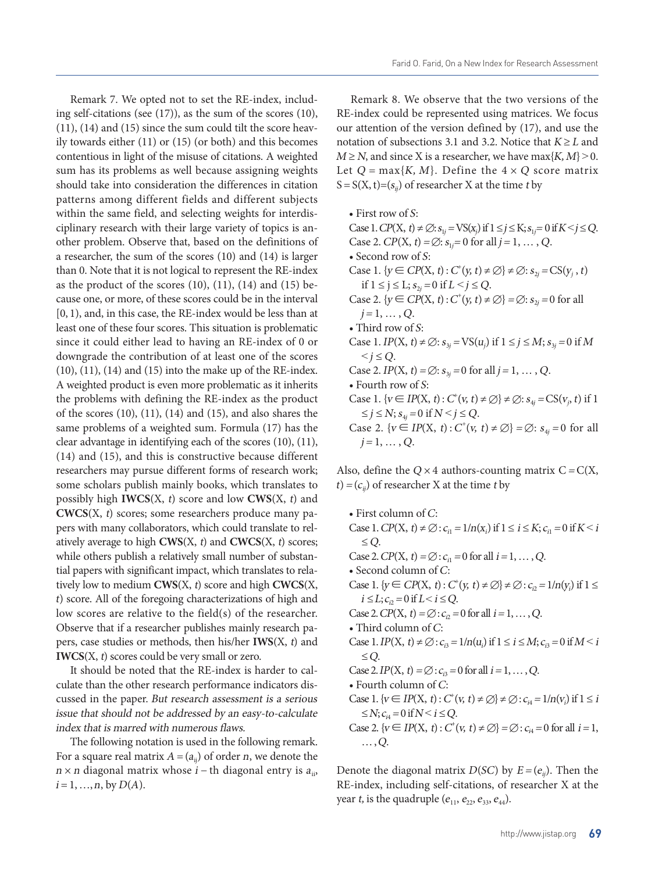Remark 7. We opted not to set the RE-index, including self-citations (see (17)), as the sum of the scores (10), (11), (14) and (15) since the sum could tilt the score heavily towards either (11) or (15) (or both) and this becomes contentious in light of the misuse of citations. A weighted sum has its problems as well because assigning weights should take into consideration the differences in citation patterns among different fields and different subjects within the same field, and selecting weights for interdisciplinary research with their large variety of topics is another problem. Observe that, based on the definitions of a researcher, the sum of the scores (10) and (14) is larger than 0. Note that it is not logical to represent the RE-index as the product of the scores  $(10)$ ,  $(11)$ ,  $(14)$  and  $(15)$  because one, or more, of these scores could be in the interval [0, 1), and, in this case, the RE-index would be less than at least one of these four scores. This situation is problematic since it could either lead to having an RE-index of 0 or downgrade the contribution of at least one of the scores (10), (11), (14) and (15) into the make up of the RE-index. A weighted product is even more problematic as it inherits the problems with defining the RE-index as the product of the scores (10), (11), (14) and (15), and also shares the same problems of a weighted sum. Formula (17) has the clear advantage in identifying each of the scores (10), (11), (14) and (15), and this is constructive because different researchers may pursue different forms of research work; some scholars publish mainly books, which translates to possibly high **IWCS**(X, t) score and low **CWS**(X, t) and **CWCS**(X, t) scores; some researchers produce many papers with many collaborators, which could translate to relatively average to high **CWS**(X, t) and **CWCS**(X, t) scores; while others publish a relatively small number of substantial papers with significant impact, which translates to relatively low to medium **CWS**(X, t) score and high **CWCS**(X, <sup>t</sup>) score. All of the foregoing characterizations of high and low scores are relative to the field(s) of the researcher. Observe that if a researcher publishes mainly research papers, case studies or methods, then his/her **IWS**(X, t) and **IWCS**(X, t) scores could be very small or zero.

It should be noted that the RE-index is harder to calculate than the other research performance indicators discussed in the paper. But research assessment is a serious issue that should not be addressed by an easy-to-calculate index that is marred with numerous flaws.

The following notation is used in the following remark. For a square real matrix  $A = (a_{ij})$  of order *n*, we denote the  $n \times n$  diagonal matrix whose  $i$  – th diagonal entry is  $a_{ii}$ ,  $i = 1, ..., n$ , by  $D(A)$ .

Remark 8. We observe that the two versions of the RE-index could be represented using matrices. We focus our attention of the version defined by (17), and use the notation of subsections 3.1 and 3.2. Notice that  $K \geq L$  and  $M \ge N$ , and since X is a researcher, we have max $\{K, M\} \ge 0$ . Let  $Q = \max\{K, M\}$ . Define the  $4 \times Q$  score matrix  $S = S(X, t) = (s_{ii})$  of researcher X at the time t by

• First row of S: Case 1.  $CP(X, t) \neq \emptyset$ :  $s_{1j} = VS(x_j)$  if  $1 \leq j \leq K$ ;  $s_{1j} = 0$  if  $K < j \leq Q$ . Case 2.  $CP(X, t) = \emptyset$ :  $s_{1j} = 0$  for all  $j = 1, ..., Q$ . • Second row of S: Case 1.  $\{y \in CP(X, t) : C^+(y, t) \neq \emptyset\} \neq \emptyset$ :  $s_{2j} = CS(y_j, t)$ if 1 ≤ j ≤ L;  $s_{2i}$  = 0 if L < j ≤ Q. Case 2.  $\{y \in CP(X, t): C^+(y, t) \neq \emptyset\} = \emptyset$ :  $s_{2j} = 0$  for all  $j = 1, \ldots, Q$ . • Third row of S: Case 1. *IP*(X, *t*) ≠ ∅:  $s_{3j}$  = VS( $u_j$ ) if  $1 \le j \le M$ ;  $s_{3j}$  = 0 if *M*  $\leq j \leq Q$ . Case 2. IP(X, t) =  $\emptyset$ :  $s_{3j} = 0$  for all j = 1, ..., Q. • Fourth row of S: Case 1.  $\{v \in IP(X, t) : C^+(v, t) \neq \emptyset\} \neq \emptyset$ :  $s_{4j} = CS(v_j, t)$  if 1  $\leq j \leq N$ ;  $s_{4j} = 0$  if  $N < j \leq Q$ . Case 2.  $\{v \in IP(X, t) : C^+(v, t) \neq \emptyset\} = \emptyset$ :  $s_{4j} = 0$  for all  $j = 1, \ldots, Q$ .

Also, define the  $Q \times 4$  authors-counting matrix  $C = C(X,$  $t$ ) = ( $c_{ii}$ ) of researcher X at the time t by

• First column of C: Case 1. *CP*(*X*, *t*) ≠  $\emptyset$  : *c*<sub>i1</sub> = 1/n(*x*<sub>i</sub>) if 1 ≤ *i* ≤ *K*; *c*<sub>i1</sub> = 0 if *K* < *i* ≤Q. Case 2.  $CP(X, t) = \emptyset$ :  $c_{i1} = 0$  for all  $i = 1, ..., Q$ . • Second column of C: Case 1.  $\{y \in CP(X, t) : C^+(y, t) \neq \emptyset\} \neq \emptyset$ :  $c_{i2} = 1/n(y_i)$  if  $1 \leq$  $i \leq L$ ;  $c_{i2} = 0$  if  $L < i \leq Q$ . Case 2.  $CP(X, t) = \emptyset$ :  $c_{i2} = 0$  for all  $i = 1, ..., Q$ . • Third column of C: Case 1. *IP*(X, *t*) ≠ ∅ :  $c_{i3} = 1/n(u_i)$  if  $1 \le i \le M$ ;  $c_{i3} = 0$  if  $M < i$ ≤Q. Case 2.  $IP(X, t) = \emptyset$ :  $c_{i3} = 0$  for all  $i = 1, ..., Q$ . • Fourth column of C: Case 1.  $\{v \in IP(X, t) : C^{\dagger}(v, t) \neq \emptyset\} \neq \emptyset$ :  $c_{i4} = 1/n(v_i)$  if  $1 \leq i$  $\leq N; c_{i4} = 0 \text{ if } N \leq i \leq Q.$ Case 2.  $\{v \in IP(X, t) : C^{\dagger}(v, t) \neq \emptyset\} = \emptyset : c_{i4} = 0$  for all  $i = 1$ ,  $\dots$ , Q.

Denote the diagonal matrix  $D(SC)$  by  $E = (e_{ij})$ . Then the RE-index, including self-citations, of researcher X at the year *t*, is the quadruple  $(e_{11}, e_{22}, e_{33}, e_{44})$ .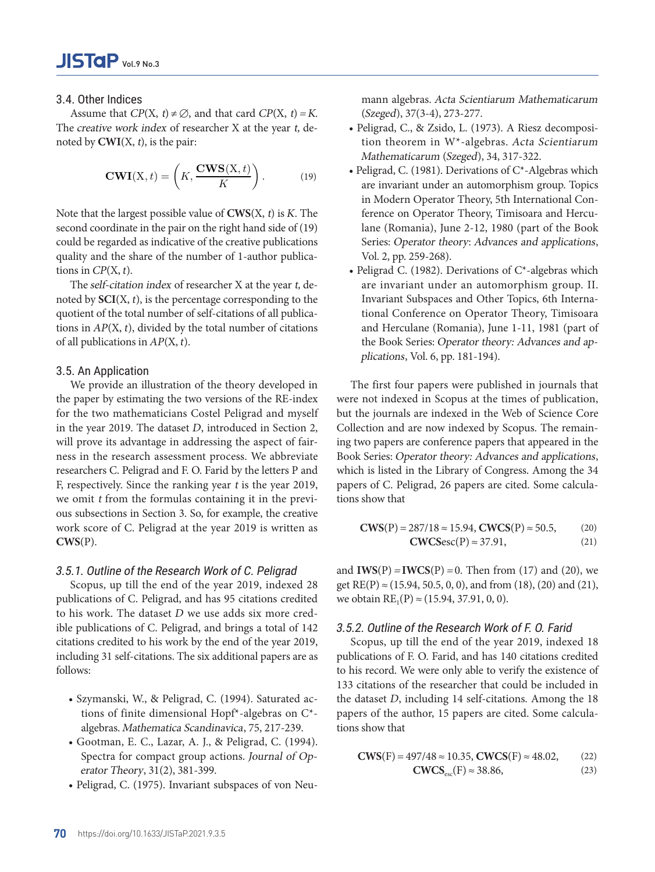# 3.4. Other Indices

Assume that  $CP(X, t) \neq \emptyset$ , and that card  $CP(X, t) = K$ . The creative work index of researcher X at the year t, de-<br>Assume that CPC(X, & Zsido noted by  $\text{CWI}(X, t)$ , is the pair:

$$
CWI(X, t) = \left(K, \frac{CWS(X, t)}{K}\right).
$$
 (19)

Note that the largest possible value of  $CWS(X, t)$  is K. The ference on Operator second coordinate in the pair on the right hand side of  $(19)$  lane (Romania), Jun  $\frac{1}{1}$ quality and the share of the number of 1-author publica- Vol. 2, pp. 259-268). could be regarded as indicative of the creative publications tions in  $CP(X, t)$ .

> 14 quotient of the total number of self-citations of all publica-The self-citation index of researcher X at the year t, denoted by **SCI**(X, t), is the percentage corresponding to the tions in  $AP(X, t)$ , divided by the total number of citations of all publications in  $AP(X, t)$ .

### 3.5. An Application

We provide an illustration of the theory developed in the paper by estimating the two versions of the RE-index for the two mathematicians Costel Peligrad and myself in the year 2019. The dataset D, introduced in Section 2, will prove its advantage in addressing the aspect of fairness in the research assessment process. We abbreviate researchers C. Peligrad and F. O. Farid by the letters P and F, respectively. Since the ranking year t is the year 2019, we omit t from the formulas containing it in the previous subsections in Section 3. So, for example, the creative work score of C. Peligrad at the year 2019 is written as **CWS**(P).

### 3.5.1. Outline of the Research Work of C. Peligrad

Scopus, up till the end of the year 2019, indexed 28 publications of C. Peligrad, and has 95 citations credited to his work. The dataset  $D$  we use adds six more credible publications of C. Peligrad, and brings a total of 142 citations credited to his work by the end of the year 2019, including 31 self-citations. The six additional papers are as follows:

- Szymanski, W., & Peligrad, C. (1994). Saturated actions of finite dimensional Hopf\*-algebras on C\* algebras. Mathematica Scandinavica, 75, 217-239.
- Gootman, E. C., Lazar, A. J., & Peligrad, C. (1994). Spectra for compact group actions. Journal of Operator Theory, 31(2), 381-399.
- Peligrad, C. (1975). Invariant subspaces of von Neu-

mann algebras. Acta Scientiarum Mathematicarum (Szeged), 37(3-4), 273-277.

- Peligrad, C., & Zsido, L. (1973). A Riesz decomposition theorem in W\*-algebras. Acta Scientiarum Mathematicarum (Szeged), 34, 317-322.
- e Peligrad, C. (1981). Derivations of C<sup>\*</sup>-Algebras which<br>
(19) are invariant under an automorphism group. Topics in Modern Operator Theory, 5th International Conference on Operator Theory, Timisoara and Herculane (Romania), June 2-12, 1980 (part of the Book Series: Operator theory: Advances and applications, Vol. 2, pp. 259-268).
- tions in  $CP(X, t)$ .  $\bullet$  Peligrad C. (1982). Derivations of C\*-algebras which are invariant under an automorphism group. II. Invariant Subspaces and Other Topics, 6th International Conference on Operator Theory, Timisoara and Herculane (Romania), June 1-11, 1981 (part of the Book Series: Operator theory: Advances and applications, Vol. 6, pp. 181-194).

The first four papers were published in journals that were not indexed in Scopus at the times of publication, but the journals are indexed in the Web of Science Core Collection and are now indexed by Scopus. The remaining two papers are conference papers that appeared in the Book Series: Operator theory: Advances and applications, which is listed in the Library of Congress. Among the 34 papers of C. Peligrad, 26 papers are cited. Some calculations show that

$$
CWS(P) = 287/18 ≈ 15.94, CWCS(P) ≈ 50.5, (20)
$$
  
\n
$$
CWCSesc(P) ≈ 37.91, (21)
$$

and **. Then from (17) and (20), we** get RE(P) ≈ (15.94, 50.5, 0, 0), and from (18), (20) and (21), we obtain  $RE_1(P) \approx (15.94, 37.91, 0, 0)$ .

### 3.5.2. Outline of the Research Work of F. O. Farid

Scopus, up till the end of the year 2019, indexed 18 publications of F. O. Farid, and has 140 citations credited to his record. We were only able to verify the existence of 133 citations of the researcher that could be included in the dataset D, including 14 self-citations. Among the 18 papers of the author, 15 papers are cited. Some calculations show that

$$
CWS(F) = 497/48 \approx 10.35, CWCS(F) \approx 48.02,
$$
 (22)  
 
$$
CWCS_{\text{esc}}(F) \approx 38.86,
$$
 (23)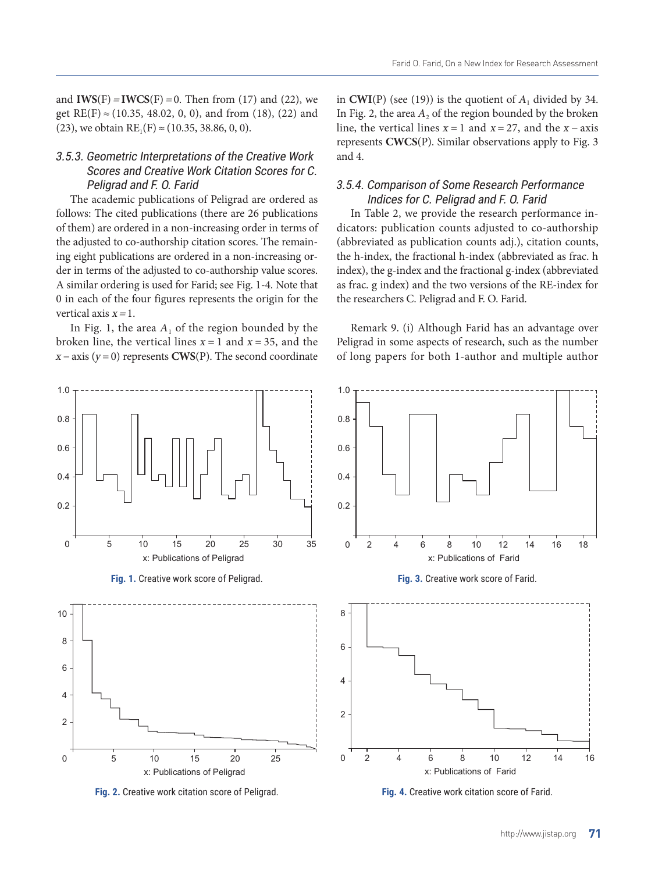and **. Then from (17) and (22), we** get  $RE(F) \approx (10.35, 48.02, 0, 0)$ , and from (18), (22) and (23), we obtain  $RE_1(F) \approx (10.35, 38.86, 0, 0)$ .

### 3.5.3. Geometric Interpretations of the Creative Work Scores and Creative Work Citation Scores for C. Peligrad and F. O. Farid

The academic publications of Peligrad are ordered as follows: The cited publications (there are 26 publications of them) are ordered in a non-increasing order in terms of the adjusted to co-authorship citation scores. The remaining eight publications are ordered in a non-increasing order in terms of the adjusted to co-authorship value scores. A similar ordering is used for Farid; see Fig. 1-4. Note that 0 in each of the four figures represents the origin for the vertical axis  $x = 1$ .

In Fig. 1, the area  $A_1$  of the region bounded by the broken line, the vertical lines  $x = 1$  and  $x = 35$ , and the  $x - axis (y = 0)$  represents **CWS**(P). The second coordinate in  $CWI(P)$  (see (19)) is the quotient of  $A_1$  divided by 34. In Fig. 2, the area  $A_2$  of the region bounded by the broken line, the vertical lines  $x = 1$  and  $x = 27$ , and the  $x - axis$ represents **CWCS**(P). Similar observations apply to Fig. 3 and 4.

### 3.5.4. Comparison of Some Research Performance Indices for C. Peligrad and F. O. Farid

In Table 2, we provide the research performance indicators: publication counts adjusted to co-authorship (abbreviated as publication counts adj.), citation counts, the h-index, the fractional h-index (abbreviated as frac. h index), the g-index and the fractional g-index (abbreviated as frac. g index) and the two versions of the RE-index for the researchers C. Peligrad and F. O. Farid.

Remark 9. (i) Although Farid has an advantage over Peligrad in some aspects of research, such as the number of long papers for both 1-author and multiple author



**Fig. 2.** Creative work citation score of Peligrad.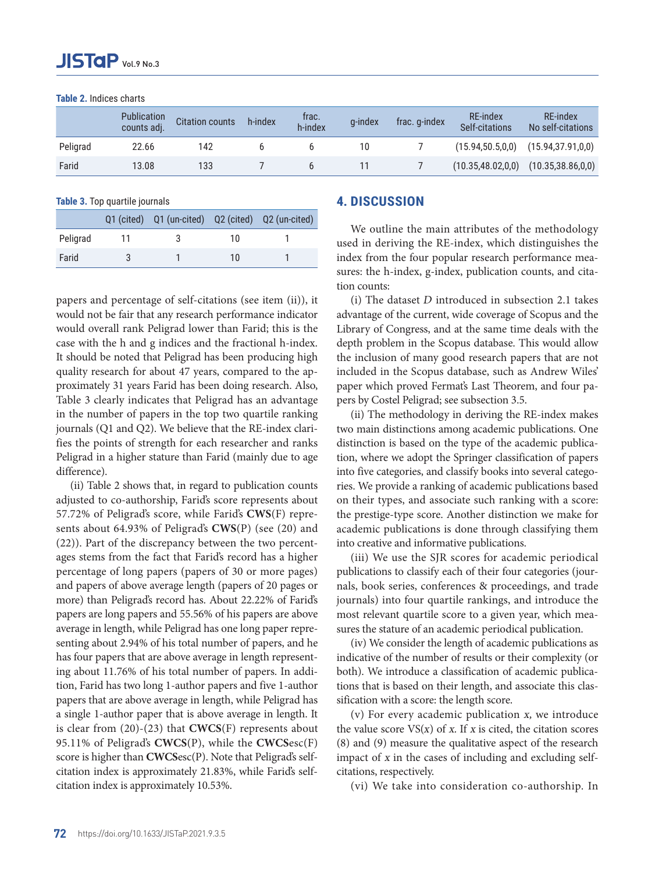**Table 2.** Indices charts

|          | <b>Publication</b><br>counts adj. | <b>Citation counts</b> | h-index | trac.<br>h-index | g-index | frac. g-index | RE-index<br>Self-citations              | RE-index<br>No self-citations |
|----------|-----------------------------------|------------------------|---------|------------------|---------|---------------|-----------------------------------------|-------------------------------|
| Peligrad | 22.66                             | 142                    |         |                  | 10      |               | (15.94, 50.5, 0, 0)                     | (15.94, 37.91, 0, 0)          |
| Farid    | 13.08                             | 133                    |         |                  |         |               | $(10.35,48.02,0,0)$ $(10.35,38.86,0,0)$ |                               |

**Table 3.** Top quartile journals

|          | Q1 (cited) Q1 (un-cited) Q2 (cited) Q2 (un-cited) |    |  |
|----------|---------------------------------------------------|----|--|
| Peligrad |                                                   | 10 |  |
| Farid    |                                                   | 10 |  |

papers and percentage of self-citations (see item (ii)), it would not be fair that any research performance indicator would overall rank Peligrad lower than Farid; this is the case with the h and g indices and the fractional h-index. It should be noted that Peligrad has been producing high quality research for about 47 years, compared to the approximately 31 years Farid has been doing research. Also, Table 3 clearly indicates that Peligrad has an advantage in the number of papers in the top two quartile ranking journals (Q1 and Q2). We believe that the RE-index clarifies the points of strength for each researcher and ranks Peligrad in a higher stature than Farid (mainly due to age difference).

(ii) Table 2 shows that, in regard to publication counts adjusted to co-authorship, Farid's score represents about 57.72% of Peligrad's score, while Farid's **CWS**(F) represents about 64.93% of Peligrad's **CWS**(P) (see (20) and (22)). Part of the discrepancy between the two percentages stems from the fact that Farid's record has a higher percentage of long papers (papers of 30 or more pages) and papers of above average length (papers of 20 pages or more) than Peligrad's record has. About 22.22% of Farid's papers are long papers and 55.56% of his papers are above average in length, while Peligrad has one long paper representing about 2.94% of his total number of papers, and he has four papers that are above average in length representing about 11.76% of his total number of papers. In addition, Farid has two long 1-author papers and five 1-author papers that are above average in length, while Peligrad has a single 1-author paper that is above average in length. It is clear from (20)-(23) that **CWCS**(F) represents about 95.11% of Peligrad's **CWCS**(P), while the **CWCS**esc(F) score is higher than **CWCS**esc(P). Note that Peligrad's selfcitation index is approximately 21.83%, while Farid's selfcitation index is approximately 10.53%.

## **4. DISCUSSION**

We outline the main attributes of the methodology used in deriving the RE-index, which distinguishes the index from the four popular research performance measures: the h-index, g-index, publication counts, and citation counts:

(i) The dataset D introduced in subsection 2.1 takes advantage of the current, wide coverage of Scopus and the Library of Congress, and at the same time deals with the depth problem in the Scopus database. This would allow the inclusion of many good research papers that are not included in the Scopus database, such as Andrew Wiles' paper which proved Fermat's Last Theorem, and four papers by Costel Peligrad; see subsection 3.5.

(ii) The methodology in deriving the RE-index makes two main distinctions among academic publications. One distinction is based on the type of the academic publication, where we adopt the Springer classification of papers into five categories, and classify books into several categories. We provide a ranking of academic publications based on their types, and associate such ranking with a score: the prestige-type score. Another distinction we make for academic publications is done through classifying them into creative and informative publications.

(iii) We use the SJR scores for academic periodical publications to classify each of their four categories (journals, book series, conferences & proceedings, and trade journals) into four quartile rankings, and introduce the most relevant quartile score to a given year, which measures the stature of an academic periodical publication.

(iv) We consider the length of academic publications as indicative of the number of results or their complexity (or both). We introduce a classification of academic publications that is based on their length, and associate this classification with a score: the length score.

(v) For every academic publication x, we introduce the value score  $VS(x)$  of x. If x is cited, the citation scores (8) and (9) measure the qualitative aspect of the research impact of x in the cases of including and excluding selfcitations, respectively.

(vi) We take into consideration co-authorship. In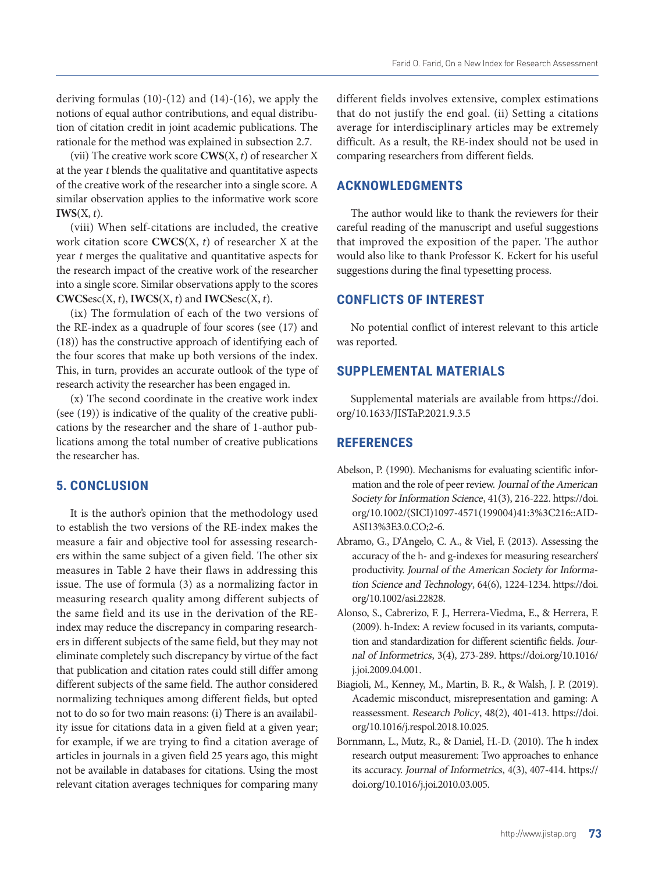deriving formulas  $(10)-(12)$  and  $(14)-(16)$ , we apply the notions of equal author contributions, and equal distribution of citation credit in joint academic publications. The rationale for the method was explained in subsection 2.7.

(vii) The creative work score **CWS**(X, t) of researcher X at the year t blends the qualitative and quantitative aspects of the creative work of the researcher into a single score. A similar observation applies to the informative work score  $$ 

(viii) When self-citations are included, the creative work citation score **CWCS**(X, t) of researcher X at the year t merges the qualitative and quantitative aspects for the research impact of the creative work of the researcher into a single score. Similar observations apply to the scores  $CWCSec(X, t)$ ,  $IWCS(X, t)$  and  $IWCSesc(X, t)$ .

(ix) The formulation of each of the two versions of the RE-index as a quadruple of four scores (see (17) and (18)) has the constructive approach of identifying each of the four scores that make up both versions of the index. This, in turn, provides an accurate outlook of the type of research activity the researcher has been engaged in.

(x) The second coordinate in the creative work index (see (19)) is indicative of the quality of the creative publications by the researcher and the share of 1-author publications among the total number of creative publications the researcher has.

### **5. CONCLUSION**

It is the author's opinion that the methodology used to establish the two versions of the RE-index makes the measure a fair and objective tool for assessing researchers within the same subject of a given field. The other six measures in Table 2 have their flaws in addressing this issue. The use of formula (3) as a normalizing factor in measuring research quality among different subjects of the same field and its use in the derivation of the REindex may reduce the discrepancy in comparing researchers in different subjects of the same field, but they may not eliminate completely such discrepancy by virtue of the fact that publication and citation rates could still differ among different subjects of the same field. The author considered normalizing techniques among different fields, but opted not to do so for two main reasons: (i) There is an availability issue for citations data in a given field at a given year; for example, if we are trying to find a citation average of articles in journals in a given field 25 years ago, this might not be available in databases for citations. Using the most relevant citation averages techniques for comparing many

different fields involves extensive, complex estimations that do not justify the end goal. (ii) Setting a citations average for interdisciplinary articles may be extremely difficult. As a result, the RE-index should not be used in comparing researchers from different fields.

### **ACKNOWLEDGMENTS**

The author would like to thank the reviewers for their careful reading of the manuscript and useful suggestions that improved the exposition of the paper. The author would also like to thank Professor K. Eckert for his useful suggestions during the final typesetting process.

### **CONFLICTS OF INTEREST**

No potential conflict of interest relevant to this article was reported.

### **SUPPLEMENTAL MATERIALS**

Supplemental materials are available from [https://doi.](https://doi.org/10.1633/JISTaP.2021.9.3.5) [org/10.1633/JISTaP.2021.9.3.5](https://doi.org/10.1633/JISTaP.2021.9.3.5)

### **REFERENCES**

- Abelson, P. (1990). Mechanisms for evaluating scientific information and the role of peer review. Journal of the American Society for Information Science, 41(3), 216-222. [https://doi.](https://doi.org/10.1002/(SICI)1097-4571(199004)41:3%3C216::AID-ASI13%3E3.0.CO;2-6) [org/10.1002/\(SICI\)1097-4571\(199004\)41:3%3C216::AID-](https://doi.org/10.1002/(SICI)1097-4571(199004)41:3%3C216::AID-ASI13%3E3.0.CO;2-6)[ASI13%3E3.0.CO;2-6](https://doi.org/10.1002/(SICI)1097-4571(199004)41:3%3C216::AID-ASI13%3E3.0.CO;2-6).
- Abramo, G., D'Angelo, C. A., & Viel, F. (2013). Assessing the accuracy of the h- and g-indexes for measuring researchers' productivity. Journal of the American Society for Information Science and Technology, 64(6), 1224-1234. [https://doi.](https://doi.org/10.1002/asi.22828) [org/10.1002/asi.22828](https://doi.org/10.1002/asi.22828).
- Alonso, S., Cabrerizo, F. J., Herrera-Viedma, E., & Herrera, F. (2009). h-Index: A review focused in its variants, computation and standardization for different scientific fields. Journal of Informetrics, 3(4), 273-289. [https://doi.org/10.1016/](https://doi.org/10.1016/j.joi.2009.04.001) [j.joi.2009.04.001](https://doi.org/10.1016/j.joi.2009.04.001).
- Biagioli, M., Kenney, M., Martin, B. R., & Walsh, J. P. (2019). Academic misconduct, misrepresentation and gaming: A reassessment. Research Policy, 48(2), 401-413. [https://doi.](https://doi.org/10.1016/j.respol.2018.10.025) [org/10.1016/j.respol.2018.10.025](https://doi.org/10.1016/j.respol.2018.10.025).
- Bornmann, L., Mutz, R., & Daniel, H.-D. (2010). The h index research output measurement: Two approaches to enhance its accuracy. Journal of Informetrics, 4(3), 407-414. [https://](https://doi.org/10.1016/j.joi.2010.03.005) [doi.org/10.1016/j.joi.2010.03.005](https://doi.org/10.1016/j.joi.2010.03.005).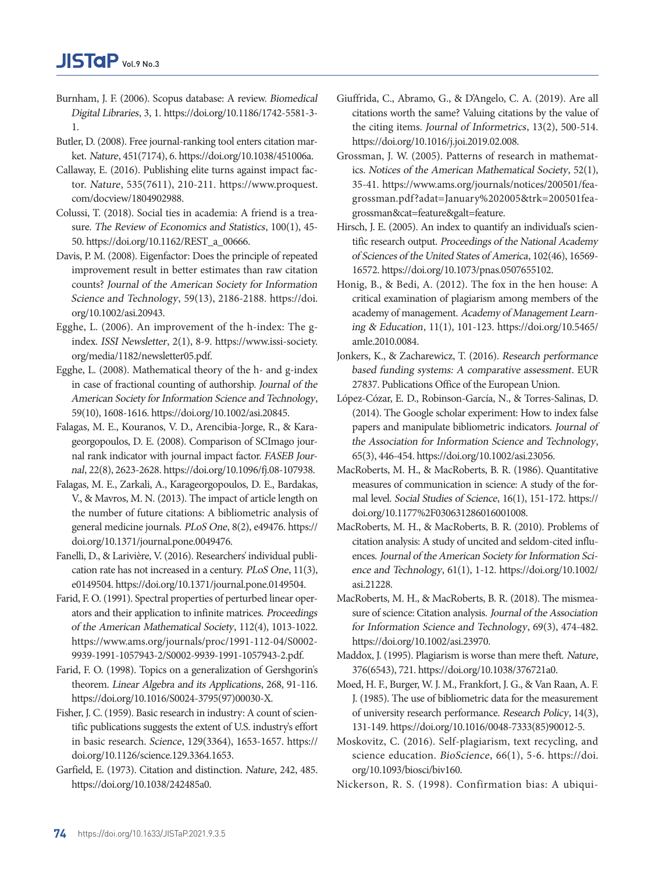- Burnham, J. F. (2006). Scopus database: A review. Biomedical Digital Libraries, 3, 1. [https://doi.org/10.1186/1742-5581-3-](https://doi.org/10.1186/1742-5581-3-1) [1.](https://doi.org/10.1186/1742-5581-3-1)
- Butler, D. (2008). Free journal-ranking tool enters citation market. Nature, 451(7174), 6. <https://doi.org/10.1038/451006a>.
- Callaway, E. (2016). Publishing elite turns against impact factor. Nature, 535(7611), 210-211. [https://www.proquest.](https://www.proquest.com/docview/1804902988) [com/docview/1804902988](https://www.proquest.com/docview/1804902988).
- Colussi, T. (2018). Social ties in academia: A friend is a treasure. The Review of Economics and Statistics, 100(1), 45- 50. [https://doi.org/10.1162/REST\\_a\\_00666](https://doi.org/10.1162/REST_a_00666).
- Davis, P. M. (2008). Eigenfactor: Does the principle of repeated improvement result in better estimates than raw citation counts? Journal of the American Society for Information Science and Technology, 59(13), 2186-2188. [https://doi.](https://doi.org/10.1002/asi.20943) [org/10.1002/asi.20943.](https://doi.org/10.1002/asi.20943)
- Egghe, L. (2006). An improvement of the h-index: The gindex. ISSI Newsletter, 2(1), 8-9. [https://www.issi-society.](https://www.issi-society.org/media/1182/newsletter05.pdf) [org/media/1182/newsletter05.pdf](https://www.issi-society.org/media/1182/newsletter05.pdf).
- Egghe, L. (2008). Mathematical theory of the h- and g-index in case of fractional counting of authorship. Journal of the American Society for Information Science and Technology, 59(10), 1608-1616. <https://doi.org/10.1002/asi.20845>.
- Falagas, M. E., Kouranos, V. D., Arencibia-Jorge, R., & Karageorgopoulos, D. E. (2008). Comparison of SCImago journal rank indicator with journal impact factor. FASEB Journal, 22(8), 2623-2628. [https://doi.org/10.1096/fj.08-107938.](https://doi.org/10.1096/fj.08-107938)
- Falagas, M. E., Zarkali, A., Karageorgopoulos, D. E., Bardakas, V., & Mavros, M. N. (2013). The impact of article length on the number of future citations: A bibliometric analysis of general medicine journals. PLoS One, 8(2), e49476. [https://](https://doi.org/10.1371/journal.pone.0049476) [doi.org/10.1371/journal.pone.0049476](https://doi.org/10.1371/journal.pone.0049476).
- Fanelli, D., & Larivière, V. (2016). Researchers' individual publication rate has not increased in a century. PLoS One, 11(3), e0149504.<https://doi.org/10.1371/journal.pone.0149504>.
- Farid, F. O. (1991). Spectral properties of perturbed linear operators and their application to infinite matrices. Proceedings of the American Mathematical Society, 112(4), 1013-1022. [https://www.ams.org/journals/proc/1991-112-04/S0002-](https://www.ams.org/journals/proc/1991-112-04/S0002-9939-1991-1057943-2/S0002-9939-1991-1057943-2.pdf) [9939-1991-1057943-2/S0002-9939-1991-1057943-2.pdf.](https://www.ams.org/journals/proc/1991-112-04/S0002-9939-1991-1057943-2/S0002-9939-1991-1057943-2.pdf)
- Farid, F. O. (1998). Topics on a generalization of Gershgorin's theorem. Linear Algebra and its Applications, 268, 91-116. [https://doi.org/10.1016/S0024-3795\(97\)00030-X](https://doi.org/10.1016/S0024-3795(97)00030-X).
- Fisher, J. C. (1959). Basic research in industry: A count of scientific publications suggests the extent of U.S. industry's effort in basic research. Science, 129(3364), 1653-1657. [https://](https://doi.org/10.1126/science.129.3364.1653) [doi.org/10.1126/science.129.3364.1653](https://doi.org/10.1126/science.129.3364.1653).
- Garfield, E. (1973). Citation and distinction. Nature, 242, 485. <https://doi.org/10.1038/242485a0>.
- Giuffrida, C., Abramo, G., & D'Angelo, C. A. (2019). Are all citations worth the same? Valuing citations by the value of the citing items. Journal of Informetrics, 13(2), 500-514. <https://doi.org/10.1016/j.joi.2019.02.008>.
- Grossman, J. W. (2005). Patterns of research in mathematics. Notices of the American Mathematical Society, 52(1), 35-41. [https://www.ams.org/journals/notices/200501/fea](https://www.ams.org/journals/notices/200501/fea-grossman.pdf?adat=January 2005&trk=200501fea-grossman&cat=feature&galt=feature)[grossman.pdf?adat=January%202005&trk=200501fea](https://www.ams.org/journals/notices/200501/fea-grossman.pdf?adat=January 2005&trk=200501fea-grossman&cat=feature&galt=feature)[grossman&cat=feature&galt=feature](https://www.ams.org/journals/notices/200501/fea-grossman.pdf?adat=January 2005&trk=200501fea-grossman&cat=feature&galt=feature).
- Hirsch, J. E. (2005). An index to quantify an individual's scientific research output. Proceedings of the National Academy of Sciences of the United States of America, 102(46), 16569- 16572.<https://doi.org/10.1073/pnas.0507655102>.
- Honig, B., & Bedi, A. (2012). The fox in the hen house: A critical examination of plagiarism among members of the academy of management. Academy of Management Learning & Education, 11(1), 101-123. [https://doi.org/10.5465/](https://doi.org/10.5465/amle.2010.0084) [amle.2010.0084](https://doi.org/10.5465/amle.2010.0084).
- [Jonkers, K., & Zacharewicz, T. \(2016\).](https://doi.org/10.2760/70120) Research performance [based funding systems: A comparative assessment](https://doi.org/10.2760/70120). EUR [27837. Publications Office of the European Union](https://doi.org/10.2760/70120).
- López-Cózar, E. D., Robinson-García, N., & Torres-Salinas, D. (2014). The Google scholar experiment: How to index false papers and manipulate bibliometric indicators. Journal of the Association for Information Science and Technology, 65(3), 446-454. [https://doi.org/10.1002/asi.23056.](https://doi.org/10.1002/asi.23056)
- MacRoberts, M. H., & MacRoberts, B. R. (1986). Quantitative measures of communication in science: A study of the formal level. Social Studies of Science, 16(1), 151-172. [https://](https://doi.org/10.1177%2F030631286016001008) [doi.org/10.1177%2F030631286016001008](https://doi.org/10.1177%2F030631286016001008).
- MacRoberts, M. H., & MacRoberts, B. R. (2010). Problems of citation analysis: A study of uncited and seldom-cited influences. Journal of the American Society for Information Science and Technology, 61(1), 1-12. [https://doi.org/10.1002/](https://doi.org/10.1002/asi.21228) [asi.21228.](https://doi.org/10.1002/asi.21228)
- MacRoberts, M. H., & MacRoberts, B. R. (2018). The mismeasure of science: Citation analysis. Journal of the Association for Information Science and Technology, 69(3), 474-482. <https://doi.org/10.1002/asi.23970>.
- Maddox, J. (1995). Plagiarism is worse than mere theft. Nature, 376(6543), 721.<https://doi.org/10.1038/376721a0>.
- Moed, H. F., Burger, W. J. M., Frankfort, J. G., & Van Raan, A. F. J. (1985). The use of bibliometric data for the measurement of university research performance. Research Policy, 14(3), 131-149. [https://doi.org/10.1016/0048-7333\(85\)90012-5.](https://doi.org/10.1016/0048-7333(85)90012-5)
- Moskovitz, C. (2016). Self-plagiarism, text recycling, and science education. BioScience, 66(1), 5-6. [https://doi.](https://doi.org/10.1093/biosci/biv160) [org/10.1093/biosci/biv160](https://doi.org/10.1093/biosci/biv160).
- Nickerson, R. S. (1998). Confirmation bias: A ubiqui-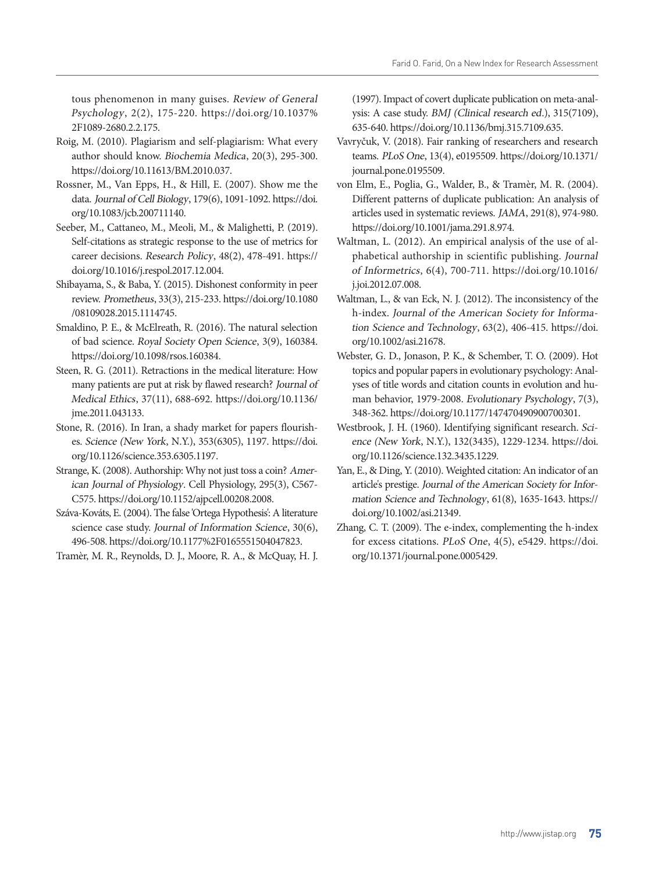tous phenomenon in many guises. Review of General Psychology, 2(2), 175-220. [https://doi.org/10.1037%](https://doi.org/10.1037%2F1089-2680.2.2.175) [2F1089-2680.2.2.175](https://doi.org/10.1037%2F1089-2680.2.2.175).

- Roig, M. (2010). Plagiarism and self-plagiarism: What every author should know. Biochemia Medica, 20(3), 295-300. [https://doi.org/10.11613/BM.2010.037.](https://doi.org/10.11613/BM.2010.037)
- Rossner, M., Van Epps, H., & Hill, E. (2007). Show me the data. Journal of Cell Biology, 179(6), 1091-1092. [https://doi.](https://doi.org/10.1083/jcb.200711140) [org/10.1083/jcb.200711140](https://doi.org/10.1083/jcb.200711140).
- Seeber, M., Cattaneo, M., Meoli, M., & Malighetti, P. (2019). Self-citations as strategic response to the use of metrics for career decisions. Research Policy, 48(2), 478-491. [https://](https://doi.org/10.1016/j.respol.2017.12.004) [doi.org/10.1016/j.respol.2017.12.004](https://doi.org/10.1016/j.respol.2017.12.004).
- Shibayama, S., & Baba, Y. (2015). Dishonest conformity in peer review. Prometheus, 33(3), 215-233. [https://doi.org/10.1080](https://doi.org/10.1080/08109028.2015.1114745) [/08109028.2015.1114745.](https://doi.org/10.1080/08109028.2015.1114745)
- Smaldino, P. E., & McElreath, R. (2016). The natural selection of bad science. Royal Society Open Science, 3(9), 160384. [https://doi.org/10.1098/rsos.160384.](https://doi.org/10.1098/rsos.160384)
- Steen, R. G. (2011). Retractions in the medical literature: How many patients are put at risk by flawed research? Journal of Medical Ethics, 37(11), 688-692. [https://doi.org/10.1136/](https://doi.org/10.1136/jme.2011.043133) [jme.2011.043133.](https://doi.org/10.1136/jme.2011.043133)
- Stone, R. (2016). In Iran, a shady market for papers flourishes. Science (New York, N.Y.), 353(6305), 1197. [https://doi.](https://doi.org/10.1126/science.353.6305.1197) [org/10.1126/science.353.6305.1197](https://doi.org/10.1126/science.353.6305.1197).
- Strange, K. (2008). Authorship: Why not just toss a coin? American Journal of Physiology. Cell Physiology, 295(3), C567- C575.<https://doi.org/10.1152/ajpcell.00208.2008>.
- Száva-Kováts, E. (2004). The false 'Ortega Hypothesis': A literature science case study. Journal of Information Science, 30(6), 496-508. [https://doi.org/10.1177%2F0165551504047823.](https://doi.org/10.1177%2F0165551504047823)

Tramèr, M. R., Reynolds, D. J., Moore, R. A., & McQuay, H. J.

(1997). Impact of covert duplicate publication on meta-analysis: A case study. BMJ (Clinical research ed.), 315(7109), 635-640.<https://doi.org/10.1136/bmj.315.7109.635>.

- Vavryčuk, V. (2018). Fair ranking of researchers and research teams. PLoS One, 13(4), e0195509. [https://doi.org/10.1371/](https://doi.org/10.1371/journal.pone.0195509) [journal.pone.0195509](https://doi.org/10.1371/journal.pone.0195509).
- von Elm, E., Poglia, G., Walder, B., & Tramèr, M. R. (2004). Different patterns of duplicate publication: An analysis of articles used in systematic reviews. JAMA, 291(8), 974-980. [https://doi.org/10.1001/jama.291.8.974.](https://doi.org/10.1001/jama.291.8.974)
- Waltman, L. (2012). An empirical analysis of the use of alphabetical authorship in scientific publishing. Journal of Informetrics, 6(4), 700-711. [https://doi.org/10.1016/](https://doi.org/10.1016/j.joi.2012.07.008) [j.joi.2012.07.008](https://doi.org/10.1016/j.joi.2012.07.008).
- Waltman, L., & van Eck, N. J. (2012). The inconsistency of the h-index. Journal of the American Society for Information Science and Technology, 63(2), 406-415. [https://doi.](https://doi.org/10.1002/asi.21678) [org/10.1002/asi.21678.](https://doi.org/10.1002/asi.21678)
- Webster, G. D., Jonason, P. K., & Schember, T. O. (2009). Hot topics and popular papers in evolutionary psychology: Analyses of title words and citation counts in evolution and human behavior, 1979-2008. Evolutionary Psychology, 7(3), 348-362. [https://doi.org/10.1177/147470490900700301.](https://doi.org/10.1177/147470490900700301)
- Westbrook, J. H. (1960). Identifying significant research. Science (New York, N.Y.), 132(3435), 1229-1234. [https://doi.](https://doi.org/10.1126/science.132.3435.1229) [org/10.1126/science.132.3435.1229](https://doi.org/10.1126/science.132.3435.1229).
- Yan, E., & Ding, Y. (2010). Weighted citation: An indicator of an article's prestige. Journal of the American Society for Information Science and Technology, 61(8), 1635-1643. [https://](https://doi.org/10.1002/asi.21349) [doi.org/10.1002/asi.21349](https://doi.org/10.1002/asi.21349).
- Zhang, C. T. (2009). The e-index, complementing the h-index for excess citations. PLoS One, 4(5), e5429. [https://doi.](https://doi.org/10.1371/journal.pone.0005429) [org/10.1371/journal.pone.0005429](https://doi.org/10.1371/journal.pone.0005429).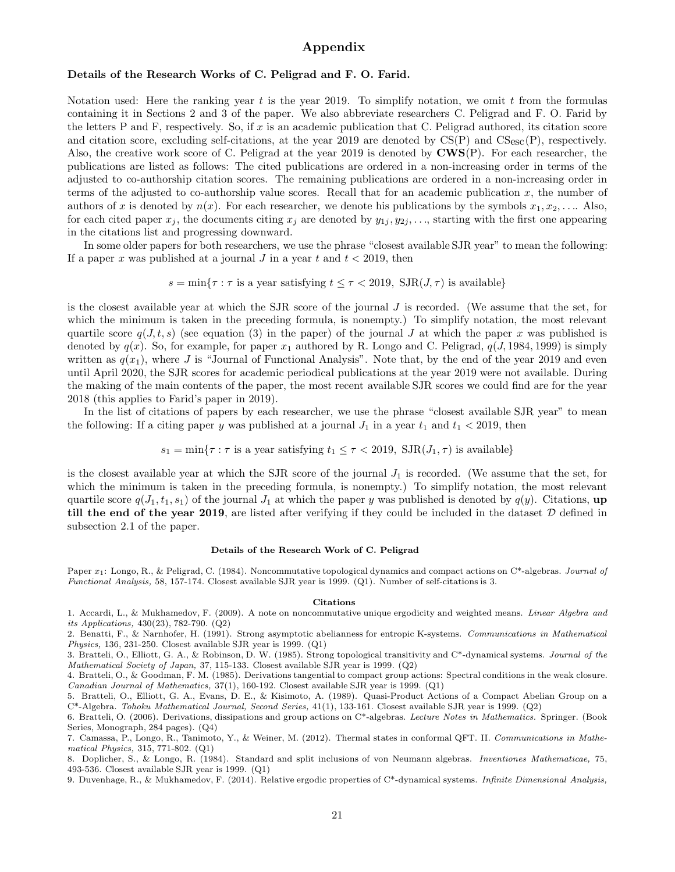### Appendix

### Details of the Research Works of C. Peligrad and F. O. Farid.

Notation used: Here the ranking year t is the year 2019. To simplify notation, we omit t from the formulas containing it in Sections 2 and 3 of the paper. We also abbreviate researchers C. Peligrad and F. O. Farid by the letters P and F, respectively. So, if x is an academic publication that C. Peligrad authored, its citation score and citation score, excluding self-citations, at the year 2019 are denoted by  $\text{CS}(P)$  and  $\text{CS}_{\text{esc}}(P)$ , respectively. Also, the creative work score of C. Peligrad at the year 2019 is denoted by CWS(P). For each researcher, the publications are listed as follows: The cited publications are ordered in a non-increasing order in terms of the adjusted to co-authorship citation scores. The remaining publications are ordered in a non-increasing order in terms of the adjusted to co-authorship value scores. Recall that for an academic publication x, the number of authors of x is denoted by  $n(x)$ . For each researcher, we denote his publications by the symbols  $x_1, x_2, \ldots$  Also, for each cited paper  $x_j$ , the documents citing  $x_j$  are denoted by  $y_{1j}, y_{2j}, \ldots$ , starting with the first one appearing in the citations list and progressing downward.

In some older papers for both researchers, we use the phrase "closest available SJR year" to mean the following: If a paper x was published at a journal J in a year t and  $t < 2019$ , then

$$
s = \min\{\tau : \tau \text{ is a year satisfying } t \leq \tau < 2019, \text{ SJR}(J, \tau) \text{ is available}\}\
$$

is the closest available year at which the SJR score of the journal J is recorded. (We assume that the set, for which the minimum is taken in the preceding formula, is nonempty.) To simplify notation, the most relevant quartile score  $q(J, t, s)$  (see equation (3) in the paper) of the journal J at which the paper x was published is denoted by  $q(x)$ . So, for example, for paper  $x_1$  authored by R. Longo and C. Peligrad,  $q(J, 1984, 1999)$  is simply written as  $q(x_1)$ , where J is "Journal of Functional Analysis". Note that, by the end of the year 2019 and even until April 2020, the SJR scores for academic periodical publications at the year 2019 were not available. During the making of the main contents of the paper, the most recent available SJR scores we could find are for the year 2018 (this applies to Farid's paper in 2019).

In the list of citations of papers by each researcher, we use the phrase "closest available SJR year" to mean the following: If a citing paper y was published at a journal  $J_1$  in a year  $t_1$  and  $t_1 < 2019$ , then

$$
s_1 = \min\{\tau : \tau \text{ is a year satisfying } t_1 \leq \tau < 2019, \text{ SJR}(J_1, \tau) \text{ is available}\}
$$

is the closest available year at which the SJR score of the journal  $J_1$  is recorded. (We assume that the set, for which the minimum is taken in the preceding formula, is nonempty.) To simplify notation, the most relevant quartile score  $q(J_1, t_1, s_1)$  of the journal  $J_1$  at which the paper y was published is denoted by  $q(y)$ . Citations, up till the end of the year 2019, are listed after verifying if they could be included in the dataset  $D$  defined in subsection 2.1 of the paper.

#### Details of the Research Work of C. Peligrad

Paper  $x_1$ : Longo, R., & Peligrad, C. (1984). Noncommutative topological dynamics and compact actions on C\*-algebras. Journal of Functional Analysis, 58, 157-174. Closest available SJR year is 1999. (Q1). Number of self-citations is 3.

#### Citations

1. Accardi, L., & Mukhamedov, F. (2009). A note on noncommutative unique ergodicity and weighted means. Linear Algebra and its Applications, 430(23), 782-790. (Q2)

2. Benatti, F., & Narnhofer, H. (1991). Strong asymptotic abelianness for entropic K-systems. Communications in Mathematical Physics, 136, 231-250. Closest available SJR year is 1999. (Q1)

3. Bratteli, O., Elliott, G. A., & Robinson, D. W. (1985). Strong topological transitivity and C\*-dynamical systems. Journal of the Mathematical Society of Japan, 37, 115-133. Closest available SJR year is 1999. (Q2)

4. Bratteli, O., & Goodman, F. M. (1985). Derivations tangential to compact group actions: Spectral conditions in the weak closure. Canadian Journal of Mathematics, 37(1), 160-192. Closest available SJR year is 1999. (Q1)

5. Bratteli, O., Elliott, G. A., Evans, D. E., & Kisimoto, A. (1989). Quasi-Product Actions of a Compact Abelian Group on a C\*-Algebra. Tohoku Mathematical Journal, Second Series, 41(1), 133-161. Closest available SJR year is 1999. (Q2)

6. Bratteli, O. (2006). Derivations, dissipations and group actions on C\*-algebras. Lecture Notes in Mathematics. Springer. (Book Series, Monograph, 284 pages). (Q4)

7. Camassa, P., Longo, R., Tanimoto, Y., & Weiner, M. (2012). Thermal states in conformal QFT. II. Communications in Mathematical Physics, 315, 771-802. (Q1)

8. Doplicher, S., & Longo, R. (1984). Standard and split inclusions of von Neumann algebras. Inventiones Mathematicae, 75, 493-536. Closest available SJR year is 1999. (Q1)

9. Duvenhage, R., & Mukhamedov, F. (2014). Relative ergodic properties of C\*-dynamical systems. Infinite Dimensional Analysis,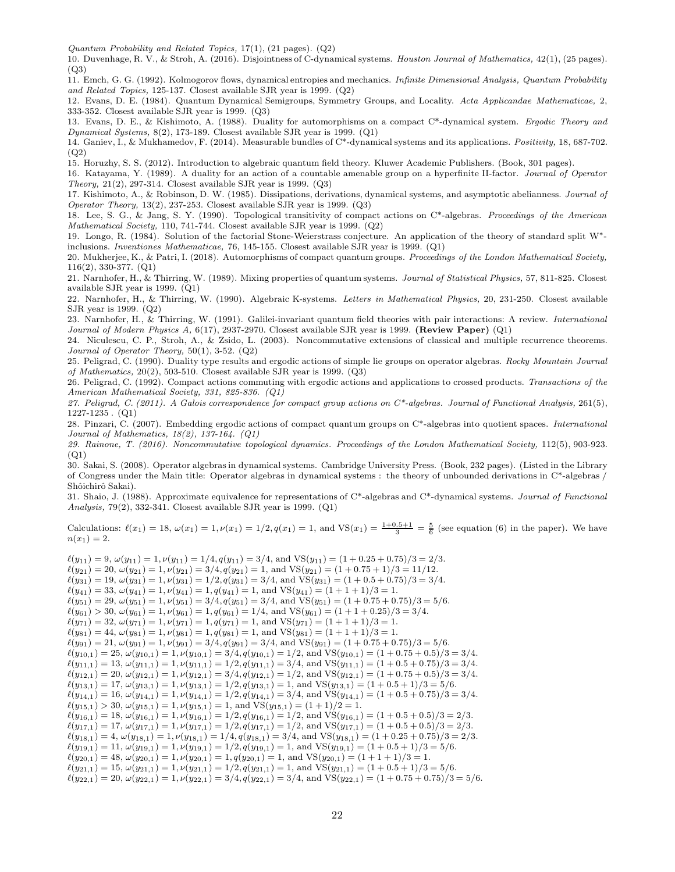Quantum Probability and Related Topics, 17(1), (21 pages). (Q2)

10. Duvenhage, R. V., & Stroh, A. (2016). Disjointness of C-dynamical systems. Houston Journal of Mathematics, 42(1), (25 pages).  $(O3)$ 

11. Emch, G. G. (1992). Kolmogorov flows, dynamical entropies and mechanics. Infinite Dimensional Analysis, Quantum Probability and Related Topics, 125-137. Closest available SJR year is 1999. (Q2)

12. Evans, D. E. (1984). Quantum Dynamical Semigroups, Symmetry Groups, and Locality. Acta Applicandae Mathematicae, 2, 333-352. Closest available SJR year is 1999. (Q3)

13. Evans, D. E., & Kishimoto, A. (1988). Duality for automorphisms on a compact C\*-dynamical system. Ergodic Theory and Dynamical Systems, 8(2), 173-189. Closest available SJR year is 1999. (Q1)

14. Ganiev, I., & Mukhamedov, F. (2014). Measurable bundles of C\*-dynamical systems and its applications. Positivity, 18, 687-702. (Q2)

15. Horuzhy, S. S. (2012). Introduction to algebraic quantum field theory. Kluwer Academic Publishers. (Book, 301 pages).

16. Katayama, Y. (1989). A duality for an action of a countable amenable group on a hyperfinite II-factor. Journal of Operator Theory, 21(2), 297-314. Closest available SJR year is 1999. (Q3)

17. Kishimoto, A., & Robinson, D. W. (1985). Dissipations, derivations, dynamical systems, and asymptotic abelianness. Journal of Operator Theory, 13(2), 237-253. Closest available SJR year is 1999. (Q3)

18. Lee, S. G., & Jang, S. Y. (1990). Topological transitivity of compact actions on C\*-algebras. Proceedings of the American Mathematical Society, 110, 741-744. Closest available SJR year is 1999. (Q2)

19. Longo, R. (1984). Solution of the factorial Stone-Weierstrass conjecture. An application of the theory of standard split W<sup>∗</sup> inclusions. Inventiones Mathematicae, 76, 145-155. Closest available SJR year is 1999. (Q1)

20. Mukherjee, K., & Patri, I. (2018). Automorphisms of compact quantum groups. Proceedings of the London Mathematical Society, 116(2), 330-377. (Q1)

21. Narnhofer, H., & Thirring, W. (1989). Mixing properties of quantum systems. Journal of Statistical Physics, 57, 811-825. Closest available SJR year is 1999. (Q1)

22. Narnhofer, H., & Thirring, W. (1990). Algebraic K-systems. Letters in Mathematical Physics, 20, 231-250. Closest available SJR year is 1999. (Q2)

23. Narnhofer, H., & Thirring, W. (1991). Galilei-invariant quantum field theories with pair interactions: A review. International Journal of Modern Physics A,  $6(17)$ , 2937-2970. Closest available SJR year is 1999. (**Review Paper**) (Q1)

24. Niculescu, C. P., Stroh, A., & Zsido, L. (2003). Noncommutative extensions of classical and multiple recurrence theorems. Journal of Operator Theory, 50(1), 3-52. (Q2)

25. Peligrad, C. (1990). Duality type results and ergodic actions of simple lie groups on operator algebras. Rocky Mountain Journal of Mathematics, 20(2), 503-510. Closest available SJR year is 1999. (Q3)

26. Peligrad, C. (1992). Compact actions commuting with ergodic actions and applications to crossed products. Transactions of the American Mathematical Society, 331, 825-836. (Q1)

27. Peligrad, C. (2011). A Galois correspondence for compact group actions on  $C^*$ -algebras. Journal of Functional Analysis, 261(5), 1227-1235 . (Q1)

28. Pinzari, C. (2007). Embedding ergodic actions of compact quantum groups on C\*-algebras into quotient spaces. International Journal of Mathematics, 18(2), 137-164. (Q1)

29. Rainone, T. (2016). Noncommutative topological dynamics. Proceedings of the London Mathematical Society, 112(5), 903-923. (Q1)

30. Sakai, S. (2008). Operator algebras in dynamical systems. Cambridge University Press. (Book, 232 pages). (Listed in the Library of Congress under the Main title: Operator algebras in dynamical systems : the theory of unbounded derivations in C\*-algebras / Shôichirô Sakai).

31. Shaio, J. (1988). Approximate equivalence for representations of C\*-algebras and C\*-dynamical systems. Journal of Functional Analysis, 79(2), 332-341. Closest available SJR year is 1999. (Q1)

Calculations:  $\ell(x_1) = 18$ ,  $\omega(x_1) = 1$ ,  $\nu(x_1) = 1/2$ ,  $q(x_1) = 1$ , and  $VS(x_1) = \frac{1+0.5+1}{3} = \frac{5}{6}$  (see equation (6) in the paper). We have  $n(x_1) = 2.$ 

 $\ell(y_{11}) = 9, \omega(y_{11}) = 1, \nu(y_{11}) = 1/4, q(y_{11}) = 3/4$ , and  $VS(y_{11}) = (1 + 0.25 + 0.75)/3 = 2/3$ .  $\ell(y_{21}) = 20, \omega(y_{21}) = 1, \nu(y_{21}) = 3/4, q(y_{21}) = 1, \text{ and } \text{VS}(y_{21}) = (1 + 0.75 + 1)/3 = 11/12.$  $\ell(y_{31}) = 19, \omega(y_{31}) = 1, \nu(y_{31}) = 1/2, q(y_{31}) = 3/4$ , and VS $(y_{31}) = (1 + 0.5 + 0.75)/3 = 3/4$ .  $\ell(y_{41}) = 33, \, \omega(y_{41}) = 1, \nu(y_{41}) = 1, q(y_{41}) = 1, \text{ and } \text{VS}(y_{41}) = (1 + 1 + 1)/3 = 1.$  $\ell(y_{51}) = 29, \omega(y_{51}) = 1, \nu(y_{51}) = 3/4, q(y_{51}) = 3/4$ , and  $VS(y_{51}) = (1 + 0.75 + 0.75)/3 = 5/6$ .  $\ell(y_{61}) > 30, \omega(y_{61}) = 1, \nu(y_{61}) = 1, q(y_{61}) = 1/4, \text{ and } \text{VS}(y_{61}) = (1 + 1 + 0.25)/3 = 3/4.$  $\ell(y_{71}) = 32, \ \omega(y_{71}) = 1, \nu(y_{71}) = 1, q(y_{71}) = 1,$  and  $VS(y_{71}) = (1 + 1 + 1)/3 = 1.$  $\ell(y_{81}) = 44, \ \omega(y_{81}) = 1, \nu(y_{81}) = 1, q(y_{81}) = 1, \text{ and } \text{VS}(y_{81}) = (1 + 1 + 1)/3 = 1.$  $\ell(y_{91}) = 21, \ \omega(y_{91}) = 1, \ \nu(y_{91}) = 3/4, q(y_{91}) = 3/4, \text{ and } \text{VS}(y_{91}) = (1 + 0.75 + 0.75)/3 = 5/6.$  $\ell(y_{10,1}) = 25, \omega(y_{10,1}) = 1, \nu(y_{10,1}) = 3/4, q(y_{10,1}) = 1/2, \text{ and } \text{VS}(y_{10,1}) = (1 + 0.75 + 0.5)/3 = 3/4.$  $\ell(y_{11,1}) = 13, \omega(y_{11,1}) = 1, \nu(y_{11,1}) = 1/2, q(y_{11,1}) = 3/4$ , and  $VS(y_{11,1}) = (1 + 0.5 + 0.75)/3 = 3/4$ .  $\ell(y_{12,1}) = 20, \omega(y_{12,1}) = 1, \nu(y_{12,1}) = 3/4, q(y_{12,1}) = 1/2, \text{ and } \text{VS}(y_{12,1}) = (1 + 0.75 + 0.5)/3 = 3/4.$  $\ell(y_{13,1}) = 17, \omega(y_{13,1}) = 1, \nu(y_{13,1}) = 1/2, q(y_{13,1}) = 1,$  and  $VS(y_{13,1}) = (1 + 0.5 + 1)/3 = 5/6.$  $\ell(y_{14,1}) = 16, \omega(y_{14,1}) = 1, \nu(y_{14,1}) = 1/2, q(y_{14,1}) = 3/4, \text{ and } \text{VS}(y_{14,1}) = (1 + 0.5 + 0.75)/3 = 3/4.$  $\ell(y_{15,1}) > 30, \omega(y_{15,1}) = 1, \nu(y_{15,1}) = 1, \text{ and } \text{VS}(y_{15,1}) = (1+1)/2 = 1.$  $\ell(y_{16,1}) = 18$ ,  $\omega(y_{16,1}) = 1$ ,  $\nu(y_{16,1}) = 1/2$ ,  $q(y_{16,1}) = 1/2$ , and VS $(y_{16,1}) = (1 + 0.5 + 0.5)/3 = 2/3$ .  $\ell(y_{17,1}) = 17, \omega(y_{17,1}) = 1, \nu(y_{17,1}) = 1/2, q(y_{17,1}) = 1/2$ , and VS $(y_{17,1}) = (1 + 0.5 + 0.5)/3 = 2/3$ .  $\ell(y_{18,1}) = 4, \omega(y_{18,1}) = 1, \nu(y_{18,1}) = 1/4, q(y_{18,1}) = 3/4$ , and  $VS(y_{18,1}) = (1 + 0.25 + 0.75)/3 = 2/3$ .  $\ell(y_{19,1}) = 11, \, \omega(y_{19,1}) = 1, \nu(y_{19,1}) = 1/2, q(y_{19,1}) = 1, \text{ and } \text{VS}(y_{19,1}) = (1 + 0.5 + 1)/3 = 5/6.$  $\ell(y_{20,1}) = 48$ ,  $\omega(y_{20,1}) = 1$ ,  $\nu(y_{20,1}) = 1$ ,  $q(y_{20,1}) = 1$ , and  $VS(y_{20,1}) = (1 + 1 + 1)/3 = 1$ .  $\ell(y_{21,1}) = 15, \omega(y_{21,1}) = 1, \nu(y_{21,1}) = 1/2, q(y_{21,1}) = 1$ , and  $VS(y_{21,1}) = (1 + 0.5 + 1)/3 = 5/6$ .  $\ell(y_{22,1}) = 20, \omega(y_{22,1}) = 1, \nu(y_{22,1}) = 3/4, q(y_{22,1}) = 3/4$ , and  $VS(y_{22,1}) = (1 + 0.75 + 0.75)/3 = 5/6$ .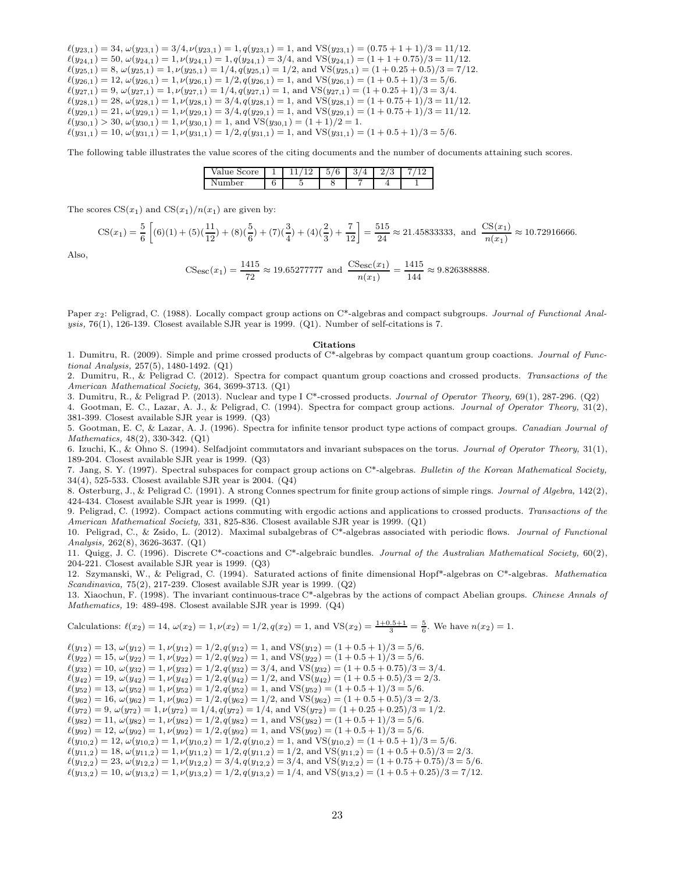$\ell(y_{23,1}) = 34, \omega(y_{23,1}) = 3/4, \nu(y_{23,1}) = 1, q(y_{23,1}) = 1,$  and  $VS(y_{23,1}) = (0.75 + 1 + 1)/3 = 11/12.$  $\ell(y_{24,1}) = 50, \omega(y_{24,1}) = 1, \nu(y_{24,1}) = 1, q(y_{24,1}) = 3/4$ , and  $VS(y_{24,1}) = (1 + 1 + 0.75)/3 = 11/12$ .  $\ell(y_{25,1}) = 8$ ,  $\omega(y_{25,1}) = 1$ ,  $\nu(y_{25,1}) = 1/4$ ,  $q(y_{25,1}) = 1/2$ , and VS $(y_{25,1}) = (1 + 0.25 + 0.5)/3 = 7/12$ .  $\ell(y_{26,1}) = 12, \omega(y_{26,1}) = 1, \nu(y_{26,1}) = 1/2, q(y_{26,1}) = 1, \text{ and } \text{VS}(y_{26,1}) = (1 + 0.5 + 1)/3 = 5/6.$  $\ell(y_{27,1}) = 9, \ \omega(y_{27,1}) = 1, \nu(y_{27,1}) = 1/4, q(y_{27,1}) = 1, \text{ and } \text{VS}(y_{27,1}) = (1 + 0.25 + 1)/3 = 3/4.$  $\ell(y_{28,1}) = 28$ ,  $\omega(y_{28,1}) = 1$ ,  $\nu(y_{28,1}) = 3/4$ ,  $q(y_{28,1}) = 1$ , and  $VS(y_{28,1}) = (1 + 0.75 + 1)/3 = 11/12$ .  $\ell(y_{29,1}) = 21, \omega(y_{29,1}) = 1, \nu(y_{29,1}) = 3/4, q(y_{29,1}) = 1, \text{ and } \text{VS}(y_{29,1}) = (1 + 0.75 + 1)/3 = 11/12.$  $\ell(y_{30,1}) > 30, \, \omega(y_{30,1}) = 1, \, \nu(y_{30,1}) = 1, \text{ and } \text{VS}(y_{30,1}) = (1+1)/2 = 1.$  $\ell(y_{31,1}) = 10, \omega(y_{31,1}) = 1, \nu(y_{31,1}) = 1/2, q(y_{31,1}) = 1, \text{ and } \text{VS}(y_{31,1}) = (1 + 0.5 + 1)/3 = 5/6.$ 

The following table illustrates the value scores of the citing documents and the number of documents attaining such scores.

| $r_{\mathbf{C}}$<br>ʻal<br>u<br>21 U<br>ັ |  | -<br>ь<br>◡<br>v | ິ<br>ບ | ಀ<br>- |  |
|-------------------------------------------|--|------------------|--------|--------|--|
| $n^{\alpha}$<br>ິ                         |  | ີ                |        |        |  |

The scores  $CS(x_1)$  and  $CS(x_1)/n(x_1)$  are given by:

$$
\text{CS}(x_1) = \frac{5}{6} \left[ (6)(1) + (5)(\frac{11}{12}) + (8)(\frac{5}{6}) + (7)(\frac{3}{4}) + (4)(\frac{2}{3}) + \frac{7}{12} \right] = \frac{515}{24} \approx 21.45833333, \text{ and } \frac{\text{CS}(x_1)}{n(x_1)} \approx 10.72916666.
$$

Also,

$$
\text{CS}_{\text{esc}}(x_1) = \frac{1415}{72} \approx 19.65277777 \text{ and } \frac{\text{C} \text{Sec}(x_1)}{n(x_1)} = \frac{1415}{144} \approx 9.826388888.
$$

Paper  $x_2$ : Peligrad, C. (1988). Locally compact group actions on C\*-algebras and compact subgroups. Journal of Functional Analysis, 76(1), 126-139. Closest available SJR year is 1999. (Q1). Number of self-citations is 7.

#### Citations

1. Dumitru, R. (2009). Simple and prime crossed products of C\*-algebras by compact quantum group coactions. Journal of Functional Analysis, 257(5), 1480-1492. (Q1)

2. Dumitru, R., & Peligrad C. (2012). Spectra for compact quantum group coactions and crossed products. Transactions of the American Mathematical Society, 364, 3699-3713. (Q1)

3. Dumitru, R., & Peligrad P. (2013). Nuclear and type I C\*-crossed products. Journal of Operator Theory, 69(1), 287-296. (Q2)

4. Gootman, E. C., Lazar, A. J., & Peligrad, C. (1994). Spectra for compact group actions. Journal of Operator Theory, 31(2), 381-399. Closest available SJR year is 1999. (Q3)

5. Gootman, E. C, & Lazar, A. J. (1996). Spectra for infinite tensor product type actions of compact groups. Canadian Journal of Mathematics, 48(2), 330-342. (Q1)

6. Izuchi, K., & Ohno S. (1994). Selfadjoint commutators and invariant subspaces on the torus. Journal of Operator Theory, 31(1), 189-204. Closest available SJR year is 1999. (Q3)

7. Jang, S. Y. (1997). Spectral subspaces for compact group actions on C\*-algebras. Bulletin of the Korean Mathematical Society, 34(4), 525-533. Closest available SJR year is 2004. (Q4)

8. Osterburg, J., & Peligrad C. (1991). A strong Connes spectrum for finite group actions of simple rings. Journal of Algebra, 142(2), 424-434. Closest available SJR year is 1999. (Q1)

9. Peligrad, C. (1992). Compact actions commuting with ergodic actions and applications to crossed products. Transactions of the American Mathematical Society, 331, 825-836. Closest available SJR year is 1999. (Q1)

10. Peligrad, C., & Zsido, L. (2012). Maximal subalgebras of  $C^*$ -algebras associated with periodic flows. Journal of Functional Analysis, 262(8), 3626-3637. (Q1)

11. Quigg, J. C. (1996). Discrete C<sup>\*</sup>-coactions and C<sup>\*</sup>-algebraic bundles. Journal of the Australian Mathematical Society,  $60(2)$ , 204-221. Closest available SJR year is 1999. (Q3)

12. Szymanski, W., & Peligrad, C. (1994). Saturated actions of finite dimensional Hopf\*-algebras on  $C^*$ -algebras. Mathematica Scandinavica, 75(2), 217-239. Closest available SJR year is 1999. (Q2)

13. Xiaochun, F. (1998). The invariant continuous-trace C\*-algebras by the actions of compact Abelian groups. Chinese Annals of Mathematics, 19: 489-498. Closest available SJR year is 1999. (Q4)

Calculations:  $\ell(x_2) = 14$ ,  $\omega(x_2) = 1$ ,  $\nu(x_2) = 1/2$ ,  $q(x_2) = 1$ , and  $\text{VS}(x_2) = \frac{1+0.5+1}{3} = \frac{5}{6}$ . We have  $n(x_2) = 1$ .

 $\ell(y_{12}) = 13, \, \omega(y_{12}) = 1, \nu(y_{12}) = 1/2, \\ q(y_{12}) = 1, \, \text{and} \, \, \text{VS}(y_{12}) = (1 + 0.5 + 1)/3 = 5/6.$  $\ell(y_{22}) = 15$ ,  $\omega(y_{22}) = 1$ ,  $\nu(y_{22}) = 1/2$ ,  $q(y_{22}) = 1$ , and  $VS(y_{22}) = (1 + 0.5 + 1)/3 = 5/6$ .  $\ell(y_{32}) = 10, \omega(y_{32}) = 1, \nu(y_{32}) = 1/2, q(y_{32}) = 3/4$ , and VS $(y_{32}) = (1 + 0.5 + 0.75)/3 = 3/4$ .  $\ell(y_{42}) = 19, \omega(y_{42}) = 1, \nu(y_{42}) = 1/2, q(y_{42}) = 1/2, \text{ and } \text{VS}(y_{42}) = (1 + 0.5 + 0.5)/3 = 2/3.$  $\ell(y_{52}) = 13, \, \omega(y_{52}) = 1, \, \nu(y_{52}) = 1/2, q(y_{52}) = 1, \, \text{and } \text{VS}(y_{52}) = (1 + 0.5 + 1)/3 = 5/6.$  $\ell(y_{62}) = 16$ ,  $\omega(y_{62}) = 1$ ,  $\nu(y_{62}) = 1/2$ ,  $q(y_{62}) = 1/2$ , and  $VS(y_{62}) = (1 + 0.5 + 0.5)/3 = 2/3$ .  $\ell(y_{72}) = 9, \omega(y_{72}) = 1, \nu(y_{72}) = 1/4, q(y_{72}) = 1/4$ , and  $VS(y_{72}) = (1 + 0.25 + 0.25)/3 = 1/2$ .  $\ell(y_{82}) = 11, \omega(y_{82}) = 1, \nu(y_{82}) = 1/2, q(y_{82}) = 1, \text{ and } \text{VS}(y_{82}) = (1 + 0.5 + 1)/3 = 5/6.$  $\ell(y_{92}) = 12, \omega(y_{92}) = 1, \nu(y_{92}) = 1/2, q(y_{92}) = 1, \text{ and } \text{VS}(y_{92}) = (1 + 0.5 + 1)/3 = 5/6.$  $\ell(y_{10,2}) = 12, \omega(y_{10,2}) = 1, \nu(y_{10,2}) = 1/2, q(y_{10,2}) = 1, \text{ and } \text{VS}(y_{10,2}) = (1 + 0.5 + 1)/3 = 5/6.$  $\ell(y_{11,2}) = 18$ ,  $\omega(y_{11,2}) = 1$ ,  $\nu(y_{11,2}) = 1/2$ ,  $q(y_{11,2}) = 1/2$ , and  $VS(y_{11,2}) = (1 + 0.5 + 0.5)/3 = 2/3$ .  $\ell(y_{12,2}) = 23, \omega(y_{12,2}) = 1, \nu(y_{12,2}) = 3/4, q(y_{12,2}) = 3/4$ , and VS $(y_{12,2}) = (1 + 0.75 + 0.75)/3 = 5/6$ .  $\ell(y_{13,2}) = 10$ ,  $\omega(y_{13,2}) = 1$ ,  $\nu(y_{13,2}) = 1/2$ ,  $q(y_{13,2}) = 1/4$ , and VS $(y_{13,2}) = (1 + 0.5 + 0.25)/3 = 7/12$ .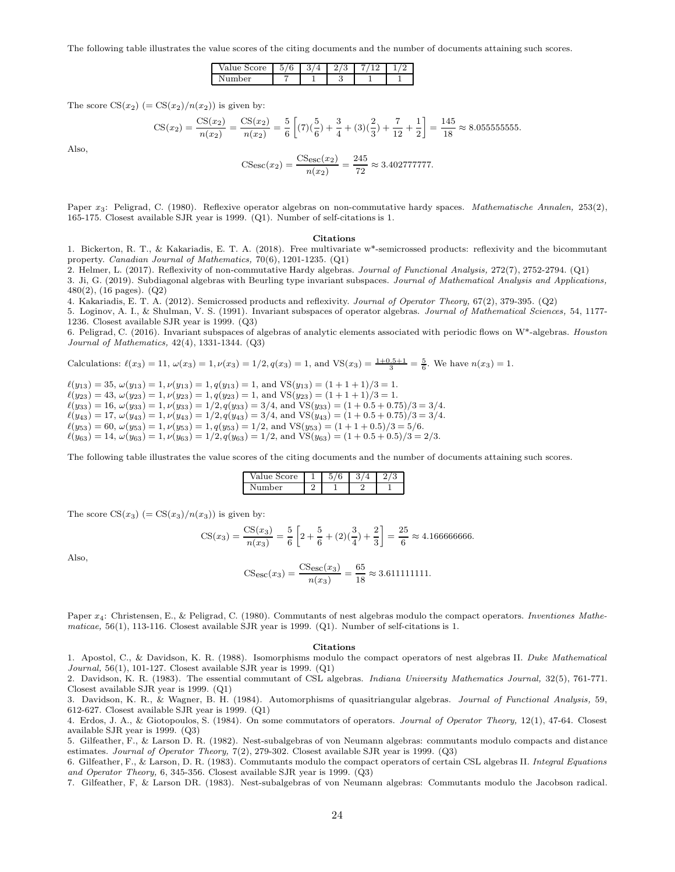The following table illustrates the value scores of the citing documents and the number of documents attaining such scores.

| <b>pre</b><br>'d⊥<br>∼<br>~<br>∼ | ۔<br>◡<br>v | ↶<br>ິ | ಀ |  |
|----------------------------------|-------------|--------|---|--|
| ۱Ar<br>ິ                         |             |        | ಀ |  |

The score  $CS(x_2)$  (=  $CS(x_2)/n(x_2)$ ) is given by:

$$
\text{CS}(x_2) = \frac{\text{CS}(x_2)}{n(x_2)} = \frac{\text{CS}(x_2)}{n(x_2)} = \frac{5}{6} \left[ (7)(\frac{5}{6}) + \frac{3}{4} + (3)(\frac{2}{3}) + \frac{7}{12} + \frac{1}{2} \right] = \frac{145}{18} \approx 8.0555555555.
$$

Also,

$$
\text{CS}_{\text{esc}}(x_2) = \frac{\text{CS}_{\text{esc}}(x_2)}{n(x_2)} = \frac{245}{72} \approx 3.402777777.
$$

Paper x<sub>3</sub>: Peligrad, C. (1980). Reflexive operator algebras on non-commutative hardy spaces. Mathematische Annalen, 253(2), 165-175. Closest available SJR year is 1999. (Q1). Number of self-citations is 1.

#### Citations

1. Bickerton, R. T., & Kakariadis, E. T. A. (2018). Free multivariate w\*-semicrossed products: reflexivity and the bicommutant property. Canadian Journal of Mathematics, 70(6), 1201-1235. (Q1)

2. Helmer, L. (2017). Reflexivity of non-commutative Hardy algebras. Journal of Functional Analysis, 272(7), 2752-2794. (Q1) 3. Ji, G. (2019). Subdiagonal algebras with Beurling type invariant subspaces. Journal of Mathematical Analysis and Applications, 480(2), (16 pages). (Q2)

4. Kakariadis, E. T. A. (2012). Semicrossed products and reflexivity. Journal of Operator Theory, 67(2), 379-395. (Q2)

5. Loginov, A. I., & Shulman, V. S. (1991). Invariant subspaces of operator algebras. Journal of Mathematical Sciences, 54, 1177- 1236. Closest available SJR year is 1999. (Q3)

6. Peligrad, C. (2016). Invariant subspaces of algebras of analytic elements associated with periodic flows on W\*-algebras. Houston Journal of Mathematics, 42(4), 1331-1344. (Q3)

Calculations:  $\ell(x_3) = 11$ ,  $\omega(x_3) = 1$ ,  $\nu(x_3) = 1/2$ ,  $q(x_3) = 1$ , and  $\text{VS}(x_3) = \frac{1+0.5+1}{3} = \frac{5}{6}$ . We have  $n(x_3) = 1$ .

 $\ell(y_{13}) = 35, \ \omega(y_{13}) = 1, \ \nu(y_{13}) = 1, \ q(y_{13}) = 1, \text{ and } \text{VS}(y_{13}) = (1 + 1 + 1)/3 = 1.$  $\ell(y_{23}) = 43, \omega(y_{23}) = 1, \nu(y_{23}) = 1, q(y_{23}) = 1, \text{ and } \text{VS}(y_{23}) = (1 + 1 + 1)/3 = 1.$  $\ell(y_{33}) = 16, \omega(y_{33}) = 1, \nu(y_{33}) = 1/2, q(y_{33}) = 3/4, \text{ and } \text{VS}(y_{33}) = (1 + 0.5 + 0.75)/3 = 3/4.$  $\ell(y_{43}) = 17, \omega(y_{43}) = 1, \nu(y_{43}) = 1/2, q(y_{43}) = 3/4$ , and VS $(y_{43}) = (1 + 0.5 + 0.75)/3 = 3/4$ .  $\ell(y_{53}) = 60, \, \omega(y_{53}) = 1, \, \nu(y_{53}) = 1, \, q(y_{53}) = 1/2, \, \text{and } \text{VS}(y_{53}) = (1 + 1 + 0.5)/3 = 5/6.$  $\ell(y_{63}) = 14, \ \omega(y_{63}) = 1, \ \nu(y_{63}) = 1/2, q(y_{63}) = 1/2, \text{ and } \text{VS}(y_{63}) = (1 + 0.5 + 0.5)/3 = 2/3.$ 

The following table illustrates the value scores of the citing documents and the number of documents attaining such scores.

| `core<br>- Val |  | v |  |
|----------------|--|---|--|
| ۱er<br>мı      |  |   |  |

The score  $CS(x_3)$  (=  $CS(x_3)/n(x_3)$ ) is given by:

$$
\text{CS}(x_3) = \frac{\text{CS}(x_3)}{n(x_3)} = \frac{5}{6} \left[ 2 + \frac{5}{6} + (2)\left(\frac{3}{4}\right) + \frac{2}{3} \right] = \frac{25}{6} \approx 4.166666666.
$$

Also,

$$
\text{CSec}(x_3) = \frac{\text{CSec}(x_3)}{n(x_3)} = \frac{65}{18} \approx 3.611111111.
$$

Paper  $x_4$ : Christensen, E., & Peligrad, C. (1980). Commutants of nest algebras modulo the compact operators. Inventiones Mathematicae, 56(1), 113-116. Closest available SJR year is 1999. (Q1). Number of self-citations is 1.

#### Citations

1. Apostol, C., & Davidson, K. R. (1988). Isomorphisms modulo the compact operators of nest algebras II. Duke Mathematical Journal,  $56(1)$ ,  $101-127$ . Closest available SJR year is 1999. (Q1)

2. Davidson, K. R. (1983). The essential commutant of CSL algebras. Indiana University Mathematics Journal, 32(5), 761-771. Closest available SJR year is 1999. (Q1)

3. Davidson, K. R., & Wagner, B. H. (1984). Automorphisms of quasitriangular algebras. Journal of Functional Analysis, 59, 612-627. Closest available SJR year is 1999. (Q1)

4. Erdos, J. A., & Giotopoulos, S. (1984). On some commutators of operators. Journal of Operator Theory, 12(1), 47-64. Closest available SJR year is 1999. (Q3)

5. Gilfeather, F., & Larson D. R. (1982). Nest-subalgebras of von Neumann algebras: commutants modulo compacts and distance estimates. Journal of Operator Theory, 7(2), 279-302. Closest available SJR year is 1999. (Q3)

6. Gilfeather, F., & Larson, D. R. (1983). Commutants modulo the compact operators of certain CSL algebras II. Integral Equations and Operator Theory, 6, 345-356. Closest available SJR year is 1999. (Q3)

7. Gilfeather, F, & Larson DR. (1983). Nest-subalgebras of von Neumann algebras: Commutants modulo the Jacobson radical.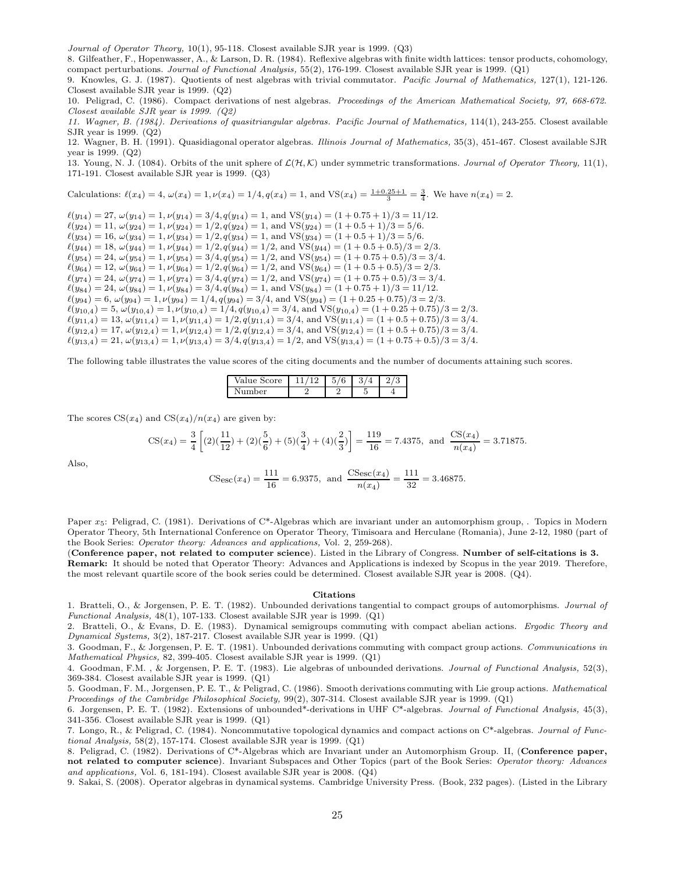Journal of Operator Theory, 10(1), 95-118. Closest available SJR year is 1999. (Q3)

8. Gilfeather, F., Hopenwasser, A., & Larson, D. R. (1984). Reflexive algebras with finite width lattices: tensor products, cohomology, compact perturbations. Journal of Functional Analysis, 55(2), 176-199. Closest available SJR year is 1999. (Q1)

9. Knowles, G. J. (1987). Quotients of nest algebras with trivial commutator. Pacific Journal of Mathematics, 127(1), 121-126. Closest available SJR year is 1999. (Q2)

10. Peligrad, C. (1986). Compact derivations of nest algebras. Proceedings of the American Mathematical Society, 97, 668-672. Closest available SJR year is 1999. (Q2)

11. Wagner, B. (1984). Derivations of quasitriangular algebras. Pacific Journal of Mathematics, 114(1), 243-255. Closest available SJR year is 1999. (Q2)

12. Wagner, B. H. (1991). Quasidiagonal operator algebras. Illinois Journal of Mathematics, 35(3), 451-467. Closest available SJR year is 1999. (Q2)

13. Young, N. J. (1084). Orbits of the unit sphere of  $\mathcal{L}(\mathcal{H}, \mathcal{K})$  under symmetric transformations. Journal of Operator Theory, 11(1), 171-191. Closest available SJR year is 1999. (Q3)

Calculations: 
$$
\ell(x_4) = 4
$$
,  $\omega(x_4) = 1$ ,  $\nu(x_4) = 1/4$ ,  $q(x_4) = 1$ , and  $VS(x_4) = \frac{1+0.25+1}{3} = \frac{3}{4}$ . We have  $n(x_4) = 2$ .

 $\ell(y_{14}) = 27, \omega(y_{14}) = 1, \nu(y_{14}) = 3/4, q(y_{14}) = 1, \text{ and } \text{VS}(y_{14}) = (1 + 0.75 + 1)/3 = 11/12.$  $\ell(y_{24}) = 11, \, \omega(y_{24}) = 1, \nu(y_{24}) = 1/2, q(y_{24}) = 1, \text{ and } \text{VS}(y_{24}) = (1 + 0.5 + 1)/3 = 5/6.$  $\ell(y_{34}) = 16, \omega(y_{34}) = 1, \nu(y_{34}) = 1/2, q(y_{34}) = 1, \text{ and } \text{VS}(y_{34}) = (1 + 0.5 + 1)/3 = 5/6.$  $\ell(y_{44}) = 18$ ,  $\omega(y_{44}) = 1$ ,  $\nu(y_{44}) = 1/2$ ,  $q(y_{44}) = 1/2$ , and VS( $y_{44}$ ) = (1 + 0.5 + 0.5)/3 = 2/3.  $\ell(y_{54}) = 24, \, \omega(y_{54}) = 1, \, \nu(y_{54}) = 3/4, q(y_{54}) = 1/2, \, \text{and } \, \text{VS}(y_{54}) = (1 + 0.75 + 0.5)/3 = 3/4.$  $\ell(y_{64}) = 12, \omega(y_{64}) = 1, \nu(y_{64}) = 1/2, q(y_{64}) = 1/2, \text{ and } \text{VS}(y_{64}) = (1 + 0.5 + 0.5)/3 = 2/3.$  $\ell(y_{74}) = 24, \omega(y_{74}) = 1, \nu(y_{74}) = 3/4, q(y_{74}) = 1/2$ , and VS( $y_{74}$ ) = (1 + 0.75 + 0.5)/3 = 3/4.  $\ell(y_{84}) = 24, \omega(y_{84}) = 1, \nu(y_{84}) = 3/4, q(y_{84}) = 1, \text{ and } \text{VS}(y_{84}) = (1 + 0.75 + 1)/3 = 11/12.$  $\ell(y_{94}) = 6$ ,  $\omega(y_{94}) = 1$ ,  $\nu(y_{94}) = 1/4$ ,  $q(y_{94}) = 3/4$ , and  $VS(y_{94}) = (1 + 0.25 + 0.75)/3 = 2/3$ .  $\ell(y_{10,4}) = 5$ ,  $\omega(y_{10,4}) = 1$ ,  $\nu(y_{10,4}) = 1/4$ ,  $q(y_{10,4}) = 3/4$ , and  $VS(y_{10,4}) = (1 + 0.25 + 0.75)/3 = 2/3$ .  $\ell(y_{11,4}) = 13, \omega(y_{11,4}) = 1, \nu(y_{11,4}) = 1/2, q(y_{11,4}) = 3/4$ , and VS $(y_{11,4}) = (1 + 0.5 + 0.75)/3 = 3/4$ .  $\ell(y_{12,4}) = 17, \omega(y_{12,4}) = 1, \nu(y_{12,4}) = 1/2, q(y_{12,4}) = 3/4$ , and  $VS(y_{12,4}) = (1 + 0.5 + 0.75)/3 = 3/4$ .  $\ell(y_{13,4}) = 21, \omega(y_{13,4}) = 1, \nu(y_{13,4}) = 3/4, q(y_{13,4}) = 1/2, \text{ and } \text{VS}(y_{13,4}) = (1 + 0.75 + 0.5)/3 = 3/4.$ 

The following table illustrates the value scores of the citing documents and the number of documents attaining such scores.

| 'alue Score | u<br>ິ |   | ಀ |
|-------------|--------|---|---|
| er          |        | - |   |

The scores  $CS(x_4)$  and  $CS(x_4)/n(x_4)$  are given by:

$$
CS(x_4) = \frac{3}{4} \left[ (2)\left(\frac{11}{12}\right) + (2)\left(\frac{5}{6}\right) + (5)\left(\frac{3}{4}\right) + (4)\left(\frac{2}{3}\right) \right] = \frac{119}{16} = 7.4375, \text{ and } \frac{CS(x_4)}{n(x_4)} = 3.71875.
$$

Also,

$$
\text{CSec}(x_4) = \frac{111}{16} = 6.9375, \text{ and } \frac{\text{CSec}(x_4)}{n(x_4)} = \frac{111}{32} = 3.46875.
$$

Paper  $x_5$ : Peligrad, C. (1981). Derivations of C\*-Algebras which are invariant under an automorphism group, . Topics in Modern Operator Theory, 5th International Conference on Operator Theory, Timisoara and Herculane (Romania), June 2-12, 1980 (part of the Book Series: Operator theory: Advances and applications, Vol. 2, 259-268).

(Conference paper, not related to computer science). Listed in the Library of Congress. Number of self-citations is 3. Remark: It should be noted that Operator Theory: Advances and Applications is indexed by Scopus in the year 2019. Therefore, the most relevant quartile score of the book series could be determined. Closest available SJR year is 2008. (Q4).

#### Citations

1. Bratteli, O., & Jorgensen, P. E. T. (1982). Unbounded derivations tangential to compact groups of automorphisms. Journal of Functional Analysis, 48(1), 107-133. Closest available SJR year is 1999. (Q1)

2. Bratteli, O., & Evans, D. E. (1983). Dynamical semigroups commuting with compact abelian actions. Ergodic Theory and Dynamical Systems, 3(2), 187-217. Closest available SJR year is 1999. (Q1)

3. Goodman, F., & Jorgensen, P. E. T. (1981). Unbounded derivations commuting with compact group actions. Communications in Mathematical Physics, 82, 399-405. Closest available SJR year is 1999. (Q1)

4. Goodman, F.M., & Jorgensen, P. E. T. (1983). Lie algebras of unbounded derivations. Journal of Functional Analysis, 52(3), 369-384. Closest available SJR year is 1999. (Q1)

5. Goodman, F. M., Jorgensen, P. E. T., & Peligrad, C. (1986). Smooth derivations commuting with Lie group actions. Mathematical Proceedings of the Cambridge Philosophical Society, 99(2), 307-314. Closest available SJR year is 1999. (Q1)

6. Jorgensen, P. E. T. (1982). Extensions of unbounded\*-derivations in UHF C\*-algebras. Journal of Functional Analysis, 45(3), 341-356. Closest available SJR year is 1999. (Q1)

7. Longo, R., & Peligrad, C. (1984). Noncommutative topological dynamics and compact actions on C\*-algebras. Journal of Functional Analysis, 58(2), 157-174. Closest available SJR year is 1999. (Q1)

8. Peligrad, C. (1982). Derivations of C\*-Algebras which are Invariant under an Automorphism Group. II, (Conference paper, not related to computer science). Invariant Subspaces and Other Topics (part of the Book Series: Operator theory: Advances and applications, Vol. 6, 181-194). Closest available SJR year is 2008. (Q4)

9. Sakai, S. (2008). Operator algebras in dynamical systems. Cambridge University Press. (Book, 232 pages). (Listed in the Library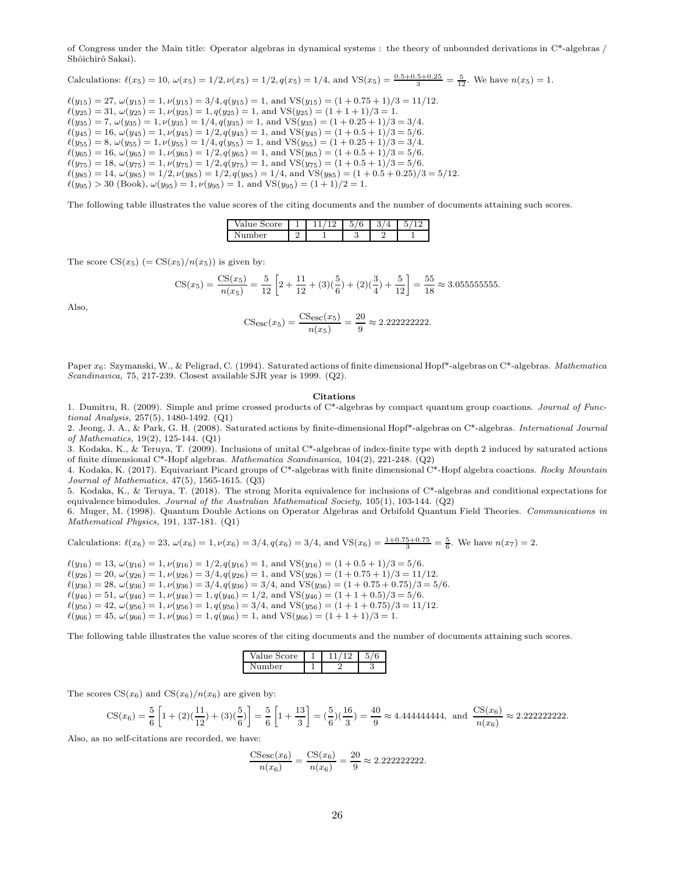of Congress under the Main title: Operator algebras in dynamical systems : the theory of unbounded derivations in C\*-algebras / Shôichirô Sakai).

Calculations:  $\ell(x_5) = 10$ ,  $\omega(x_5) = 1/2$ ,  $\nu(x_5) = 1/2$ ,  $q(x_5) = 1/4$ , and  $VS(x_5) = \frac{0.5 + 0.5 + 0.25}{3} = \frac{5}{12}$ . We have  $n(x_5) = 1$ .

 $\ell(y_{15}) = 27, \ \omega(y_{15}) = 1, \ \nu(y_{15}) = 3/4, q(y_{15}) = 1, \text{ and } \text{VS}(y_{15}) = (1 + 0.75 + 1)/3 = 11/12.$  $\ell(y_{25}) = 31, \, \omega(y_{25}) = 1, \, \nu(y_{25}) = 1, \, q(y_{25}) = 1, \, \text{and } \text{VS}(y_{25}) = (1 + 1 + 1)/3 = 1.$  $\ell(y_{35}) = 7, \omega(y_{35}) = 1, \nu(y_{35}) = 1/4, q(y_{35}) = 1, \text{ and } \text{VS}(y_{35}) = (1 + 0.25 + 1)/3 = 3/4.$  $\ell(y_{45}) = 16, \omega(y_{45}) = 1, \nu(y_{45}) = 1/2, q(y_{45}) = 1, \text{ and } \text{VS}(y_{45}) = (1 + 0.5 + 1)/3 = 5/6.$  $\ell(y_{55}) = 8, \ \omega(y_{55}) = 1, \nu(y_{55}) = 1/4, q(y_{55}) = 1, \text{ and } \text{VS}(y_{55}) = (1 + 0.25 + 1)/3 = 3/4.$  $\ell(y_{65}) = 16, \omega(y_{65}) = 1, \nu(y_{65}) = 1/2, q(y_{65}) = 1, \text{ and } \text{VS}(y_{65}) = (1 + 0.5 + 1)/3 = 5/6.$  $\ell(y_{75}) = 18$ ,  $\omega(y_{75}) = 1$ ,  $\nu(y_{75}) = 1/2$ ,  $q(y_{75}) = 1$ , and  $VS(y_{75}) = (1 + 0.5 + 1)/3 = 5/6$ .  $\ell(y_{85}) = 14, \omega(y_{85}) = 1/2, \nu(y_{85}) = 1/2, q(y_{85}) = 1/4$ , and VS $(y_{85}) = (1 + 0.5 + 0.25)/3 = 5/12$ .  $\ell(y_{95}) > 30$  (Book),  $\omega(y_{95}) = 1, \nu(y_{95}) = 1$ , and VS( $y_{95}$ ) = (1 + 1)/2 = 1.

The following table illustrates the value scores of the citing documents and the number of documents attaining such scores.

| Value Score |  | ບ<br>u |  |
|-------------|--|--------|--|
| Number      |  |        |  |

The score  $CS(x_5)$  (=  $CS(x_5)/n(x_5)$ ) is given by:

$$
\text{CS}(x_5) = \frac{\text{CS}(x_5)}{n(x_5)} = \frac{5}{12} \left[ 2 + \frac{11}{12} + (3)\left(\frac{5}{6}\right) + (2)\left(\frac{3}{4}\right) + \frac{5}{12} \right] = \frac{55}{18} \approx 3.0555555555.
$$

Also,

$$
CS_{\rm esc}(x_5) = \frac{CS_{\rm esc}(x_5)}{n(x_5)} = \frac{20}{9} \approx 2.2222222222.
$$

Paper  $x_6$ : Szymanski, W., & Peligrad, C. (1994). Saturated actions of finite dimensional Hopf\*-algebras on C\*-algebras. Mathematica Scandinavica, 75, 217-239. Closest available SJR year is 1999. (Q2).

#### Citations

1. Dumitru, R. (2009). Simple and prime crossed products of C\*-algebras by compact quantum group coactions. Journal of Functional Analysis, 257(5), 1480-1492. (Q1)

2. Jeong, J. A., & Park, G. H. (2008). Saturated actions by finite-dimensional Hopf\*-algebras on  $C^*$ -algebras. International Journal of Mathematics, 19(2), 125-144. (Q1)

3. Kodaka, K., & Teruya, T. (2009). Inclusions of unital C\*-algebras of index-finite type with depth 2 induced by saturated actions of finite dimensional C\*-Hopf algebras. Mathematica Scandinavica,  $104(2)$ ,  $221-248$ . (Q2)

4. Kodaka, K. (2017). Equivariant Picard groups of C\*-algebras with finite dimensional C\*-Hopf algebra coactions. Rocky Mountain Journal of Mathematics, 47(5), 1565-1615. (Q3)

5. Kodaka, K., & Teruya, T. (2018). The strong Morita equivalence for inclusions of C\*-algebras and conditional expectations for equivalence bimodules. Journal of the Australian Mathematical Society,  $105(1)$ ,  $103-144$ . (Q2)

6. Muger, M. (1998). Quantum Double Actions on Operator Algebras and Orbifold Quantum Field Theories. Communications in Mathematical Physics, 191, 137-181. (Q1)

Calculations: 
$$
\ell(x_6) = 23
$$
,  $\omega(x_6) = 1$ ,  $\nu(x_6) = 3/4$ ,  $q(x_6) = 3/4$ , and  $VS(x_6) = \frac{1+0.75+0.75}{3} = \frac{5}{6}$ . We have  $n(x_7) = 2$ .

 $\ell(y_{16}) = 13, \omega(y_{16}) = 1, \nu(y_{16}) = 1/2, q(y_{16}) = 1, \text{ and } \text{VS}(y_{16}) = (1 + 0.5 + 1)/3 = 5/6.$  $\ell(y_{26}) = 20, \ \omega(y_{26}) = 1, \ \nu(y_{26}) = 3/4, q(y_{26}) = 1, \text{ and } \text{VS}(y_{26}) = (1 + 0.75 + 1)/3 = 11/12.$  $\ell(y_{36}) = 28, \ \omega(y_{36}) = 1, \nu(y_{36}) = 3/4, q(y_{36}) = 3/4, \text{ and } \text{VS}(y_{36}) = (1 + 0.75 + 0.75)/3 = 5/6.$  $\ell(y_{46}) = 51, \, \omega(y_{46}) = 1, \, \nu(y_{46}) = 1, \, q(y_{46}) = 1/2, \, \text{and } \text{VS}(y_{46}) = (1 + 1 + 0.5)/3 = 5/6.$  $\ell(y_{56}) = 42, \ \omega(y_{56}) = 1, \ \nu(y_{56}) = 1, \ q(y_{56}) = 3/4, \text{ and } \text{VS}(y_{56}) = (1 + 1 + 0.75)/3 = 11/12.$  $\ell(y_{66}) = 45, \omega(y_{66}) = 1, \nu(y_{66}) = 1, q(y_{66}) = 1, \text{ and } \text{VS}(y_{66}) = (1 + 1 + 1)/3 = 1.$ 

The following table illustrates the value scores of the citing documents and the number of documents attaining such scores.

| Score.<br>$110 - 5$ |  |     |
|---------------------|--|-----|
| her                 |  | . . |

The scores  $CS(x_6)$  and  $CS(x_6)/n(x_6)$  are given by:

CS(x6) = <sup>5</sup> 6 » 1 + (2)( <sup>11</sup> 12 ) + (3)( <sup>5</sup> 6 ) – = 5 6 » 1 + 13 3 – = ( <sup>5</sup> 6 )( <sup>16</sup> 3 ) = <sup>40</sup> 9 <sup>≈</sup> <sup>4</sup>.444444444, and CS(x6) n(x6) ≈ 2.222222222.

Also, as no self-citations are recorded, we have:

$$
\frac{\text{CS}_{\text{esc}}(x_6)}{n(x_6)} = \frac{\text{CS}(x_6)}{n(x_6)} = \frac{20}{9} \approx 2.2222222222.
$$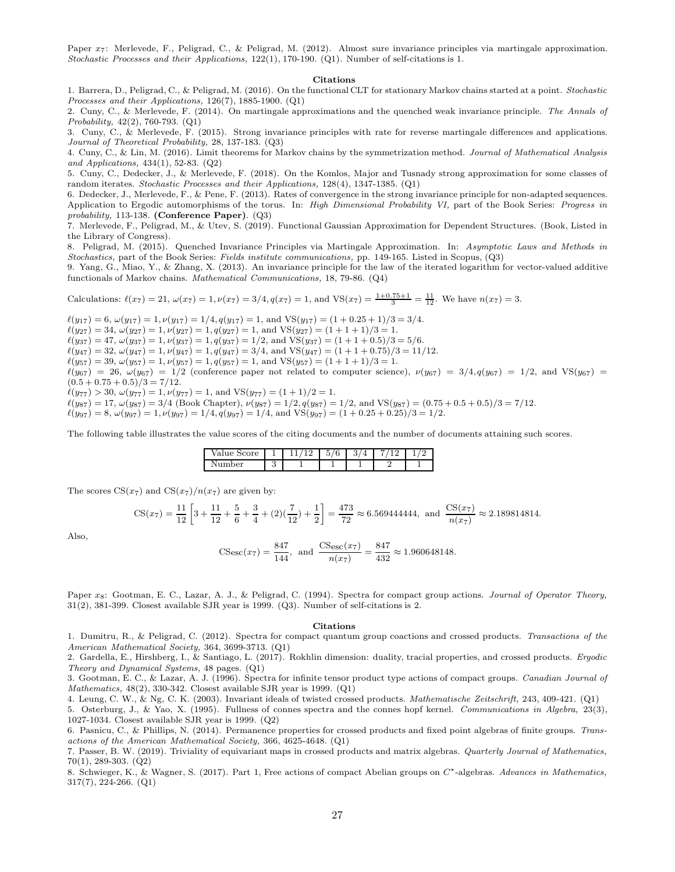Paper  $x_7$ : Merlevede, F., Peligrad, C., & Peligrad, M. (2012). Almost sure invariance principles via martingale approximation. Stochastic Processes and their Applications, 122(1), 170-190. (Q1). Number of self-citations is 1.

#### Citations

1. Barrera, D., Peligrad, C., & Peligrad, M. (2016). On the functional CLT for stationary Markov chains started at a point. Stochastic Processes and their Applications, 126(7), 1885-1900. (Q1)

2. Cuny, C., & Merlevede, F. (2014). On martingale approximations and the quenched weak invariance principle. The Annals of Probability, 42(2), 760-793. (Q1)

3. Cuny, C., & Merlevede, F. (2015). Strong invariance principles with rate for reverse martingale differences and applications. Journal of Theoretical Probability, 28, 137-183. (Q3)

4. Cuny, C., & Lin, M. (2016). Limit theorems for Markov chains by the symmetrization method. Journal of Mathematical Analysis and Applications, 434(1), 52-83. (Q2)

5. Cuny, C., Dedecker, J., & Merlevede, F. (2018). On the Komlos, Major and Tusnady strong approximation for some classes of random iterates. Stochastic Processes and their Applications, 128(4), 1347-1385. (Q1)

6. Dedecker, J., Merlevede, F., & Pene, F. (2013). Rates of convergence in the strong invariance principle for non-adapted sequences. Application to Ergodic automorphisms of the torus. In: High Dimensional Probability VI, part of the Book Series: Progress in probability, 113-138. (Conference Paper). (Q3)

7. Merlevede, F., Peligrad, M., & Utev, S. (2019). Functional Gaussian Approximation for Dependent Structures. (Book, Listed in the Library of Congress).

8. Peligrad, M. (2015). Quenched Invariance Principles via Martingale Approximation. In: Asymptotic Laws and Methods in Stochastics, part of the Book Series: Fields institute communications, pp. 149-165. Listed in Scopus, (Q3)

9. Yang, G., Miao, Y., & Zhang, X. (2013). An invariance principle for the law of the iterated logarithm for vector-valued additive functionals of Markov chains. Mathematical Communications, 18, 79-86. (Q4)

Calculations:  $\ell(x_7) = 21$ ,  $\omega(x_7) = 1$ ,  $\nu(x_7) = 3/4$ ,  $q(x_7) = 1$ , and  $VS(x_7) = \frac{1+0.75+1}{3} = \frac{11}{12}$ . We have  $n(x_7) = 3$ .

 $\ell(y_{17}) = 6$ ,  $\omega(y_{17}) = 1$ ,  $\nu(y_{17}) = 1/4$ ,  $q(y_{17}) = 1$ , and VS( $y_{17}) = (1 + 0.25 + 1)/3 = 3/4$ .  $\ell(y_{27}) = 34, \omega(y_{27}) = 1, \nu(y_{27}) = 1, q(y_{27}) = 1$ , and  $VS(y_{27}) = (1 + 1 + 1)/3 = 1$ .  $\ell(y_{37}) = 47, \, \omega(y_{37}) = 1, \, \nu(y_{37}) = 1, \, q(y_{37}) = 1/2, \, \text{and } \text{VS}(y_{37}) = (1 + 1 + 0.5)/3 = 5/6.$  $\ell(y_{47}) = 32, \omega(y_{47}) = 1, \nu(y_{47}) = 1, q(y_{47}) = 3/4$ , and VS $(y_{47}) = (1 + 1 + 0.75)/3 = 11/12$ .  $\ell(y_{57}) = 39, \omega(y_{57}) = 1, \nu(y_{57}) = 1, q(y_{57}) = 1$ , and VS $(y_{57}) = (1 + 1 + 1)/3 = 1$ .  $\ell(y_{67}) = 26$ ,  $\omega(y_{67}) = 1/2$  (conference paper not related to computer science),  $\nu(y_{67}) = 3/4$ ,  $q(y_{67}) = 1/2$ , and VS( $y_{67}) = 1/2$  $(0.5 + 0.75 + 0.5)/3 = 7/12.$  $\ell(y_{77}) > 30, \omega(y_{77}) = 1, \nu(y_{77}) = 1, \text{ and } \text{VS}(y_{77}) = (1 + 1)/2 = 1.$  $\ell(y_{87}) = 17, \omega(y_{87}) = 3/4$  (Book Chapter),  $\nu(y_{87}) = 1/2, q(y_{87}) = 1/2$ , and VS( $y_{87}) = (0.75 + 0.5 + 0.5)/3 = 7/12$ .  $\ell(y_{97}) = 8, \omega(y_{97}) = 1, \nu(y_{97}) = 1/4, q(y_{97}) = 1/4$ , and  $VS(y_{97}) = (1 + 0.25 + 0.25)/3 = 1/2$ .

The following table illustrates the value scores of the citing documents and the number of documents attaining such scores.

| re<br>∙alu<br>ັ<br>◡<br>ັ             |   | -<br>$\sqrt{2}$<br>U<br>◡ | ູ<br>л. |  |
|---------------------------------------|---|---------------------------|---------|--|
| rer<br>ъ.<br>$\overline{\phantom{a}}$ | ື |                           |         |  |

The scores  $CS(x_7)$  and  $CS(x_7)/n(x_7)$  are given by:

$$
\text{CS}(x_7) = \frac{11}{12} \left[ 3 + \frac{11}{12} + \frac{5}{6} + \frac{3}{4} + (2)\left(\frac{7}{12}\right) + \frac{1}{2} \right] = \frac{473}{72} \approx 6.569444444, \text{ and } \frac{\text{CS}(x_7)}{n(x_7)} \approx 2.189814814.
$$

Also,

$$
\text{CSe}_{\text{SC}}(x_7) = \frac{847}{144}, \text{ and } \frac{\text{CSe}_{\text{SC}}(x_7)}{n(x_7)} = \frac{847}{432} \approx 1.960648148.
$$

Paper x<sub>8</sub>: Gootman, E. C., Lazar, A. J., & Peligrad, C. (1994). Spectra for compact group actions. *Journal of Operator Theory*, 31(2), 381-399. Closest available SJR year is 1999. (Q3). Number of self-citations is 2.

#### Citations

1. Dumitru, R., & Peligrad, C. (2012). Spectra for compact quantum group coactions and crossed products. Transactions of the American Mathematical Society, 364, 3699-3713. (Q1)

2. Gardella, E., Hirshberg, I., & Santiago, L. (2017). Rokhlin dimension: duality, tracial properties, and crossed products. Ergodic Theory and Dynamical Systems, 48 pages. (Q1)

3. Gootman, E. C., & Lazar, A. J. (1996). Spectra for infinite tensor product type actions of compact groups. Canadian Journal of Mathematics, 48(2), 330-342. Closest available SJR year is 1999. (Q1)

4. Leung, C. W., & Ng, C. K. (2003). Invariant ideals of twisted crossed products. Mathematische Zeitschrift, 243, 409-421. (Q1)

5. Osterburg, J., & Yao, X. (1995). Fullness of connes spectra and the connes hopf kernel. Communications in Algebra, 23(3), 1027-1034. Closest available SJR year is 1999. (Q2)

6. Pasnicu, C., & Phillips, N. (2014). Permanence properties for crossed products and fixed point algebras of finite groups. Transactions of the American Mathematical Society, 366, 4625-4648. (Q1)

7. Passer, B. W. (2019). Triviality of equivariant maps in crossed products and matrix algebras. Quarterly Journal of Mathematics, 70(1), 289-303. (Q2)

8. Schwieger, K., & Wagner, S. (2017). Part 1, Free actions of compact Abelian groups on C<sup>∗</sup>-algebras. Advances in Mathematics, 317(7), 224-266. (Q1)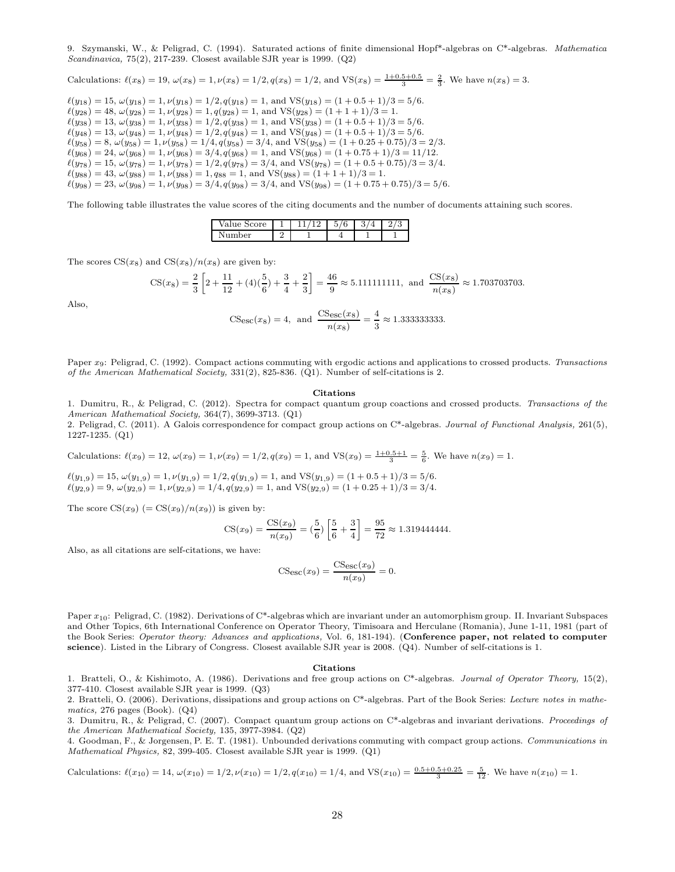9. Szymanski, W., & Peligrad, C. (1994). Saturated actions of finite dimensional Hopf\*-algebras on C\*-algebras. Mathematica Scandinavica, 75(2), 217-239. Closest available SJR year is 1999. (Q2)

Calculations: 
$$
\ell(x_8) = 19
$$
,  $\omega(x_8) = 1$ ,  $\nu(x_8) = 1/2$ ,  $q(x_8) = 1/2$ , and  $VS(x_8) = \frac{1+0.5+0.5}{3} = \frac{2}{3}$ . We have  $n(x_8) = 3$ .

 $\ell(y_{18}) = 15, \omega(y_{18}) = 1, \nu(y_{18}) = 1/2, q(y_{18}) = 1, \text{ and } \text{VS}(y_{18}) = (1 + 0.5 + 1)/3 = 5/6.$  $\ell(y_{28}) = 48, \ \omega(y_{28}) = 1, \nu(y_{28}) = 1, q(y_{28}) = 1, \text{ and } \text{VS}(y_{28}) = (1 + 1 + 1)/3 = 1.$  $\ell(y_{38}) = 13, \, \omega(y_{38}) = 1, \nu(y_{38}) = 1/2, q(y_{38}) = 1, \text{ and } \text{VS}(y_{38}) = (1 + 0.5 + 1)/3 = 5/6.$  $\ell(y_{48}) = 13, \ \omega(y_{48}) = 1, \ \nu(y_{48}) = 1/2, q(y_{48}) = 1, \text{ and } \text{VS}(y_{48}) = (1 + 0.5 + 1)/3 = 5/6.$  $\ell(y_{58}) = 8, \omega(y_{58}) = 1, \nu(y_{58}) = 1/4, q(y_{58}) = 3/4, \text{ and VS}(y_{58}) = (1 + 0.25 + 0.75)/3 = 2/3.$  $\ell(y_{68}) = 24, \omega(y_{68}) = 1, \nu(y_{68}) = 3/4, q(y_{68}) = 1, \text{ and } \text{VS}(y_{68}) = (1 + 0.75 + 1)/3 = 11/12.$  $\ell(y_{78}) = 15, \ \omega(y_{78}) = 1, \nu(y_{78}) = 1/2, q(y_{78}) = 3/4, \text{ and } \text{VS}(y_{78}) = (1 + 0.5 + 0.75)/3 = 3/4.$  $\ell(y_{88}) = 43, \omega(y_{88}) = 1, \nu(y_{88}) = 1, q_{88} = 1, \text{ and } \text{VS}(y_{88}) = (1 + 1 + 1)/3 = 1.$  $\ell(y_{98}) = 23, \omega(y_{98}) = 1, \nu(y_{98}) = 3/4, q(y_{98}) = 3/4$ , and VS( $y_{98}) = (1 + 0.75 + 0.75)/3 = 5/6$ .

The following table illustrates the value scores of the citing documents and the number of documents attaining such scores.

| <sub>re</sub><br>$^{\prime}$ ai |  | 6<br>ь<br>ن | ັ | _ |
|---------------------------------|--|-------------|---|---|
| ۵r                              |  |             |   |   |

The scores  $CS(x_8)$  and  $CS(x_8)/n(x_8)$  are given by:

$$
\text{CS}(x_8) = \frac{2}{3} \left[ 2 + \frac{11}{12} + (4)(\frac{5}{6}) + \frac{3}{4} + \frac{2}{3} \right] = \frac{46}{9} \approx 5.111111111, \text{ and } \frac{\text{CS}(x_8)}{n(x_8)} \approx 1.703703703.
$$

Also,

$$
CS_{\text{esc}}(x_8) = 4
$$
, and  $\frac{CS_{\text{esc}}(x_8)}{n(x_8)} = \frac{4}{3} \approx 1.333333333333$ .

Paper x<sub>9</sub>: Peligrad, C. (1992). Compact actions commuting with ergodic actions and applications to crossed products. Transactions of the American Mathematical Society, 331(2), 825-836. (Q1). Number of self-citations is 2.

#### Citations

1. Dumitru, R., & Peligrad, C. (2012). Spectra for compact quantum group coactions and crossed products. Transactions of the American Mathematical Society, 364(7), 3699-3713. (Q1)

2. Peligrad, C. (2011). A Galois correspondence for compact group actions on C\*-algebras. Journal of Functional Analysis, 261(5), 1227-1235. (Q1)

Calculations: 
$$
\ell(x_9) = 12
$$
,  $\omega(x_9) = 1$ ,  $\nu(x_9) = 1/2$ ,  $q(x_9) = 1$ , and  $VS(x_9) = \frac{1+0.5+1}{3} = \frac{5}{6}$ . We have  $n(x_9) = 1$ .

 $\ell(y_{1,9}) = 15, \omega(y_{1,9}) = 1, \nu(y_{1,9}) = 1/2, q(y_{1,9}) = 1, \text{ and } \text{VS}(y_{1,9}) = (1 + 0.5 + 1)/3 = 5/6.$  $\ell(y_{2,9}) = 9, \omega(y_{2,9}) = 1, \nu(y_{2,9}) = 1/4, q(y_{2,9}) = 1, \text{ and } \text{VS}(y_{2,9}) = (1 + 0.25 + 1)/3 = 3/4.$ 

The score  $CS(x_9)$  (=  $CS(x_9)/n(x_9)$ ) is given by:

$$
\text{CS}(x_9) = \frac{\text{CS}(x_9)}{n(x_9)} = \left(\frac{5}{6}\right) \left[\frac{5}{6} + \frac{3}{4}\right] = \frac{95}{72} \approx 1.319444444.
$$

Also, as all citations are self-citations, we have:

$$
CS_{\rm esc}(x_9) = \frac{CS_{\rm esc}(x_9)}{n(x_9)} = 0.
$$

Paper x10: Peligrad, C. (1982). Derivations of C\*-algebras which are invariant under an automorphism group. II. Invariant Subspaces and Other Topics, 6th International Conference on Operator Theory, Timisoara and Herculane (Romania), June 1-11, 1981 (part of the Book Series: Operator theory: Advances and applications, Vol. 6, 181-194). (Conference paper, not related to computer science). Listed in the Library of Congress. Closest available SJR year is 2008. (Q4). Number of self-citations is 1.

#### Citations

1. Bratteli, O., & Kishimoto, A. (1986). Derivations and free group actions on C\*-algebras. Journal of Operator Theory, 15(2), 377-410. Closest available SJR year is 1999. (Q3)

2. Bratteli, O. (2006). Derivations, dissipations and group actions on  $C^*$ -algebras. Part of the Book Series: Lecture notes in mathematics, 276 pages (Book). (Q4)

3. Dumitru, R., & Peligrad, C. (2007). Compact quantum group actions on  $C^*$ -algebras and invariant derivations. Proceedings of the American Mathematical Society, 135, 3977-3984. (Q2)

4. Goodman, F., & Jorgensen, P. E. T. (1981). Unbounded derivations commuting with compact group actions. Communications in Mathematical Physics, 82, 399-405. Closest available SJR year is 1999. (Q1)

Calculations: 
$$
\ell(x_{10}) = 14
$$
,  $\omega(x_{10}) = 1/2$ ,  $\nu(x_{10}) = 1/2$ ,  $q(x_{10}) = 1/4$ , and  $VS(x_{10}) = \frac{0.5 + 0.5 + 0.25}{3} = \frac{5}{12}$ . We have  $n(x_{10}) = 1$ .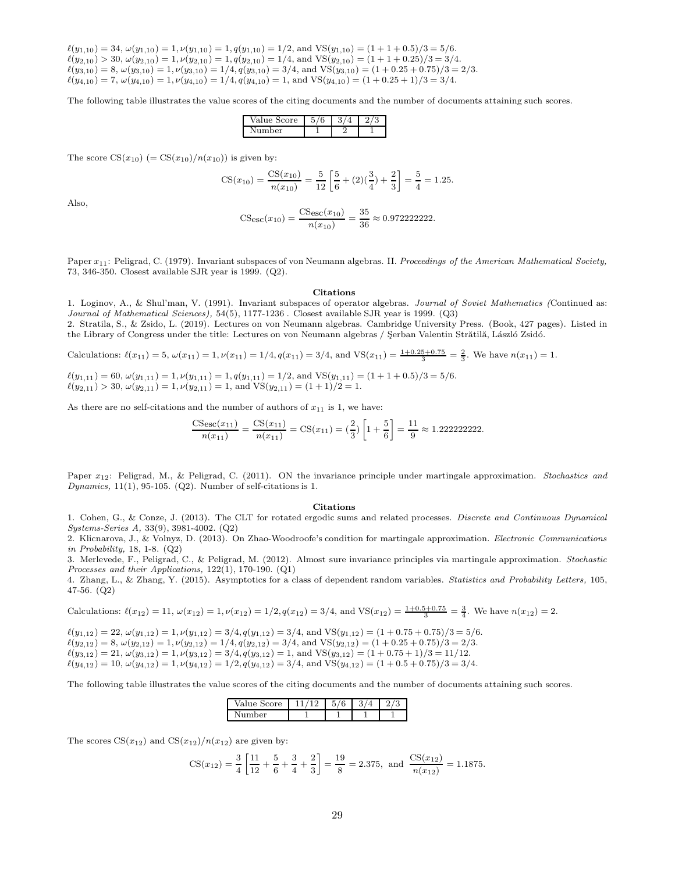$\ell(y_{1,10}) = 34, \omega(y_{1,10}) = 1, \nu(y_{1,10}) = 1, q(y_{1,10}) = 1/2$ , and  $\text{VS}(y_{1,10}) = (1 + 1 + 0.5)/3 = 5/6$ .  $\ell(y_{2,10}) > 30, \omega(y_{2,10}) = 1, \nu(y_{2,10}) = 1, q(y_{2,10}) = 1/4$ , and VS $(y_{2,10}) = (1 + 1 + 0.25)/3 = 3/4$ .  $\ell(y_{3,10}) = 8$ ,  $\omega(y_{3,10}) = 1$ ,  $\nu(y_{3,10}) = 1/4$ ,  $q(y_{3,10}) = 3/4$ , and VS $(y_{3,10}) = (1 + 0.25 + 0.75)/3 = 2/3$ .  $\ell(y_{4,10}) = 7$ ,  $\omega(y_{4,10}) = 1$ ,  $\nu(y_{4,10}) = 1/4$ ,  $q(y_{4,10}) = 1$ , and  $\text{VS}(y_{4,10}) = (1 + 0.25 + 1)/3 = 3/4$ .

The following table illustrates the value scores of the citing documents and the number of documents attaining such scores.

| Value Score | v | ت | ٠ |
|-------------|---|---|---|
| mher<br>N   |   |   |   |

The score  $CS(x_{10})$  (=  $CS(x_{10})/n(x_{10})$ ) is given by:

$$
\text{CS}(x_{10}) = \frac{\text{CS}(x_{10})}{n(x_{10})} = \frac{5}{12} \left[ \frac{5}{6} + (2)(\frac{3}{4}) + \frac{2}{3} \right] = \frac{5}{4} = 1.25.
$$

Also,

$$
CS_{\rm esc}(x_{10}) = \frac{CS_{\rm esc}(x_{10})}{n(x_{10})} = \frac{35}{36} \approx 0.9722222222.
$$

Paper  $x_{11}$ : Peligrad, C. (1979). Invariant subspaces of von Neumann algebras. II. Proceedings of the American Mathematical Society, 73, 346-350. Closest available SJR year is 1999. (Q2).

#### Citations

1. Loginov, A., & Shul'man, V. (1991). Invariant subspaces of operator algebras. Journal of Soviet Mathematics (Continued as: Journal of Mathematical Sciences), 54(5), 1177-1236 . Closest available SJR year is 1999. (Q3)

2. Stratila, S., & Zsido, L. (2019). Lectures on von Neumann algebras. Cambridge University Press. (Book, 427 pages). Listed in the Library of Congress under the title: Lectures on von Neumann algebras / Şerban Valentin Strătilă, László Zsidó.

Calculations: 
$$
\ell(x_{11}) = 5
$$
,  $\omega(x_{11}) = 1$ ,  $\nu(x_{11}) = 1/4$ ,  $q(x_{11}) = 3/4$ , and  $VS(x_{11}) = \frac{1+0.25+0.75}{3} = \frac{2}{3}$ . We have  $n(x_{11}) = 1$ .

 $\ell(y_{1,11}) = 60, \, \omega(y_{1,11}) = 1, \nu(y_{1,11}) = 1, q(y_{1,11}) = 1/2, \text{ and } \text{VS}(y_{1,11}) = (1 + 1 + 0.5)/3 = 5/6.$  $\ell(y_{2,11}) > 30, \, \omega(y_{2,11}) = 1, \, \nu(y_{2,11}) = 1, \, \text{and } \text{VS}(y_{2,11}) = (1+1)/2 = 1.$ 

As there are no self-citations and the number of authors of  $x_{11}$  is 1, we have:

$$
\frac{\text{CS}_{\text{esc}}(x_{11})}{n(x_{11})} = \frac{\text{CS}(x_{11})}{n(x_{11})} = \text{CS}(x_{11}) = \left(\frac{2}{3}\right) \left[1 + \frac{5}{6}\right] = \frac{11}{9} \approx 1.2222222222.
$$

Paper  $x_{12}$ : Peligrad, M., & Peligrad, C. (2011). ON the invariance principle under martingale approximation. Stochastics and Dynamics,  $11(1)$ , 95-105. (Q2). Number of self-citations is 1.

#### Citations

1. Cohen, G., & Conze, J. (2013). The CLT for rotated ergodic sums and related processes. Discrete and Continuous Dynamical Systems-Series A, 33(9), 3981-4002. (Q2)

2. Klicnarova, J., & Volnyz, D. (2013). On Zhao-Woodroofe's condition for martingale approximation. Electronic Communications in Probability, 18, 1-8. (Q2)

3. Merlevede, F., Peligrad, C., & Peligrad, M. (2012). Almost sure invariance principles via martingale approximation. Stochastic Processes and their Applications, 122(1), 170-190. (Q1)

4. Zhang, L., & Zhang, Y. (2015). Asymptotics for a class of dependent random variables. Statistics and Probability Letters, 105, 47-56. (Q2)

Calculations: 
$$
\ell(x_{12}) = 11
$$
,  $\omega(x_{12}) = 1$ ,  $\nu(x_{12}) = 1/2$ ,  $q(x_{12}) = 3/4$ , and  $VS(x_{12}) = \frac{1+0.5+0.75}{3} = \frac{3}{4}$ . We have  $n(x_{12}) = 2$ .

 $\ell(y_{1,12}) = 22, \omega(y_{1,12}) = 1, \nu(y_{1,12}) = 3/4, q(y_{1,12}) = 3/4$ , and  $VS(y_{1,12}) = (1 + 0.75 + 0.75)/3 = 5/6$ .  $\ell(y_{2,12}) = 8$ ,  $\omega(y_{2,12}) = 1$ ,  $\nu(y_{2,12}) = 1/4$ ,  $q(y_{2,12}) = 3/4$ , and  $VS(y_{2,12}) = (1 + 0.25 + 0.75)/3 = 2/3$ .  $\ell(y_{3,12}) = 21, \omega(y_{3,12}) = 1, \nu(y_{3,12}) = 3/4, q(y_{3,12}) = 1, \text{ and } \text{VS}(y_{3,12}) = (1 + 0.75 + 1)/3 = 11/12.$  $\ell(y_{4,12}) = 10, \omega(y_{4,12}) = 1, \nu(y_{4,12}) = 1/2, q(y_{4,12}) = 3/4, \text{ and } \text{VS}(y_{4,12}) = (1 + 0.5 + 0.75)/3 = 3/4.$ 

The following table illustrates the value scores of the citing documents and the number of documents attaining such scores.

| $V_0$ <sub>1</sub><br><b>pre</b> | $\sqrt{2}$<br>۳<br>ь<br>u<br>v | υ | ۹. |
|----------------------------------|--------------------------------|---|----|
| ٦T<br>Ωr                         |                                |   |    |

The scores  $CS(x_{12})$  and  $CS(x_{12})/n(x_{12})$  are given by:

$$
CS(x_{12}) = \frac{3}{4} \left[ \frac{11}{12} + \frac{5}{6} + \frac{3}{4} + \frac{2}{3} \right] = \frac{19}{8} = 2.375, \text{ and } \frac{CS(x_{12})}{n(x_{12})} = 1.1875.
$$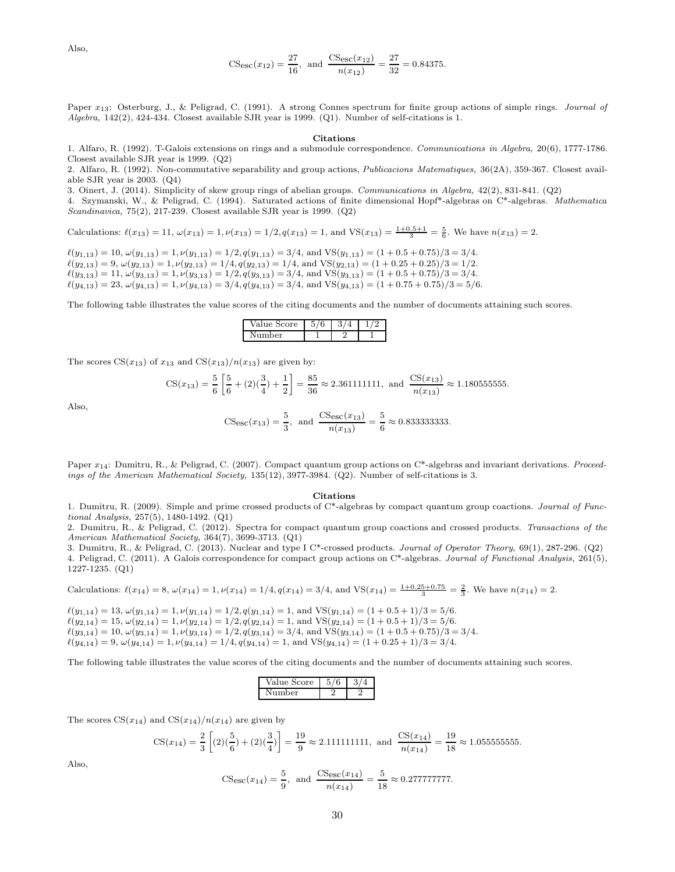Also,

$$
\text{CS}_{\text{esc}}(x_{12}) = \frac{27}{16}, \text{ and } \frac{\text{CS}_{\text{esc}}(x_{12})}{n(x_{12})} = \frac{27}{32} = 0.84375.
$$

Paper  $x_{13}$ : Osterburg, J., & Peligrad, C. (1991). A strong Connes spectrum for finite group actions of simple rings. Journal of Algebra, 142(2), 424-434. Closest available SJR year is 1999. (Q1). Number of self-citations is 1.

#### Citations

1. Alfaro, R. (1992). T-Galois extensions on rings and a submodule correspondence. Communications in Algebra, 20(6), 1777-1786. Closest available SJR year is 1999. (Q2)

2. Alfaro, R. (1992). Non-commutative separability and group actions, Publicacions Matematiques, 36(2A), 359-367. Closest available SJR year is 2003. (Q4)

3. Oinert, J. (2014). Simplicity of skew group rings of abelian groups. Communications in Algebra, 42(2), 831-841. (Q2)

4. Szymanski, W., & Peligrad, C. (1994). Saturated actions of finite dimensional Hopf\*-algebras on C\*-algebras. Mathematica Scandinavica, 75(2), 217-239. Closest available SJR year is 1999. (Q2)

Calculations:  $\ell(x_{13}) = 11$ ,  $\omega(x_{13}) = 1$ ,  $\nu(x_{13}) = 1/2$ ,  $q(x_{13}) = 1$ , and  $VS(x_{13}) = \frac{1+0.5+1}{3} = \frac{5}{6}$ . We have  $n(x_{13}) = 2$ .

 $\ell(y_{1,13}) = 10, \omega(y_{1,13}) = 1, \nu(y_{1,13}) = 1/2, q(y_{1,13}) = 3/4, \text{ and } \text{VS}(y_{1,13}) = (1 + 0.5 + 0.75)/3 = 3/4.$  $\ell(y_{2,13}) = 9, \omega(y_{2,13}) = 1, \nu(y_{2,13}) = 1/4, q(y_{2,13}) = 1/4$ , and  $\text{VS}(y_{2,13}) = (1 + 0.25 + 0.25)/3 = 1/2$ .  $\ell(y_{3,13}) = 11, \omega(y_{3,13}) = 1, \nu(y_{3,13}) = 1/2, q(y_{3,13}) = 3/4, \text{ and } \text{VS}(y_{3,13}) = (1 + 0.5 + 0.75)/3 = 3/4.$  $\ell(y_{4,13}) = 23, \omega(y_{4,13}) = 1, \nu(y_{4,13}) = 3/4, q(y_{4,13}) = 3/4, \text{ and } \text{VS}(y_{4,13}) = (1 + 0.75 + 0.75)/3 = 5/6.$ 

The following table illustrates the value scores of the citing documents and the number of documents attaining such scores.

| Value Score  | 6 |  |
|--------------|---|--|
| ımher<br>. . |   |  |

The scores  $CS(x_{13})$  of  $x_{13}$  and  $CS(x_{13})/n(x_{13})$  are given by:

$$
\text{CS}(x_{13}) = \frac{5}{6} \left[ \frac{5}{6} + (2)(\frac{3}{4}) + \frac{1}{2} \right] = \frac{85}{36} \approx 2.361111111, \text{ and } \frac{\text{CS}(x_{13})}{n(x_{13})} \approx 1.180555555.
$$

Also,

$$
CS_{\rm esc}(x_{13}) = \frac{5}{3}, \text{ and } \frac{CS_{\rm esc}(x_{13})}{n(x_{13})} = \frac{5}{6} \approx 0.83333333333.
$$

Paper  $x_{14}$ : Dumitru, R., & Peligrad, C. (2007). Compact quantum group actions on C\*-algebras and invariant derivations. Proceedings of the American Mathematical Society, 135(12), 3977-3984. (Q2). Number of self-citations is 3.

#### Citations

1. Dumitru, R. (2009). Simple and prime crossed products of C\*-algebras by compact quantum group coactions. Journal of Functional Analysis, 257(5), 1480-1492. (Q1)

2. Dumitru, R., & Peligrad, C. (2012). Spectra for compact quantum group coactions and crossed products. Transactions of the American Mathematical Society, 364(7), 3699-3713. (Q1)

3. Dumitru, R., & Peligrad, C. (2013). Nuclear and type I C\*-crossed products. Journal of Operator Theory, 69(1), 287-296. (Q2) 4. Peligrad, C. (2011). A Galois correspondence for compact group actions on C\*-algebras. Journal of Functional Analysis, 261(5), 1227-1235. (Q1)

Calculations: 
$$
\ell(x_{14}) = 8
$$
,  $\omega(x_{14}) = 1$ ,  $\nu(x_{14}) = 1/4$ ,  $q(x_{14}) = 3/4$ , and  $VS(x_{14}) = \frac{1+0.25+0.75}{3} = \frac{2}{3}$ . We have  $n(x_{14}) = 2$ .

 $\ell(y_{1,14}) = 13, \omega(y_{1,14}) = 1, \nu(y_{1,14}) = 1/2, q(y_{1,14}) = 1, \text{ and } \text{VS}(y_{1,14}) = (1 + 0.5 + 1)/3 = 5/6.$  $\ell(y_{2,14}) = 15, \omega(y_{2,14}) = 1, \nu(y_{2,14}) = 1/2, q(y_{2,14}) = 1, \text{ and } \text{VS}(y_{2,14}) = (1 + 0.5 + 1)/3 = 5/6.$  $\ell(y_{3,14}) = 10, \, \omega(y_{3,14}) = 1, \, \nu(y_{3,14}) = 1/2, \, q(y_{3,14}) = 3/4, \, \text{and } \text{VS}(y_{3,14}) = (1 + 0.5 + 0.75)/3 = 3/4.$  $\ell(y_{4,14}) = 9, \omega(y_{4,14}) = 1, \nu(y_{4,14}) = 1/4, q(y_{4,14}) = 1, \text{ and } \text{VS}(y_{4,14}) = (1 + 0.25 + 1)/3 = 3/4.$ 

The following table illustrates the value scores of the citing documents and the number of documents attaining such scores.

| score |  |
|-------|--|
| ۱er   |  |

The scores  $CS(x_{14})$  and  $CS(x_{14})/n(x_{14})$  are given by

$$
\text{CS}(x_{14}) = \frac{2}{3} \left[ (2)(\frac{5}{6}) + (2)(\frac{3}{4}) \right] = \frac{19}{9} \approx 2.111111111, \text{ and } \frac{\text{CS}(x_{14})}{n(x_{14})} = \frac{19}{18} \approx 1.055555555.
$$

Also,

$$
\text{CS}_{\text{esc}}(x_{14}) = \frac{5}{9}, \text{ and } \frac{\text{CS}_{\text{esc}}(x_{14})}{n(x_{14})} = \frac{5}{18} \approx 0.27777777777.
$$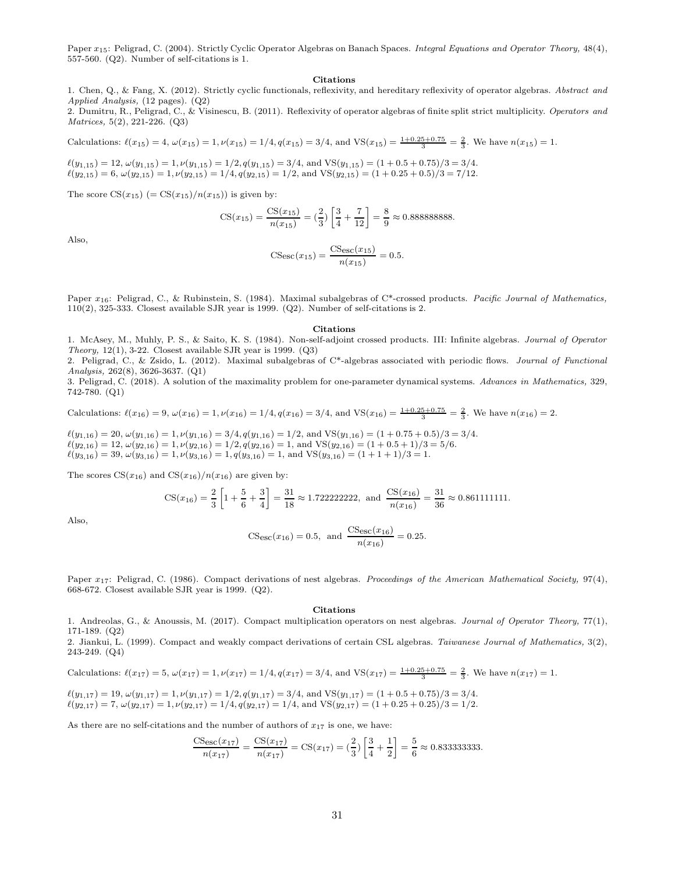Paper  $x_{15}$ : Peligrad, C. (2004). Strictly Cyclic Operator Algebras on Banach Spaces. Integral Equations and Operator Theory, 48(4), 557-560. (Q2). Number of self-citations is 1.

#### Citations

1. Chen, Q., & Fang, X. (2012). Strictly cyclic functionals, reflexivity, and hereditary reflexivity of operator algebras. Abstract and Applied Analysis, (12 pages). (Q2)

2. Dumitru, R., Peligrad, C., & Visinescu, B. (2011). Reflexivity of operator algebras of finite split strict multiplicity. Operators and Matrices, 5(2), 221-226. (Q3)

Calculations:  $\ell(x_{15}) = 4$ ,  $\omega(x_{15}) = 1$ ,  $\nu(x_{15}) = 1/4$ ,  $q(x_{15}) = 3/4$ , and  $VS(x_{15}) = \frac{1+0.25+0.75}{3} = \frac{2}{3}$ . We have  $n(x_{15}) = 1$ .

 $\ell(y_{1,15}) = 12, \omega(y_{1,15}) = 1, \nu(y_{1,15}) = 1/2, q(y_{1,15}) = 3/4$ , and  $\text{VS}(y_{1,15}) = (1 + 0.5 + 0.75)/3 = 3/4$ .  $\ell(y_{2,15}) = 6$ ,  $\omega(y_{2,15}) = 1$ ,  $\nu(y_{2,15}) = 1/4$ ,  $q(y_{2,15}) = 1/2$ , and  $VS(y_{2,15}) = (1 + 0.25 + 0.5)/3 = 7/12$ .

The score  $CS(x_{15})$  (=  $CS(x_{15})/n(x_{15})$ ) is given by:

CS(x15) = CS(x15) n(x15) = ( <sup>2</sup> 3 ) » 3 4 + 7 12 – = 8 9 ≈ 0.888888888.

Also,

$$
CS_{\rm esc}(x_{15}) = \frac{CS_{\rm esc}(x_{15})}{n(x_{15})} = 0.5.
$$

Paper  $x_{16}$ : Peligrad, C., & Rubinstein, S. (1984). Maximal subalgebras of C\*-crossed products. Pacific Journal of Mathematics, 110(2), 325-333. Closest available SJR year is 1999. (Q2). Number of self-citations is 2.

#### Citations

1. McAsey, M., Muhly, P. S., & Saito, K. S. (1984). Non-self-adjoint crossed products. III: Infinite algebras. Journal of Operator Theory,  $12(1)$ , 3-22. Closest available SJR year is 1999.  $(Q3)$ 

2. Peligrad, C., & Zsido, L. (2012). Maximal subalgebras of C\*-algebras associated with periodic flows. Journal of Functional Analysis, 262(8), 3626-3637. (Q1)

3. Peligrad, C. (2018). A solution of the maximality problem for one-parameter dynamical systems. Advances in Mathematics, 329, 742-780. (Q1)

Calculations:  $\ell(x_{16}) = 9$ ,  $\omega(x_{16}) = 1$ ,  $\nu(x_{16}) = 1/4$ ,  $q(x_{16}) = 3/4$ , and  $VS(x_{16}) = \frac{1+0.25+0.75}{3} = \frac{2}{3}$ . We have  $n(x_{16}) = 2$ .

 $\ell(y_{1,16}) = 20, \omega(y_{1,16}) = 1, \nu(y_{1,16}) = 3/4, q(y_{1,16}) = 1/2, \text{ and } \text{VS}(y_{1,16}) = (1 + 0.75 + 0.5)/3 = 3/4.$  $\ell(y_{2,16}) = 12, \omega(y_{2,16}) = 1, \nu(y_{2,16}) = 1/2, q(y_{2,16}) = 1$ , and  $\text{VS}(y_{2,16}) = (1 + 0.5 + 1)/3 = 5/6$ .  $\ell(y_{3,16}) = 39, \ \omega(y_{3,16}) = 1, \nu(y_{3,16}) = 1, q(y_{3,16}) = 1, \text{ and } \text{VS}(y_{3,16}) = (1 + 1 + 1)/3 = 1.$ 

The scores  $CS(x_{16})$  and  $CS(x_{16})/n(x_{16})$  are given by:

$$
\text{CS}(x_{16}) = \frac{2}{3} \left[ 1 + \frac{5}{6} + \frac{3}{4} \right] = \frac{31}{18} \approx 1.722222222, \text{ and } \frac{\text{CS}(x_{16})}{n(x_{16})} = \frac{31}{36} \approx 0.861111111.
$$

Also,

$$
\text{CSec}(x_{16}) = 0.5, \text{ and } \frac{\text{CSec}(x_{16})}{n(x_{16})} = 0.25.
$$

Paper  $x_{17}$ : Peligrad, C. (1986). Compact derivations of nest algebras. Proceedings of the American Mathematical Society, 97(4), 668-672. Closest available SJR year is 1999. (Q2).

#### Citations

1. Andreolas, G., & Anoussis, M. (2017). Compact multiplication operators on nest algebras. Journal of Operator Theory, 77(1), 171-189. (Q2)

2. Jiankui, L. (1999). Compact and weakly compact derivations of certain CSL algebras. Taiwanese Journal of Mathematics, 3(2), 243-249. (Q4)

Calculations: 
$$
\ell(x_{17}) = 5
$$
,  $\omega(x_{17}) = 1$ ,  $\nu(x_{17}) = 1/4$ ,  $q(x_{17}) = 3/4$ , and  $VS(x_{17}) = \frac{1+0.25+0.75}{3} = \frac{2}{3}$ . We have  $n(x_{17}) = 1$ .

 $\ell(y_{1,17}) = 19, \omega(y_{1,17}) = 1, \nu(y_{1,17}) = 1/2, q(y_{1,17}) = 3/4$ , and  $VS(y_{1,17}) = (1 + 0.5 + 0.75)/3 = 3/4$ .  $\ell(y_{2,17}) = 7$ ,  $\omega(y_{2,17}) = 1$ ,  $\nu(y_{2,17}) = 1/4$ ,  $q(y_{2,17}) = 1/4$ , and  $VS(y_{2,17}) = (1 + 0.25 + 0.25)/3 = 1/2$ .

As there are no self-citations and the number of authors of  $x_{17}$  is one, we have:

CSesc(x17) n(x17) = CS(x17) n(x17) = CS(x17) = ( <sup>2</sup> 3 ) » 3 4 + 1 2 – = 5 6 ≈ 0.833333333.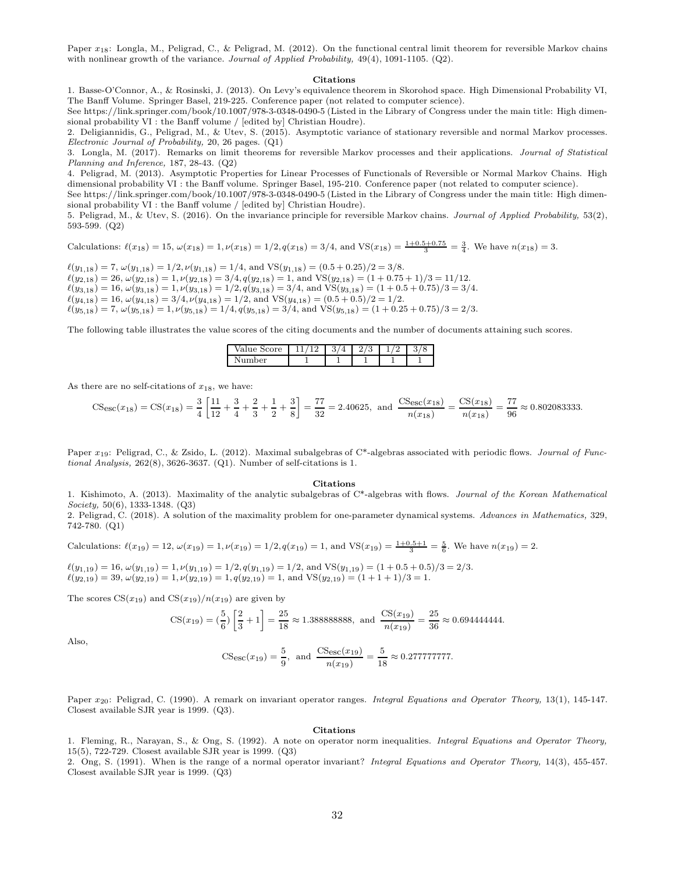Paper  $x_{18}$ : Longla, M., Peligrad, C., & Peligrad, M. (2012). On the functional central limit theorem for reversible Markov chains with nonlinear growth of the variance. Journal of Applied Probability,  $49(4)$ ,  $1091-1105$ . (Q2).

#### Citations

1. Basse-O'Connor, A., & Rosinski, J. (2013). On Levy's equivalence theorem in Skorohod space. High Dimensional Probability VI, The Banff Volume. Springer Basel, 219-225. Conference paper (not related to computer science).

See https://link.springer.com/book/10.1007/978-3-0348-0490-5 (Listed in the Library of Congress under the main title: High dimensional probability VI : the Banff volume / [edited by] Christian Houdre).

2. Deligiannidis, G., Peligrad, M., & Utev, S. (2015). Asymptotic variance of stationary reversible and normal Markov processes. Electronic Journal of Probability, 20, 26 pages. (Q1)

3. Longla, M. (2017). Remarks on limit theorems for reversible Markov processes and their applications. Journal of Statistical Planning and Inference, 187, 28-43. (Q2)

4. Peligrad, M. (2013). Asymptotic Properties for Linear Processes of Functionals of Reversible or Normal Markov Chains. High dimensional probability VI : the Banff volume. Springer Basel, 195-210. Conference paper (not related to computer science).

See https://link.springer.com/book/10.1007/978-3-0348-0490-5 (Listed in the Library of Congress under the main title: High dimensional probability VI : the Banff volume / [edited by] Christian Houdre).

5. Peligrad, M., & Utev, S. (2016). On the invariance principle for reversible Markov chains. Journal of Applied Probability, 53(2), 593-599. (Q2)

Calculations:  $\ell(x_{18}) = 15$ ,  $\omega(x_{18}) = 1$ ,  $\nu(x_{18}) = 1/2$ ,  $q(x_{18}) = 3/4$ , and  $VS(x_{18}) = \frac{1+0.5+0.75}{3} = \frac{3}{4}$ . We have  $n(x_{18}) = 3$ .

 $\ell(y_{1,18}) = 7, \ \omega(y_{1,18}) = 1/2, \nu(y_{1,18}) = 1/4, \text{ and } \text{VS}(y_{1,18}) = (0.5 + 0.25)/2 = 3/8.$  $\ell(y_{2,18}) = 26, \omega(y_{2,18}) = 1, \nu(y_{2,18}) = 3/4, q(y_{2,18}) = 1, \text{ and } \text{VS}(y_{2,18}) = (1 + 0.75 + 1)/3 = 11/12.$  $\ell(y_{3,18}) = 16, \omega(y_{3,18}) = 1, \nu(y_{3,18}) = 1/2, q(y_{3,18}) = 3/4, \text{ and } \text{VS}(y_{3,18}) = (1 + 0.5 + 0.75)/3 = 3/4.$  $\ell(y_{4,18}) = 16, \, \omega(y_{4,18}) = 3/4, \nu(y_{4,18}) = 1/2, \text{ and } \text{VS}(y_{4,18}) = (0.5 + 0.5)/2 = 1/2.$  $\ell(y_{5,18}) = 7, \omega(y_{5,18}) = 1, \nu(y_{5,18}) = 1/4, q(y_{5,18}) = 3/4, \text{ and } \text{VS}(y_{5,18}) = (1 + 0.25 + 0.75)/3 = 2/3.$ 

The following table illustrates the value scores of the citing documents and the number of documents attaining such scores.

| ore<br>΄al      | ບ | . .<br>υ | ಀ<br>◡ |
|-----------------|---|----------|--------|
| ٦.<br>.1er<br>ິ |   |          |        |

As there are no self-citations of  $x_{18}$ , we have:

$$
\text{CSec}(x_{18}) = \text{CS}(x_{18}) = \frac{3}{4} \left[ \frac{11}{12} + \frac{3}{4} + \frac{2}{3} + \frac{1}{2} + \frac{3}{8} \right] = \frac{77}{32} = 2.40625, \text{ and } \frac{\text{CSec}(x_{18})}{n(x_{18})} = \frac{\text{CS}(x_{18})}{n(x_{18})} = \frac{77}{96} \approx 0.802083333.
$$

Paper  $x_{19}$ : Peligrad, C., & Zsido, L. (2012). Maximal subalgebras of C\*-algebras associated with periodic flows. Journal of Functional Analysis, 262(8), 3626-3637. (Q1). Number of self-citations is 1.

#### Citations

1. Kishimoto, A. (2013). Maximality of the analytic subalgebras of C\*-algebras with flows. Journal of the Korean Mathematical Society, 50(6), 1333-1348. (Q3)

2. Peligrad, C. (2018). A solution of the maximality problem for one-parameter dynamical systems. Advances in Mathematics, 329, 742-780. (Q1)

Calculations:  $\ell(x_{19}) = 12$ ,  $\omega(x_{19}) = 1$ ,  $\nu(x_{19}) = 1/2$ ,  $q(x_{19}) = 1$ , and  $VS(x_{19}) = \frac{1+0.5+1}{3} = \frac{5}{6}$ . We have  $n(x_{19}) = 2$ .

 $\ell(y_{1,19}) = 16, \omega(y_{1,19}) = 1, \nu(y_{1,19}) = 1/2, q(y_{1,19}) = 1/2, \text{ and } \text{VS}(y_{1,19}) = (1 + 0.5 + 0.5)/3 = 2/3.$  $\ell(y_{2,19}) = 39, \omega(y_{2,19}) = 1, \nu(y_{2,19}) = 1, q(y_{2,19}) = 1, \text{ and } \text{VS}(y_{2,19}) = (1 + 1 + 1)/3 = 1.$ 

The scores  $CS(x_{19})$  and  $CS(x_{19})/n(x_{19})$  are given by

$$
\text{CS}(x_{19}) = \left(\frac{5}{6}\right) \left[\frac{2}{3} + 1\right] = \frac{25}{18} \approx 1.3888888888, \text{ and } \frac{\text{CS}(x_{19})}{n(x_{19})} = \frac{25}{36} \approx 0.694444444.
$$

Also,

$$
\text{CS}_{\text{esc}}(x_{19}) = \frac{5}{9}, \text{ and } \frac{\text{CS}_{\text{esc}}(x_{19})}{n(x_{19})} = \frac{5}{18} \approx 0.27777777777.
$$

Paper  $x_{20}$ : Peligrad, C. (1990). A remark on invariant operator ranges. Integral Equations and Operator Theory, 13(1), 145-147. Closest available SJR year is 1999. (Q3).

#### Citations

1. Fleming, R., Narayan, S., & Ong, S. (1992). A note on operator norm inequalities. Integral Equations and Operator Theory, 15(5), 722-729. Closest available SJR year is 1999. (Q3)

2. Ong, S. (1991). When is the range of a normal operator invariant? Integral Equations and Operator Theory, 14(3), 455-457. Closest available SJR year is 1999. (Q3)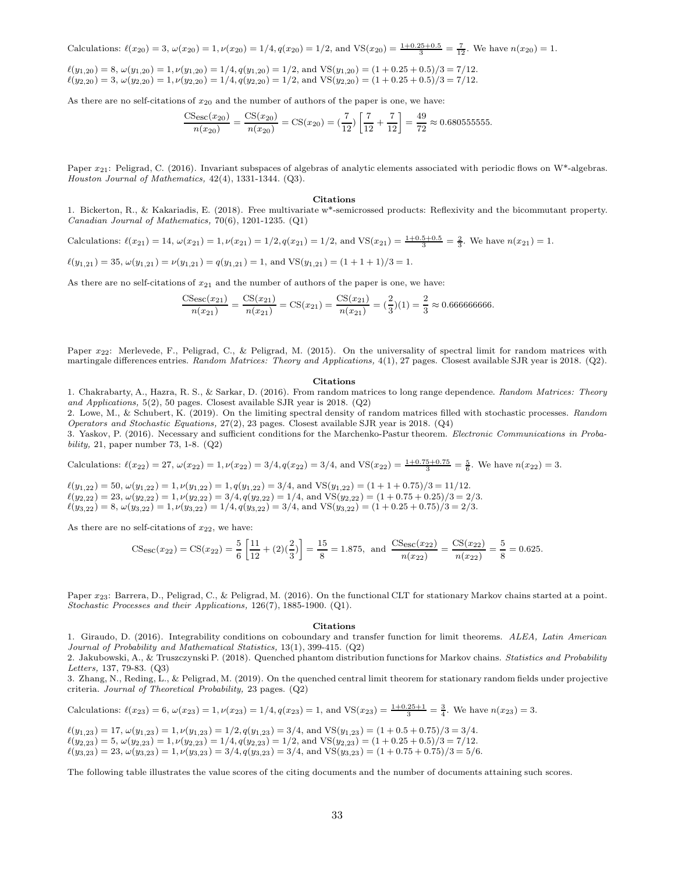Calculations: 
$$
\ell(x_{20}) = 3
$$
,  $\omega(x_{20}) = 1$ ,  $\nu(x_{20}) = 1/4$ ,  $q(x_{20}) = 1/2$ , and  $VS(x_{20}) = \frac{1+0.25+0.5}{3} = \frac{7}{12}$ . We have  $n(x_{20}) = 1$ .

$$
\ell(y_{1,20}) = 8, \omega(y_{1,20}) = 1, \nu(y_{1,20}) = 1/4, q(y_{1,20}) = 1/2, \text{ and } VS(y_{1,20}) = (1 + 0.25 + 0.5)/3 = 7/12.
$$
  

$$
\ell(y_{2,20}) = 3, \omega(y_{2,20}) = 1, \nu(y_{2,20}) = 1/4, q(y_{2,20}) = 1/2, \text{ and } VS(y_{2,20}) = (1 + 0.25 + 0.5)/3 = 7/12.
$$

As there are no self-citations of  $x_{20}$  and the number of authors of the paper is one, we have:

$$
\frac{\text{CS}_{\text{esc}}(x_{20})}{n(x_{20})} = \frac{\text{CS}(x_{20})}{n(x_{20})} = \text{CS}(x_{20}) = \left(\frac{7}{12}\right)\left[\frac{7}{12} + \frac{7}{12}\right] = \frac{49}{72} \approx 0.680555555.
$$

Paper  $x_{21}$ : Peligrad, C. (2016). Invariant subspaces of algebras of analytic elements associated with periodic flows on W\*-algebras. Houston Journal of Mathematics, 42(4), 1331-1344. (Q3).

#### Citations

1. Bickerton, R., & Kakariadis, E. (2018). Free multivariate w\*-semicrossed products: Reflexivity and the bicommutant property. Canadian Journal of Mathematics, 70(6), 1201-1235. (Q1)

Calculations: 
$$
\ell(x_{21}) = 14
$$
,  $\omega(x_{21}) = 1$ ,  $\nu(x_{21}) = 1/2$ ,  $q(x_{21}) = 1/2$ , and  $VS(x_{21}) = \frac{1+0.5+0.5}{3} = \frac{2}{3}$ . We have  $n(x_{21}) = 1$ .

$$
\ell(y_{1,21}) = 35, \, \omega(y_{1,21}) = \nu(y_{1,21}) = q(y_{1,21}) = 1, \text{ and } \text{VS}(y_{1,21}) = (1+1+1)/3 = 1.
$$

As there are no self-citations of  $x_{21}$  and the number of authors of the paper is one, we have:

CSesc(x21) n(x21) = CS(x21) n(x21) = CS(x21) = CS(x21) n(x21) = ( <sup>2</sup> 3 )(1) = <sup>2</sup> 3 ≈ 0.666666666.

Paper  $x_{22}$ : Merlevede, F., Peligrad, C., & Peligrad, M. (2015). On the universality of spectral limit for random matrices with martingale differences entries. Random Matrices: Theory and Applications, 4(1), 27 pages. Closest available SJR year is 2018. (Q2).

#### Citations

1. Chakrabarty, A., Hazra, R. S., & Sarkar, D. (2016). From random matrices to long range dependence. Random Matrices: Theory and Applications, 5(2), 50 pages. Closest available SJR year is 2018. (Q2)

2. Lowe, M., & Schubert, K. (2019). On the limiting spectral density of random matrices filled with stochastic processes. Random Operators and Stochastic Equations, 27(2), 23 pages. Closest available SJR year is 2018. (Q4)

3. Yaskov, P. (2016). Necessary and sufficient conditions for the Marchenko-Pastur theorem. Electronic Communications in Probability, 21, paper number 73, 1-8. (Q2)

Calculations: 
$$
\ell(x_{22}) = 27
$$
,  $\omega(x_{22}) = 1$ ,  $\nu(x_{22}) = 3/4$ ,  $q(x_{22}) = 3/4$ , and  $VS(x_{22}) = \frac{1+0.75+0.75}{3} = \frac{5}{6}$ . We have  $n(x_{22}) = 3$ .

 $\ell(y_{1,22}) = 50, \omega(y_{1,22}) = 1, \nu(y_{1,22}) = 1, q(y_{1,22}) = 3/4$ , and  $VS(y_{1,22}) = (1 + 1 + 0.75)/3 = 11/12$ .  $\ell(y_{2,22}) = 23, \omega(y_{2,22}) = 1, \nu(y_{2,22}) = 3/4, q(y_{2,22}) = 1/4, \text{ and } \text{VS}(y_{2,22}) = (1 + 0.75 + 0.25)/3 = 2/3.$  $\ell(y_{3,22}) = 8$ ,  $\omega(y_{3,22}) = 1$ ,  $\nu(y_{3,22}) = 1/4$ ,  $q(y_{3,22}) = 3/4$ , and VS $(y_{3,22}) = (1 + 0.25 + 0.75)/3 = 2/3$ .

As there are no self-citations of  $x_{22}$ , we have:

$$
\text{CSesc}(x_{22}) = \text{CS}(x_{22}) = \frac{5}{6} \left[ \frac{11}{12} + (2)\left(\frac{2}{3}\right) \right] = \frac{15}{8} = 1.875, \text{ and } \frac{\text{CSesc}(x_{22})}{n(x_{22})} = \frac{\text{CS}(x_{22})}{n(x_{22})} = \frac{5}{8} = 0.625.
$$

Paper  $x_{23}$ : Barrera, D., Peligrad, C., & Peligrad, M. (2016). On the functional CLT for stationary Markov chains started at a point. Stochastic Processes and their Applications, 126(7), 1885-1900. (Q1).

#### Citations

1. Giraudo, D. (2016). Integrability conditions on coboundary and transfer function for limit theorems. ALEA, Latin American Journal of Probability and Mathematical Statistics, 13(1), 399-415. (Q2)

2. Jakubowski, A., & Truszczynski P. (2018). Quenched phantom distribution functions for Markov chains. Statistics and Probability Letters, 137, 79-83. (Q3)

3. Zhang, N., Reding, L., & Peligrad, M. (2019). On the quenched central limit theorem for stationary random fields under projective criteria. Journal of Theoretical Probability, 23 pages. (Q2)

Calculations:  $\ell(x_{23}) = 6$ ,  $\omega(x_{23}) = 1$ ,  $\nu(x_{23}) = 1/4$ ,  $q(x_{23}) = 1$ , and  $VS(x_{23}) = \frac{1+0.25+1}{3} = \frac{3}{4}$ . We have  $n(x_{23}) = 3$ .

 $\ell(y_{1,23}) = 17, \omega(y_{1,23}) = 1, \nu(y_{1,23}) = 1/2, q(y_{1,23}) = 3/4$ , and  $\text{VS}(y_{1,23}) = (1 + 0.5 + 0.75)/3 = 3/4$ .  $\ell(y_{2,23}) = 5$ ,  $\omega(y_{2,23}) = 1$ ,  $\nu(y_{2,23}) = 1/4$ ,  $q(y_{2,23}) = 1/2$ , and  $\text{VS}(y_{2,23}) = (1 + 0.25 + 0.5)/3 = 7/12$ .  $\ell(y_{3,23}) = 23, \omega(y_{3,23}) = 1, \nu(y_{3,23}) = 3/4, q(y_{3,23}) = 3/4, \text{ and } \text{VS}(y_{3,23}) = (1 + 0.75 + 0.75)/3 = 5/6.$ 

The following table illustrates the value scores of the citing documents and the number of documents attaining such scores.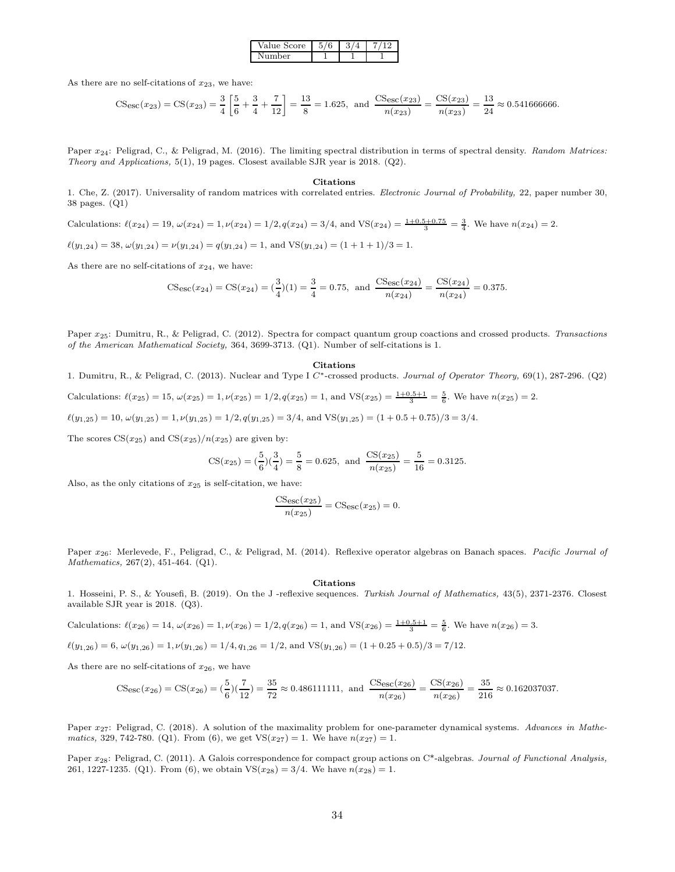| Value Score | 6 |  |
|-------------|---|--|
| Number      |   |  |

As there are no self-citations of  $x_{23}$ , we have:

$$
\text{CS}_{\text{esc}}(x_{23}) = \text{CS}(x_{23}) = \frac{3}{4} \left[ \frac{5}{6} + \frac{3}{4} + \frac{7}{12} \right] = \frac{13}{8} = 1.625, \text{ and } \frac{\text{CS}_{\text{esc}}(x_{23})}{n(x_{23})} = \frac{\text{CS}(x_{23})}{n(x_{23})} = \frac{13}{24} \approx 0.541666666.
$$

Paper  $x_{24}$ : Peligrad, C., & Peligrad, M. (2016). The limiting spectral distribution in terms of spectral density. Random Matrices: Theory and Applications, 5(1), 19 pages. Closest available SJR year is 2018. (Q2).

#### Citations

1. Che, Z. (2017). Universality of random matrices with correlated entries. Electronic Journal of Probability, 22, paper number 30, 38 pages. (Q1)

Calculations: 
$$
\ell(x_{24}) = 19
$$
,  $\omega(x_{24}) = 1$ ,  $\nu(x_{24}) = 1/2$ ,  $q(x_{24}) = 3/4$ , and  $VS(x_{24}) = \frac{1+0.5+0.75}{3} = \frac{3}{4}$ . We have  $n(x_{24}) = 2$ .

$$
\ell(y_{1,24}) = 38, \, \omega(y_{1,24}) = \nu(y_{1,24}) = q(y_{1,24}) = 1, \text{ and } \text{VS}(y_{1,24}) = (1+1+1)/3 = 1.
$$

As there are no self-citations of  $x_{24}$ , we have:

$$
\text{CSesc}(x_{24}) = \text{CS}(x_{24}) = \left(\frac{3}{4}\right)(1) = \frac{3}{4} = 0.75, \text{ and } \frac{\text{CSesc}(x_{24})}{n(x_{24})} = \frac{\text{CS}(x_{24})}{n(x_{24})} = 0.375.
$$

Paper x25: Dumitru, R., & Peligrad, C. (2012). Spectra for compact quantum group coactions and crossed products. Transactions of the American Mathematical Society, 364, 3699-3713. (Q1). Number of self-citations is 1.

#### Citations

1. Dumitru, R., & Peligrad, C. (2013). Nuclear and Type I C<sup>\*</sup>-crossed products. Journal of Operator Theory, 69(1), 287-296. (Q2)

Calculations:  $\ell(x_{25}) = 15$ ,  $\omega(x_{25}) = 1$ ,  $\nu(x_{25}) = 1/2$ ,  $q(x_{25}) = 1$ , and  $VS(x_{25}) = \frac{1+0.5+1}{3} = \frac{5}{6}$ . We have  $n(x_{25}) = 2$ .

 $\ell(y_{1,25}) = 10$ ,  $\omega(y_{1,25}) = 1$ ,  $\nu(y_{1,25}) = 1/2$ ,  $q(y_{1,25}) = 3/4$ , and  $VS(y_{1,25}) = (1 + 0.5 + 0.75)/3 = 3/4$ .

The scores  $CS(x_{25})$  and  $CS(x_{25})/n(x_{25})$  are given by:

$$
\text{CS}(x_{25}) = \left(\frac{5}{6}\right)\left(\frac{3}{4}\right) = \frac{5}{8} = 0.625, \text{ and } \frac{\text{CS}(x_{25})}{n(x_{25})} = \frac{5}{16} = 0.3125.
$$

Also, as the only citations of  $x_{25}$  is self-citation, we have:

$$
\frac{\text{CS}_{\text{esc}}(x_{25})}{n(x_{25})} = \text{CS}_{\text{esc}}(x_{25}) = 0.
$$

Paper  $x_{26}$ : Merlevede, F., Peligrad, C., & Peligrad, M. (2014). Reflexive operator algebras on Banach spaces. Pacific Journal of Mathematics, 267(2), 451-464. (Q1).

#### Citations

1. Hosseini, P. S., & Yousefi, B. (2019). On the J -reflexive sequences. Turkish Journal of Mathematics, 43(5), 2371-2376. Closest available SJR year is 2018. (Q3).

Calculations: 
$$
\ell(x_{26}) = 14
$$
,  $\omega(x_{26}) = 1$ ,  $\nu(x_{26}) = 1/2$ ,  $q(x_{26}) = 1$ , and  $VS(x_{26}) = \frac{1+0.5+1}{3} = \frac{5}{6}$ . We have  $n(x_{26}) = 3$ .

$$
\ell(y_{1,26}) = 6, \ \omega(y_{1,26}) = 1, \ \nu(y_{1,26}) = 1/4, \ q_{1,26} = 1/2, \text{ and } \text{VS}(y_{1,26}) = (1 + 0.25 + 0.5)/3 = 7/12.
$$

As there are no self-citations of  $x_{26}$ , we have

$$
\text{CSesc}(x_{26}) = \text{CS}(x_{26}) = \left(\frac{5}{6}\right)\left(\frac{7}{12}\right) = \frac{35}{72} \approx 0.486111111, \text{ and } \frac{\text{CSesc}(x_{26})}{n(x_{26})} = \frac{\text{CS}(x_{26})}{n(x_{26})} = \frac{35}{216} \approx 0.162037037.
$$

Paper x<sub>27</sub>: Peligrad, C. (2018). A solution of the maximality problem for one-parameter dynamical systems. Advances in Mathematics, 329, 742-780. (Q1). From (6), we get  $VS(x_{27}) = 1$ . We have  $n(x_{27}) = 1$ .

Paper x<sub>28</sub>: Peligrad, C. (2011). A Galois correspondence for compact group actions on C\*-algebras. Journal of Functional Analysis, 261, 1227-1235. (Q1). From (6), we obtain  $VS(x_{28}) = 3/4$ . We have  $n(x_{28}) = 1$ .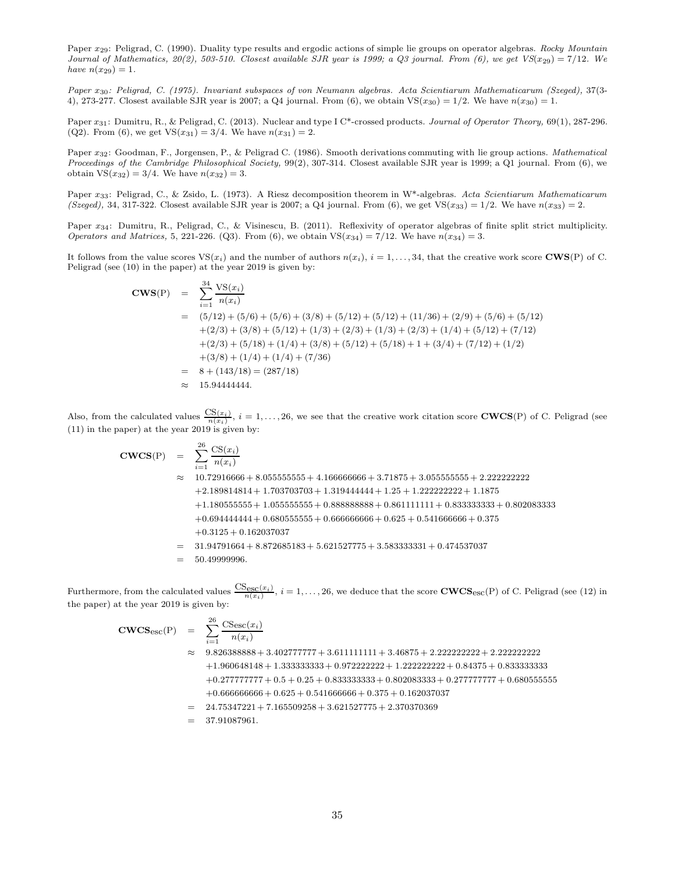Paper  $x_{29}$ : Peligrad, C. (1990). Duality type results and ergodic actions of simple lie groups on operator algebras. Rocky Mountain Journal of Mathematics,  $20(2)$ , 503-510. Closest available SJR year is 1999; a Q3 journal. From (6), we get  $VS(x_{29}) = 7/12$ . We have  $n(x_{29}) = 1$ .

Paper x30: Peligrad, C. (1975). Invariant subspaces of von Neumann algebras. Acta Scientiarum Mathematicarum (Szeged), 37(3- 4), 273-277. Closest available SJR year is 2007; a Q4 journal. From  $(6)$ , we obtain VS $(x_{30}) = 1/2$ . We have  $n(x_{30}) = 1$ .

Paper  $x_{31}$ : Dumitru, R., & Peligrad, C. (2013). Nuclear and type I C\*-crossed products. Journal of Operator Theory, 69(1), 287-296. (Q2). From (6), we get  $VS(x_{31}) = 3/4$ . We have  $n(x_{31}) = 2$ .

Paper x32: Goodman, F., Jorgensen, P., & Peligrad C. (1986). Smooth derivations commuting with lie group actions. Mathematical Proceedings of the Cambridge Philosophical Society, 99(2), 307-314. Closest available SJR year is 1999; a Q1 journal. From (6), we obtain  $VS(x_{32}) = 3/4$ . We have  $n(x_{32}) = 3$ .

Paper x<sub>33</sub>: Peligrad, C., & Zsido, L. (1973). A Riesz decomposition theorem in W<sup>\*</sup>-algebras. Acta Scientiarum Mathematicarum (Szeged), 34, 317-322. Closest available SJR year is 2007; a Q4 journal. From (6), we get VS( $x_{33}$ ) = 1/2. We have  $n(x_{33}) = 2$ .

Paper x<sub>34</sub>: Dumitru, R., Peligrad, C., & Visinescu, B. (2011). Reflexivity of operator algebras of finite split strict multiplicity. *Operators and Matrices*, 5, 221-226. (Q3). From (6), we obtain  $VS(x_{34}) = 7/12$ . We have  $n(x_{34}) = 3$ .

It follows from the value scores  $VS(x_i)$  and the number of authors  $n(x_i)$ ,  $i = 1, \ldots, 34$ , that the creative work score CWS(P) of C. Peligrad (see (10) in the paper) at the year 2019 is given by:

$$
\begin{aligned}\n\text{CWS(P)} &= \sum_{i=1}^{34} \frac{\text{VS}(x_i)}{n(x_i)} \\
&= (5/12) + (5/6) + (5/6) + (3/8) + (5/12) + (5/12) + (11/36) + (2/9) + (5/6) + (5/12) \\
&\quad + (2/3) + (3/8) + (5/12) + (1/3) + (2/3) + (1/3) + (2/3) + (1/4) + (5/12) + (7/12) \\
&\quad + (2/3) + (5/18) + (1/4) + (3/8) + (5/12) + (5/18) + 1 + (3/4) + (7/12) + (1/2) \\
&\quad + (3/8) + (1/4) + (1/4) + (7/36) \\
&= 8 + (143/18) = (287/18) \\
&\approx 15.94444444.\n\end{aligned}
$$

Also, from the calculated values  $\frac{CS(x_i)}{n(x_i)}$ ,  $i = 1, \ldots, 26$ , we see that the creative work citation score **CWCS**(P) of C. Peligrad (see (11) in the paper) at the year 2019 is given by:

$$
\begin{array}{rcl}\n\textbf{CWCS}(\text{P}) &=& \sum_{i=1}^{26} \frac{\text{CS}(x_i)}{n(x_i)} \\
&=& 10.72916666 + 8.055555555 + 4.166666666 + 3.71875 + 3.055555555 + 2.222222222 \\
&+2.189814814 + 1.703703703 + 1.319444444 + 1.25 + 1.2222222222 + 1.1875 \\
&+1.180555555 + 1.055555555 + 0.888888888 + 0.861111111 + 0.833333333 + 0.802083333 \\
&+ 0.694444444 + 0.680555555 + 0.66666666 + 0.625 + 0.54166666 + 0.375 \\
&+ 0.3125 + 0.162037037 \\
&=& 31.94791664 + 8.872685183 + 5.621527775 + 3.583333331 + 0.474537037 \\
&=& 50.49999996.\n\end{array}
$$

Furthermore, from the calculated values  $\frac{\text{CS}_{\text{esc}}(x_i)}{n(x_i)}$ ,  $i = 1, \ldots, 26$ , we deduce that the score  $\text{CWCS}_{\text{esc}}(P)$  of C. Peligrad (see (12) in the paper) at the year 2019 is given by:

$$
\begin{array}{rcl}\n\textbf{CWCS}_{\text{esc}}(P) & = & \sum_{i=1}^{26} \frac{\text{CS}_{\text{esc}}(x_i)}{n(x_i)} \\
& & 9.826388888 + 3.402777777 + 3.611111111 + 3.46875 + 2.2222222222 + 2.222222222 \\
& & + 1.960648148 + 1.333333333 + 0.972222222 + 1.222222222 + 0.84375 + 0.833333333 \\
& & + 0.277777777 + 0.5 + 0.25 + 0.833333333 + 0.802083333 + 0.277777777 + 0.68055555 \\
& & + 0.666666666 + 0.625 + 0.541666666 + 0.375 + 0.162037037 \\
& & & & 24.75347221 + 7.165509258 + 3.621527775 + 2.370370369 \\
& & & & 37.91087961.\n\end{array}
$$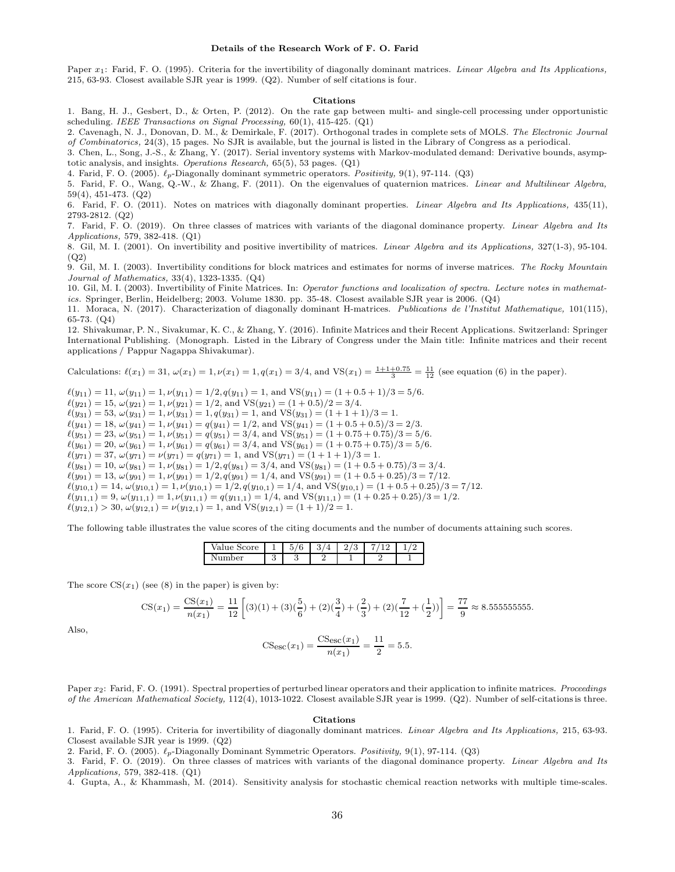#### Details of the Research Work of F. O. Farid

Paper x<sub>1</sub>: Farid, F. O. (1995). Criteria for the invertibility of diagonally dominant matrices. *Linear Algebra and Its Applications*, 215, 63-93. Closest available SJR year is 1999. (Q2). Number of self citations is four.

#### Citations

1. Bang, H. J., Gesbert, D., & Orten, P. (2012). On the rate gap between multi- and single-cell processing under opportunistic scheduling. IEEE Transactions on Signal Processing,  $60(1)$ ,  $415-425$ . (Q1)

2. Cavenagh, N. J., Donovan, D. M., & Demirkale, F. (2017). Orthogonal trades in complete sets of MOLS. The Electronic Journal of Combinatorics, 24(3), 15 pages. No SJR is available, but the journal is listed in the Library of Congress as a periodical.

3. Chen, L., Song, J.-S., & Zhang, Y. (2017). Serial inventory systems with Markov-modulated demand: Derivative bounds, asymptotic analysis, and insights. Operations Research, 65(5), 53 pages. (Q1)

4. Farid, F. O. (2005).  $\ell_p$ -Diagonally dominant symmetric operators. Positivity, 9(1), 97-114. (Q3)

5. Farid, F. O., Wang, Q.-W., & Zhang, F. (2011). On the eigenvalues of quaternion matrices. Linear and Multilinear Algebra, 59(4), 451-473. (Q2)

6. Farid, F. O. (2011). Notes on matrices with diagonally dominant properties. Linear Algebra and Its Applications, 435(11), 2793-2812. (Q2)

7. Farid, F. O. (2019). On three classes of matrices with variants of the diagonal dominance property. Linear Algebra and Its Applications, 579, 382-418. (Q1)

8. Gil, M. I. (2001). On invertibility and positive invertibility of matrices. Linear Algebra and its Applications, 327(1-3), 95-104. (Q2)

9. Gil, M. I. (2003). Invertibility conditions for block matrices and estimates for norms of inverse matrices. The Rocky Mountain Journal of Mathematics, 33(4), 1323-1335. (Q4)

10. Gil, M. I. (2003). Invertibility of Finite Matrices. In: Operator functions and localization of spectra. Lecture notes in mathematics. Springer, Berlin, Heidelberg; 2003. Volume 1830. pp. 35-48. Closest available SJR year is 2006. (Q4)

11. Moraca, N. (2017). Characterization of diagonally dominant H-matrices. Publications de l'Institut Mathematique, 101(115), 65-73. (Q4)

12. Shivakumar, P. N., Sivakumar, K. C., & Zhang, Y. (2016). Infinite Matrices and their Recent Applications. Switzerland: Springer International Publishing. (Monograph. Listed in the Library of Congress under the Main title: Infinite matrices and their recent applications / Pappur Nagappa Shivakumar).

Calculations:  $\ell(x_1) = 31$ ,  $\omega(x_1) = 1$ ,  $\nu(x_1) = 1$ ,  $q(x_1) = 3/4$ , and  $VS(x_1) = \frac{1+1+0.75}{3} = \frac{11}{12}$  (see equation (6) in the paper).

 $\ell(y_{11}) = 11, \omega(y_{11}) = 1, \nu(y_{11}) = 1/2, q(y_{11}) = 1, \text{ and } \text{VS}(y_{11}) = (1 + 0.5 + 1)/3 = 5/6.$  $\ell(y_{21}) = 15, \, \omega(y_{21}) = 1, \, \nu(y_{21}) = 1/2, \, \text{and } \text{VS}(y_{21}) = (1 + 0.5)/2 = 3/4.$  $\ell(y_{31}) = 53, \ \omega(y_{31}) = 1, \nu(y_{31}) = 1, q(y_{31}) = 1, \text{ and } \text{VS}(y_{31}) = (1 + 1 + 1)/3 = 1.$  $\ell(y_{41}) = 18, \, \omega(y_{41}) = 1, \, \nu(y_{41}) = q(y_{41}) = 1/2, \, \text{and } \text{VS}(y_{41}) = (1 + 0.5 + 0.5)/3 = 2/3.$  $\ell(y_{51}) = 23, \omega(y_{51}) = 1, \nu(y_{51}) = q(y_{51}) = 3/4, \text{ and } \text{VS}(y_{51}) = (1 + 0.75 + 0.75)/3 = 5/6.$  $\ell(y_{61}) = 20, \omega(y_{61}) = 1, \nu(y_{61}) = q(y_{61}) = 3/4$ , and  $VS(y_{61}) = (1 + 0.75 + 0.75)/3 = 5/6$ .  $\ell(y_{71}) = 37, \ \omega(y_{71}) = \nu(y_{71}) = q(y_{71}) = 1$ , and VS $(y_{71}) = (1 + 1 + 1)/3 = 1$ .  $\ell(y_{81}) = 10, \omega(y_{81}) = 1, \nu(y_{81}) = 1/2, q(y_{81}) = 3/4, \text{ and } \text{VS}(y_{81}) = (1 + 0.5 + 0.75)/3 = 3/4.$  $\ell(y_{91}) = 13, \omega(y_{91}) = 1, \nu(y_{91}) = 1/2, q(y_{91}) = 1/4$ , and  $VS(y_{91}) = (1 + 0.5 + 0.25)/3 = 7/12$ .  $\ell(y_{10,1}) = 14$ ,  $\omega(y_{10,1}) = 1$ ,  $\nu(y_{10,1}) = 1/2$ ,  $q(y_{10,1}) = 1/4$ , and VS $(y_{10,1}) = (1 + 0.5 + 0.25)/3 = 7/12$ .  $\ell(y_{11,1}) = 9, \omega(y_{11,1}) = 1, \nu(y_{11,1}) = q(y_{11,1}) = 1/4$ , and  $VS(y_{11,1}) = (1 + 0.25 + 0.25)/3 = 1/2$ .  $\ell(y_{12,1}) > 30, \omega(y_{12,1}) = \nu(y_{12,1}) = 1$ , and VS $(y_{12,1}) = (1 + 1)/2 = 1$ .

The following table illustrates the value scores of the citing documents and the number of documents attaining such scores.

| ъı<br>∼                                         |          | $\sqrt{2}$<br>-<br>u<br>v | ↶<br>ັ | ບ |  |
|-------------------------------------------------|----------|---------------------------|--------|---|--|
| $_{\alpha r}$<br>ъ.<br>$\overline{\phantom{a}}$ | c<br>منه | .,                        |        |   |  |

The score  $CS(x_1)$  (see (8) in the paper) is given by:

$$
CS(x_1) = \frac{CS(x_1)}{n(x_1)} = \frac{11}{12} \left[ (3)(1) + (3)(\frac{5}{6}) + (2)(\frac{3}{4}) + (\frac{2}{3}) + (2)(\frac{7}{12} + (\frac{1}{2})) \right] = \frac{77}{9} \approx 8.5555555555.
$$

Also,

$$
CSesc(x_1) = \frac{CSesc(x_1)}{n(x_1)} = \frac{11}{2} = 5.5.
$$

Paper  $x_2$ : Farid, F. O. (1991). Spectral properties of perturbed linear operators and their application to infinite matrices. Proceedings of the American Mathematical Society, 112(4), 1013-1022. Closest available SJR year is 1999. (Q2). Number of self-citations is three.

#### Citations

1. Farid, F. O. (1995). Criteria for invertibility of diagonally dominant matrices. Linear Algebra and Its Applications, 215, 63-93. Closest available SJR year is 1999. (Q2)

2. Farid, F. O. (2005).  $\ell_p$ -Diagonally Dominant Symmetric Operators. Positivity, 9(1), 97-114. (Q3)

3. Farid, F. O. (2019). On three classes of matrices with variants of the diagonal dominance property. Linear Algebra and Its Applications, 579, 382-418. (Q1)

4. Gupta, A., & Khammash, M. (2014). Sensitivity analysis for stochastic chemical reaction networks with multiple time-scales.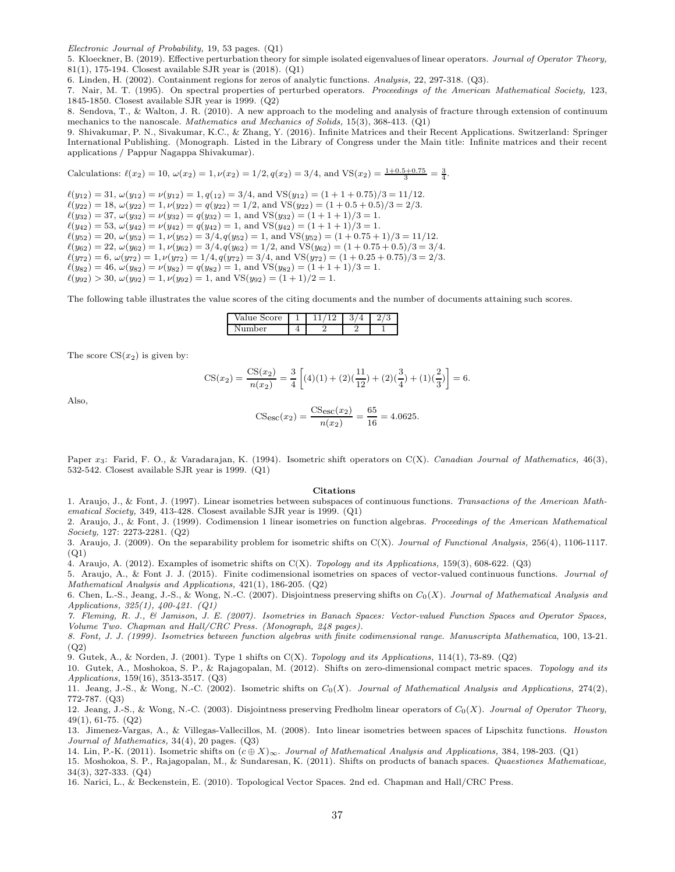Electronic Journal of Probability, 19, 53 pages. (Q1)

5. Kloeckner, B. (2019). Effective perturbation theory for simple isolated eigenvalues of linear operators. Journal of Operator Theory, 81(1), 175-194. Closest available SJR year is (2018). (Q1)

6. Linden, H. (2002). Containment regions for zeros of analytic functions. Analysis, 22, 297-318. (Q3).

7. Nair, M. T. (1995). On spectral properties of perturbed operators. Proceedings of the American Mathematical Society, 123, 1845-1850. Closest available SJR year is 1999. (Q2)

8. Sendova, T., & Walton, J. R. (2010). A new approach to the modeling and analysis of fracture through extension of continuum mechanics to the nanoscale. Mathematics and Mechanics of Solids, 15(3), 368-413. (Q1)

9. Shivakumar, P. N., Sivakumar, K.C., & Zhang, Y. (2016). Infinite Matrices and their Recent Applications. Switzerland: Springer International Publishing. (Monograph. Listed in the Library of Congress under the Main title: Infinite matrices and their recent applications / Pappur Nagappa Shivakumar).

Calculations: 
$$
\ell(x_2) = 10
$$
,  $\omega(x_2) = 1$ ,  $\nu(x_2) = 1/2$ ,  $q(x_2) = 3/4$ , and  $VS(x_2) = \frac{1+0.5+0.75}{3} = \frac{3}{4}$ .

 $\ell(y_{12}) = 31, \, \omega(y_{12}) = \nu(y_{12}) = 1, \, q(12) = 3/4, \, \text{and } \text{VS}(y_{12}) = (1 + 1 + 0.75)/3 = 11/12.$  $\ell(y_{22}) = 18, \, \omega(y_{22}) = 1, \nu(y_{22}) = q(y_{22}) = 1/2$ , and  $\text{VS}(y_{22}) = (1 + 0.5 + 0.5)/3 = 2/3$ .  $\ell(y_{32}) = 37, \, \omega(y_{32}) = \nu(y_{32}) = q(y_{32}) = 1, \text{ and } \text{VS}(y_{32}) = (1 + 1 + 1)/3 = 1.$  $\ell(y_{42}) = 53, \ \omega(y_{42}) = \nu(y_{42}) = q(y_{42}) = 1, \text{ and } \text{VS}(y_{42}) = (1 + 1 + 1)/3 = 1.$  $\ell(y_{52}) = 20, \ \omega(y_{52}) = 1, \ \nu(y_{52}) = 3/4, q(y_{52}) = 1, \text{ and } \text{VS}(y_{52}) = (1 + 0.75 + 1)/3 = 11/12.$  $\ell(y_{62}) = 22, \omega(y_{62}) = 1, \nu(y_{62}) = 3/4, q(y_{62}) = 1/2, \text{ and } \text{VS}(y_{62}) = (1 + 0.75 + 0.5)/3 = 3/4.$  $\ell(y_{72}) = 6, \omega(y_{72}) = 1, \nu(y_{72}) = 1/4, q(y_{72}) = 3/4, \text{ and } \text{VS}(y_{72}) = (1 + 0.25 + 0.75)/3 = 2/3.$  $\ell(y_{82}) = 46, \ \omega(y_{82}) = \nu(y_{82}) = q(y_{82}) = 1, \text{ and } \text{VS}(y_{82}) = (1 + 1 + 1)/3 = 1.$  $\ell(y_{92}) > 30, \, \omega(y_{92}) = 1, \, \nu(y_{92}) = 1, \, \text{and } \text{VS}(y_{92}) = (1 + 1)/2 = 1.$ 

The following table illustrates the value scores of the citing documents and the number of documents attaining such scores.

| Score<br>value |  | c | c<br>ی |
|----------------|--|---|--------|
| ٦Ar            |  |   |        |

The score  $CS(x_2)$  is given by:

$$
CS(x_2) = \frac{CS(x_2)}{n(x_2)} = \frac{3}{4} \left[ (4)(1) + (2)(\frac{11}{12}) + (2)(\frac{3}{4}) + (1)(\frac{2}{3}) \right] = 6.
$$

Also,

$$
\text{CSesc}(x_2) = \frac{\text{CSesc}(x_2)}{n(x_2)} = \frac{65}{16} = 4.0625.
$$

Paper x<sub>3</sub>: Farid, F. O., & Varadarajan, K. (1994). Isometric shift operators on C(X). Canadian Journal of Mathematics, 46(3), 532-542. Closest available SJR year is 1999. (Q1)

### Citations

1. Araujo, J., & Font, J. (1997). Linear isometries between subspaces of continuous functions. Transactions of the American Mathematical Society, 349, 413-428. Closest available SJR year is 1999. (Q1)

2. Araujo, J., & Font, J. (1999). Codimension 1 linear isometries on function algebras. Proceedings of the American Mathematical Society, 127: 2273-2281. (Q2)

3. Araujo, J. (2009). On the separability problem for isometric shifts on C(X). Journal of Functional Analysis, 256(4), 1106-1117. (Q1)

4. Araujo, A. (2012). Examples of isometric shifts on  $C(X)$ . Topology and its Applications, 159(3), 608-622. (Q3)

5. Araujo, A., & Font J. J. (2015). Finite codimensional isometries on spaces of vector-valued continuous functions. Journal of Mathematical Analysis and Applications, 421(1), 186-205. (Q2)

6. Chen, L.-S., Jeang, J.-S., & Wong, N.-C. (2007). Disjointness preserving shifts on  $C_0(X)$ . Journal of Mathematical Analysis and Applications, 325(1), 400-421. (Q1)

7. Fleming, R. J., & Jamison, J. E. (2007). Isometries in Banach Spaces: Vector-valued Function Spaces and Operator Spaces, Volume Two. Chapman and Hall/CRC Press. (Monograph, 248 pages).

8. Font, J. J. (1999). Isometries between function algebras with finite codimensional range. Manuscripta Mathematica, 100, 13-21. (Q2)

9. Gutek, A., & Norden, J. (2001). Type 1 shifts on C(X). Topology and its Applications, 114(1), 73-89. (Q2)

10. Gutek, A., Moshokoa, S. P., & Rajagopalan, M. (2012). Shifts on zero-dimensional compact metric spaces. Topology and its Applications, 159(16), 3513-3517. (Q3)

11. Jeang, J.-S., & Wong, N.-C. (2002). Isometric shifts on  $C_0(X)$ . Journal of Mathematical Analysis and Applications, 274(2), 772-787. (Q3)

12. Jeang, J.-S., & Wong, N.-C. (2003). Disjointness preserving Fredholm linear operators of  $C_0(X)$ . Journal of Operator Theory, 49(1), 61-75. (Q2)

13. Jimenez-Vargas, A., & Villegas-Vallecillos, M. (2008). Into linear isometries between spaces of Lipschitz functions. Houston Journal of Mathematics, 34(4), 20 pages. (Q3)

14. Lin, P.-K. (2011). Isometric shifts on  $(c \oplus X)_{\infty}$ . Journal of Mathematical Analysis and Applications, 384, 198-203. (Q1)

15. Moshokoa, S. P., Rajagopalan, M., & Sundaresan, K. (2011). Shifts on products of banach spaces. Quaestiones Mathematicae, 34(3), 327-333. (Q4)

16. Narici, L., & Beckenstein, E. (2010). Topological Vector Spaces. 2nd ed. Chapman and Hall/CRC Press.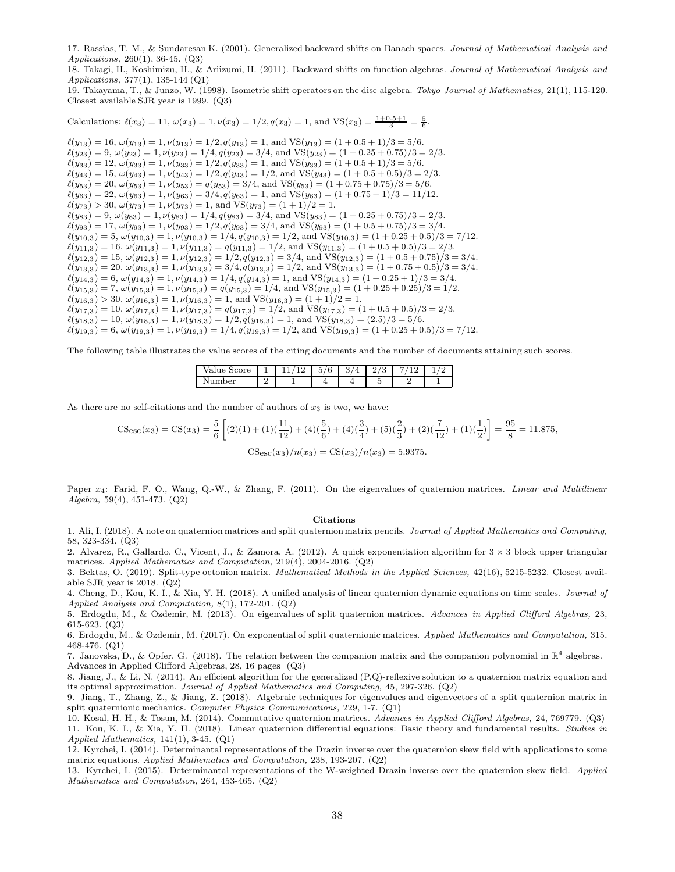17. Rassias, T. M., & Sundaresan K. (2001). Generalized backward shifts on Banach spaces. Journal of Mathematical Analysis and Applications, 260(1), 36-45. (Q3)

18. Takagi, H., Koshimizu, H., & Ariizumi, H. (2011). Backward shifts on function algebras. Journal of Mathematical Analysis and Applications, 377(1), 135-144 (Q1)

19. Takayama, T., & Junzo, W. (1998). Isometric shift operators on the disc algebra. Tokyo Journal of Mathematics, 21(1), 115-120. Closest available SJR year is 1999. (Q3)

Calculations:  $\ell(x_3) = 11$ ,  $\omega(x_3) = 1$ ,  $\nu(x_3) = 1/2$ ,  $q(x_3) = 1$ , and  $VS(x_3) = \frac{1+0.5+1}{3} = \frac{5}{6}$ .

 $\ell(y_{13}) = 16$ ,  $\omega(y_{13}) = 1$ ,  $\nu(y_{13}) = 1/2$ ,  $q(y_{13}) = 1$ , and  $VS(y_{13}) = (1 + 0.5 + 1)/3 = 5/6$ .  $\ell(y_{23}) = 9, \omega(y_{23}) = 1, \nu(y_{23}) = 1/4, q(y_{23}) = 3/4, \text{ and } \text{VS}(y_{23}) = (1 + 0.25 + 0.75)/3 = 2/3.$  $\ell(y_{33}) = 12, \, \omega(y_{33}) = 1, \, \nu(y_{33}) = 1/2, \, q(y_{33}) = 1, \, \text{and } \text{VS}(y_{33}) = (1 + 0.5 + 1)/3 = 5/6.$  $\ell(y_{43}) = 15, \ \omega(y_{43}) = 1, \ \nu(y_{43}) = 1/2, q(y_{43}) = 1/2, \text{ and } \text{VS}(y_{43}) = (1 + 0.5 + 0.5)/3 = 2/3.$  $\ell(y_{53}) = 20, \omega(y_{53}) = 1, \nu(y_{53}) = q(y_{53}) = 3/4, \text{ and } \text{VS}(y_{53}) = (1 + 0.75 + 0.75)/3 = 5/6.$  $\ell(y_{63}) = 22, \ \omega(y_{63}) = 1, \ \nu(y_{63}) = 3/4, q(y_{63}) = 1, \text{ and } \text{VS}(y_{63}) = (1 + 0.75 + 1)/3 = 11/12.$  $\ell(y_{73}) > 30, \, \omega(y_{73}) = 1, \, \nu(y_{73}) = 1, \text{ and } \text{VS}(y_{73}) = (1 + 1)/2 = 1.$  $\ell(y_{83}) = 9, \omega(y_{83}) = 1, \nu(y_{83}) = 1/4, q(y_{83}) = 3/4, \text{ and } \text{VS}(y_{83}) = (1 + 0.25 + 0.75)/3 = 2/3.$  $\ell(y_{93}) = 17, \, \omega(y_{93}) = 1, \, \nu(y_{93}) = 1/2, \, q(y_{93}) = 3/4, \, \text{and } \text{VS}(y_{93}) = (1 + 0.5 + 0.75)/3 = 3/4.$  $\ell(y_{10,3}) = 5$ ,  $\omega(y_{10,3}) = 1$ ,  $\nu(y_{10,3}) = 1/4$ ,  $q(y_{10,3}) = 1/2$ , and  $VS(y_{10,3}) = (1 + 0.25 + 0.5)/3 = 7/12$ .  $\ell(y_{11,3}) = 16$ ,  $\omega(y_{11,3}) = 1$ ,  $\nu(y_{11,3}) = q(y_{11,3}) = 1/2$ , and  $VS(y_{11,3}) = (1 + 0.5 + 0.5)/3 = 2/3$ .  $\ell(y_{12,3}) = 15, \omega(y_{12,3}) = 1, \nu(y_{12,3}) = 1/2, q(y_{12,3}) = 3/4, \text{ and } \text{VS}(y_{12,3}) = (1 + 0.5 + 0.75)/3 = 3/4.$  $\ell(y_{13,3}) = 20, \omega(y_{13,3}) = 1, \nu(y_{13,3}) = 3/4, q(y_{13,3}) = 1/2, \text{ and } \text{VS}(y_{13,3}) = (1 + 0.75 + 0.5)/3 = 3/4.$  $\ell(y_{14,3}) = 6$ ,  $\omega(y_{14,3}) = 1$ ,  $\nu(y_{14,3}) = 1/4$ ,  $q(y_{14,3}) = 1$ , and  $VS(y_{14,3}) = (1 + 0.25 + 1)/3 = 3/4$ .  $\ell(y_{15,3}) = 7, \omega(y_{15,3}) = 1, \nu(y_{15,3}) = q(y_{15,3}) = 1/4$ , and  $VS(y_{15,3}) = (1 + 0.25 + 0.25)/3 = 1/2$ .  $\ell(y_{16,3}) > 30, \, \omega(y_{16,3}) = 1, \, \nu(y_{16,3}) = 1, \text{ and } \text{VS}(y_{16,3}) = (1+1)/2 = 1.$  $\ell(y_{17,3}) = 10$ ,  $\omega(y_{17,3}) = 1$ ,  $\nu(y_{17,3}) = q(y_{17,3}) = 1/2$ , and  $VS(y_{17,3}) = (1 + 0.5 + 0.5)/3 = 2/3$ .  $\ell(y_{18,3}) = 10, \omega(y_{18,3}) = 1, \nu(y_{18,3}) = 1/2, q(y_{18,3}) = 1, \text{ and VS}(y_{18,3}) = (2.5)/3 = 5/6.$  $\ell(y_{19,3}) = 6$ ,  $\omega(y_{19,3}) = 1$ ,  $\nu(y_{19,3}) = 1/4$ ,  $q(y_{19,3}) = 1/2$ , and  $VS(y_{19,3}) = (1 + 0.25 + 0.5)/3 = 7/12$ .

The following table illustrates the value scores of the citing documents and the number of documents attaining such scores.

| ∵≏ore -<br>alue<br>∍<br>∿∪⊥<br>◡<br>∼ | - - | -<br>$\sqrt{2}$<br>ь.<br>b<br>v | ບ<br><b>.</b> | ÷<br>υ<br>∼ |  |
|---------------------------------------|-----|---------------------------------|---------------|-------------|--|
| n <sub>per</sub><br>◡<br>             |     |                                 |               |             |  |

As there are no self-citations and the number of authors of  $x_3$  is two, we have:

$$
\text{CSesc}(x_3) = \text{CS}(x_3) = \frac{5}{6} \left[ (2)(1) + (1)\left(\frac{11}{12}\right) + (4)\left(\frac{5}{6}\right) + (4)\left(\frac{3}{4}\right) + (5)\left(\frac{2}{3}\right) + (2)\left(\frac{7}{12}\right) + (1)\left(\frac{1}{2}\right) \right] = \frac{95}{8} = 11.875,
$$
\n
$$
\text{CSesc}(x_3) / n(x_3) = \text{CS}(x_3) / n(x_3) = 5.9375.
$$

Paper x<sub>4</sub>: Farid, F. O., Wang, Q.-W., & Zhang, F. (2011). On the eigenvalues of quaternion matrices. Linear and Multilinear Algebra, 59(4), 451-473. (Q2)

#### Citations

1. Ali, I. (2018). A note on quaternion matrices and split quaternion matrix pencils. Journal of Applied Mathematics and Computing, 58, 323-334. (Q3)

2. Alvarez, R., Gallardo, C., Vicent, J., & Zamora, A. (2012). A quick exponentiation algorithm for  $3 \times 3$  block upper triangular matrices. Applied Mathematics and Computation, 219(4), 2004-2016. (Q2)

3. Bektas, O. (2019). Split-type octonion matrix. Mathematical Methods in the Applied Sciences, 42(16), 5215-5232. Closest available SJR year is 2018. (Q2)

4. Cheng, D., Kou, K. I., & Xia, Y. H. (2018). A unified analysis of linear quaternion dynamic equations on time scales. Journal of Applied Analysis and Computation, 8(1), 172-201. (Q2)

5. Erdogdu, M., & Ozdemir, M. (2013). On eigenvalues of split quaternion matrices. Advances in Applied Clifford Algebras, 23, 615-623. (Q3)

6. Erdogdu, M., & Ozdemir, M. (2017). On exponential of split quaternionic matrices. Applied Mathematics and Computation, 315, 468-476. (Q1)

7. Janovska, D., & Opfer, G. (2018). The relation between the companion matrix and the companion polynomial in  $\mathbb{R}^4$  algebras. Advances in Applied Clifford Algebras, 28, 16 pages. (Q3)

8. Jiang, J., & Li, N. (2014). An efficient algorithm for the generalized (P,Q)-reflexive solution to a quaternion matrix equation and its optimal approximation. Journal of Applied Mathematics and Computing, 45, 297-326. (Q2)

9. Jiang, T., Zhang, Z., & Jiang, Z. (2018). Algebraic techniques for eigenvalues and eigenvectors of a split quaternion matrix in split quaternionic mechanics. Computer Physics Communications, 229, 1-7. (Q1)

10. Kosal, H. H., & Tosun, M. (2014). Commutative quaternion matrices. Advances in Applied Clifford Algebras, 24, 769779. (Q3) 11. Kou, K. I., & Xia, Y. H. (2018). Linear quaternion differential equations: Basic theory and fundamental results. Studies in Applied Mathematics, 141(1), 3-45. (Q1)

12. Kyrchei, I. (2014). Determinantal representations of the Drazin inverse over the quaternion skew field with applications to some matrix equations. Applied Mathematics and Computation, 238, 193-207. (Q2)

13. Kyrchei, I. (2015). Determinantal representations of the W-weighted Drazin inverse over the quaternion skew field. Applied Mathematics and Computation, 264, 453-465. (Q2)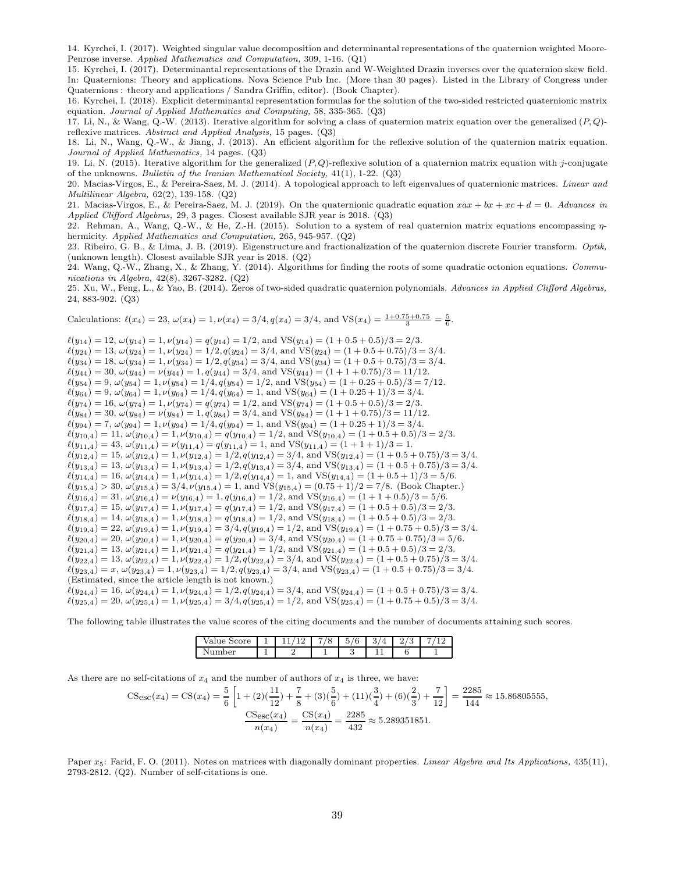14. Kyrchei, I. (2017). Weighted singular value decomposition and determinantal representations of the quaternion weighted Moore-Penrose inverse. Applied Mathematics and Computation, 309, 1-16. (Q1)

15. Kyrchei, I. (2017). Determinantal representations of the Drazin and W-Weighted Drazin inverses over the quaternion skew field. In: Quaternions: Theory and applications. Nova Science Pub Inc. (More than 30 pages). Listed in the Library of Congress under Quaternions : theory and applications / Sandra Griffin, editor). (Book Chapter).

16. Kyrchei, I. (2018). Explicit determinantal representation formulas for the solution of the two-sided restricted quaternionic matrix equation. Journal of Applied Mathematics and Computing, 58, 335-365. (Q3)

17. Li, N., & Wang, Q.-W. (2013). Iterative algorithm for solving a class of quaternion matrix equation over the generalized  $(P, Q)$ reflexive matrices. Abstract and Applied Analysis, 15 pages. (Q3)

18. Li, N., Wang, Q.-W., & Jiang, J. (2013). An efficient algorithm for the reflexive solution of the quaternion matrix equation. Journal of Applied Mathematics, 14 pages. (Q3)

19. Li, N. (2015). Iterative algorithm for the generalized  $(P,Q)$ -reflexive solution of a quaternion matrix equation with j-conjugate of the unknowns. Bulletin of the Iranian Mathematical Society,  $41(1)$ , 1-22. (Q3)

20. Macias-Virgos, E., & Pereira-Saez, M. J. (2014). A topological approach to left eigenvalues of quaternionic matrices. Linear and Multilinear Algebra, 62(2), 139-158. (Q2)

21. Macias-Virgos, E., & Pereira-Saez, M. J. (2019). On the quaternionic quadratic equation  $xax + bx + xc + d = 0$ . Advances in Applied Clifford Algebras, 29, 3 pages. Closest available SJR year is 2018. (Q3)

22. Rehman, A., Wang, Q.-W., & He, Z.-H. (2015). Solution to a system of real quaternion matrix equations encompassing  $\eta$ hermicity. Applied Mathematics and Computation, 265, 945-957. (Q2)

23. Ribeiro, G. B., & Lima, J. B. (2019). Eigenstructure and fractionalization of the quaternion discrete Fourier transform. Optik, (unknown length). Closest available SJR year is 2018. (Q2)

24. Wang, Q.-W., Zhang, X., & Zhang, Y. (2014). Algorithms for finding the roots of some quadratic octonion equations. Communications in Algebra, 42(8), 3267-3282. (Q2)

25. Xu, W., Feng, L., & Yao, B. (2014). Zeros of two-sided quadratic quaternion polynomials. Advances in Applied Clifford Algebras, 24, 883-902. (Q3)

Calculations:  $\ell(x_4) = 23$ ,  $\omega(x_4) = 1$ ,  $\nu(x_4) = 3/4$ ,  $q(x_4) = 3/4$ , and VS( $x_4$ ) =  $\frac{1+0.75+0.75}{3} = \frac{5}{6}$ .

 $\ell(y_{14}) = 12, \omega(y_{14}) = 1, \nu(y_{14}) = q(y_{14}) = 1/2, \text{ and } \text{VS}(y_{14}) = (1 + 0.5 + 0.5)/3 = 2/3.$  $\ell(y_{24}) = 13, \omega(y_{24}) = 1, \nu(y_{24}) = 1/2, q(y_{24}) = 3/4, \text{ and } \text{VS}(y_{24}) = (1 + 0.5 + 0.75)/3 = 3/4.$  $\ell(y_{34}) = 18, \omega(y_{34}) = 1, \nu(y_{34}) = 1/2, q(y_{34}) = 3/4, \text{ and } \text{VS}(y_{34}) = (1 + 0.5 + 0.75)/3 = 3/4.$  $\ell(y_{44}) = 30, \omega(y_{44}) = \nu(y_{44}) = 1, q(y_{44}) = 3/4$ , and VS $(y_{44}) = (1 + 1 + 0.75)/3 = 11/12$ .  $\ell(y_{54}) = 9, \omega(y_{54}) = 1, \nu(y_{54}) = 1/4, q(y_{54}) = 1/2, \text{ and } \text{VS}(y_{54}) = (1 + 0.25 + 0.5)/3 = 7/12.$  $\ell(y_{64}) = 9, \omega(y_{64}) = 1, \nu(y_{64}) = 1/4, q(y_{64}) = 1, \text{ and } \text{VS}(y_{64}) = (1 + 0.25 + 1)/3 = 3/4.$  $\ell(y_{74}) = 16$ ,  $\omega(y_{74}) = 1$ ,  $\nu(y_{74}) = q(y_{74}) = 1/2$ , and  $\text{VS}(y_{74}) = (1 + 0.5 + 0.5)/3 = 2/3$ .  $\ell(y_{84}) = 30, \ \omega(y_{84}) = \nu(y_{84}) = 1, q(y_{84}) = 3/4, \text{ and } \text{VS}(y_{84}) = (1 + 1 + 0.75)/3 = 11/12.$  $\ell(y_{94}) = 7, \omega(y_{94}) = 1, \nu(y_{94}) = 1/4, q(y_{94}) = 1, \text{ and } \text{VS}(y_{94}) = (1 + 0.25 + 1)/3 = 3/4.$  $\ell(y_{10,4}) = 11, \omega(y_{10,4}) = 1, \nu(y_{10,4}) = q(y_{10,4}) = 1/2$ , and  $VS(y_{10,4}) = (1 + 0.5 + 0.5)/3 = 2/3$ .  $\ell(y_{11,4}) = 43, \, \omega(y_{11,4}) = \nu(y_{11,4}) = q(y_{11,4}) = 1, \text{ and } \text{VS}(y_{11,4}) = (1 + 1 + 1)/3 = 1.$  $\ell(y_{12,4}) = 15, \omega(y_{12,4}) = 1, \nu(y_{12,4}) = 1/2, q(y_{12,4}) = 3/4, \text{ and } \text{VS}(y_{12,4}) = (1 + 0.5 + 0.75)/3 = 3/4.$  $\ell(y_{13,4}) = 13, \omega(y_{13,4}) = 1, \nu(y_{13,4}) = 1/2, q(y_{13,4}) = 3/4, \text{ and } \text{VS}(y_{13,4}) = (1 + 0.5 + 0.75)/3 = 3/4.$  $\ell(y_{14,4}) = 16, \omega(y_{14,4}) = 1, \nu(y_{14,4}) = 1/2, q(y_{14,4}) = 1, \text{ and } \text{VS}(y_{14,4}) = (1 + 0.5 + 1)/3 = 5/6.$  $\ell(y_{15,4}) > 30, \omega(y_{15,4}) = 3/4, \nu(y_{15,4}) = 1$ , and  $VS(y_{15,4}) = (0.75 + 1)/2 = 7/8$ . (Book Chapter.)  $\ell(y_{16,4}) = 31, \omega(y_{16,4}) = \nu(y_{16,4}) = 1, q(y_{16,4}) = 1/2, \text{ and } \text{VS}(y_{16,4}) = (1 + 1 + 0.5)/3 = 5/6.$  $\ell(y_{17,4}) = 15, \omega(y_{17,4}) = 1, \nu(y_{17,4}) = q(y_{17,4}) = 1/2$ , and  $\text{VS}(y_{17,4}) = (1 + 0.5 + 0.5)/3 = 2/3$ .  $\ell(y_{18,4}) = 14, \omega(y_{18,4}) = 1, \nu(y_{18,4}) = q(y_{18,4}) = 1/2$ , and VS( $y_{18,4}$ ) = (1+0.5+0.5)/3 = 2/3.  $\ell(y_{19,4}) = 22, \omega(y_{19,4}) = 1, \nu(y_{19,4}) = 3/4, q(y_{19,4}) = 1/2, \text{ and } \text{VS}(y_{19,4}) = (1 + 0.75 + 0.5)/3 = 3/4.$  $\ell(y_{20,4}) = 20, \omega(y_{20,4}) = 1, \nu(y_{20,4}) = q(y_{20,4}) = 3/4$ , and  $\text{VS}(y_{20,4}) = (1 + 0.75 + 0.75)/3 = 5/6$ .  $\ell(y_{21,4}) = 13, \omega(y_{21,4}) = 1, \nu(y_{21,4}) = q(y_{21,4}) = 1/2$ , and  $VS(y_{21,4}) = (1 + 0.5 + 0.5)/3 = 2/3$ .  $\ell(y_{22,4}) = 13, \omega(y_{22,4}) = 1, \nu(y_{22,4}) = 1/2, q(y_{22,4}) = 3/4$ , and  $VS(y_{22,4}) = (1 + 0.5 + 0.75)/3 = 3/4$ .  $\ell(y_{23,4}) = x, \omega(y_{23,4}) = 1, \nu(y_{23,4}) = 1/2, q(y_{23,4}) = 3/4, \text{ and } \text{VS}(y_{23,4}) = (1 + 0.5 + 0.75)/3 = 3/4.$ (Estimated, since the article length is not known.)  $\ell(y_{24,4}) = 16, \ \omega(y_{24,4}) = 1, \nu(y_{24,4}) = 1/2, q(y_{24,4}) = 3/4, \text{ and } \text{VS}(y_{24,4}) = (1 + 0.5 + 0.75)/3 = 3/4.$  $\ell(y_{25,4}) = 20, \omega(y_{25,4}) = 1, \nu(y_{25,4}) = 3/4, q(y_{25,4}) = 1/2, \text{ and } \text{VS}(y_{25,4}) = (1 + 0.75 + 0.5)/3 = 3/4.$ 

The following table illustrates the value scores of the citing documents and the number of documents attaining such scores.

| Score<br>alue |  | ∽ | к<br>$\sqrt{2}$<br>◡ | ັ | ⊍ |  |
|---------------|--|---|----------------------|---|---|--|
| oer           |  |   |                      |   |   |  |

As there are no self-citations of  $x_4$  and the number of authors of  $x_4$  is three, we have:

$$
\text{CSesc}(x_4) = \text{CS}(x_4) = \frac{5}{6} \left[ 1 + (2)\left(\frac{11}{12}\right) + \frac{7}{8} + (3)\left(\frac{5}{6}\right) + (11)\left(\frac{3}{4}\right) + (6)\left(\frac{2}{3}\right) + \frac{7}{12} \right] = \frac{2285}{144} \approx 15.86805555,
$$
\n
$$
\frac{\text{CSesc}(x_4)}{n(x_4)} = \frac{\text{CS}(x_4)}{n(x_4)} = \frac{2285}{432} \approx 5.289351851.
$$

Paper  $x_5$ : Farid, F. O. (2011). Notes on matrices with diagonally dominant properties. *Linear Algebra and Its Applications*, 435(11), 2793-2812. (Q2). Number of self-citations is one.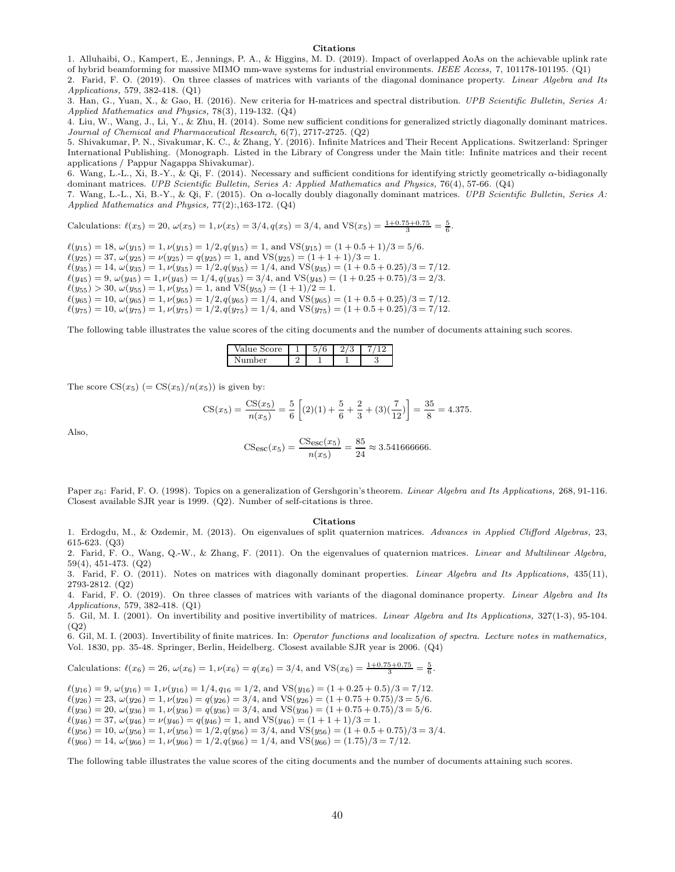#### Citations

1. Alluhaibi, O., Kampert, E., Jennings, P. A., & Higgins, M. D. (2019). Impact of overlapped AoAs on the achievable uplink rate of hybrid beamforming for massive MIMO mm-wave systems for industrial environments. IEEE Access, 7, 101178-101195. (Q1) 2. Farid, F. O. (2019). On three classes of matrices with variants of the diagonal dominance property. Linear Algebra and Its

Applications, 579, 382-418. (Q1)

3. Han, G., Yuan, X., & Gao, H. (2016). New criteria for H-matrices and spectral distribution. UPB Scientific Bulletin, Series A: Applied Mathematics and Physics, 78(3), 119-132. (Q4)

4. Liu, W., Wang, J., Li, Y., & Zhu, H. (2014). Some new sufficient conditions for generalized strictly diagonally dominant matrices. Journal of Chemical and Pharmaceutical Research, 6(7), 2717-2725. (Q2)

5. Shivakumar, P. N., Sivakumar, K. C., & Zhang, Y. (2016). Infinite Matrices and Their Recent Applications. Switzerland: Springer International Publishing. (Monograph. Listed in the Library of Congress under the Main title: Infinite matrices and their recent applications / Pappur Nagappa Shivakumar).

6. Wang, L.-L., Xi, B.-Y., & Qi, F. (2014). Necessary and sufficient conditions for identifying strictly geometrically α-bidiagonally dominant matrices. UPB Scientific Bulletin, Series A: Applied Mathematics and Physics, 76(4), 57-66. (Q4)

7. Wang, L.-L., Xi, B.-Y., & Qi, F. (2015). On α-locally doubly diagonally dominant matrices. UPB Scientific Bulletin, Series A: Applied Mathematics and Physics, 77(2):,163-172. (Q4)

Calculations:  $\ell(x_5) = 20$ ,  $\omega(x_5) = 1$ ,  $\nu(x_5) = 3/4$ ,  $q(x_5) = 3/4$ , and VS( $x_5$ ) =  $\frac{1+0.75+0.75}{3} = \frac{5}{6}$ .

 $\ell(y_{15}) = 18$ ,  $\omega(y_{15}) = 1$ ,  $\nu(y_{15}) = 1/2$ ,  $q(y_{15}) = 1$ , and  $VS(y_{15}) = (1 + 0.5 + 1)/3 = 5/6$ .  $\ell(y_{25}) = 37, \ \omega(y_{25}) = \nu(y_{25}) = q(y_{25}) = 1, \text{ and } \text{VS}(y_{25}) = (1 + 1 + 1)/3 = 1.$  $\ell(y_{35}) = 14, \omega(y_{35}) = 1, \nu(y_{35}) = 1/2, q(y_{35}) = 1/4, \text{ and } \text{VS}(y_{35}) = (1 + 0.5 + 0.25)/3 = 7/12.$  $\ell(y_{45}) = 9, \omega(y_{45}) = 1, \nu(y_{45}) = 1/4, q(y_{45}) = 3/4, \text{ and } \text{VS}(y_{45}) = (1 + 0.25 + 0.75)/3 = 2/3.$  $\ell(y_{55}) > 30, \, \omega(y_{55}) = 1, \, \nu(y_{55}) = 1, \, \text{and } \text{VS}(y_{55}) = (1 + 1)/2 = 1.$  $\ell(y_{65}) = 10$ ,  $\omega(y_{65}) = 1$ ,  $\nu(y_{65}) = 1/2$ ,  $q(y_{65}) = 1/4$ , and  $VS(y_{65}) = (1 + 0.5 + 0.25)/3 = 7/12$ .  $\ell(y_{75}) = 10, \omega(y_{75}) = 1, \nu(y_{75}) = 1/2, q(y_{75}) = 1/4$ , and VS( $y_{75}) = (1 + 0.5 + 0.25)/3 = 7/12$ .

The following table illustrates the value scores of the citing documents and the number of documents attaining such scores.

| Score<br>Value S | $\sqrt{2}$<br>t<br>v | ಀ |   |
|------------------|----------------------|---|---|
| mher             |                      |   | υ |

The score  $CS(x_5)$  (=  $CS(x_5)/n(x_5)$ ) is given by:

$$
\text{CS}(x_5) = \frac{\text{CS}(x_5)}{n(x_5)} = \frac{5}{6} \left[ (2)(1) + \frac{5}{6} + \frac{2}{3} + (3)(\frac{7}{12}) \right] = \frac{35}{8} = 4.375.
$$

Also,

$$
\text{CS}_{\text{esc}}(x_5) = \frac{\text{CS}_{\text{esc}}(x_5)}{n(x_5)} = \frac{85}{24} \approx 3.541666666.
$$

Paper  $x_6$ : Farid, F. O. (1998). Topics on a generalization of Gershgorin's theorem. *Linear Algebra and Its Applications*, 268, 91-116. Closest available SJR year is 1999. (Q2). Number of self-citations is three.

#### Citations

1. Erdogdu, M., & Ozdemir, M. (2013). On eigenvalues of split quaternion matrices. Advances in Applied Clifford Algebras, 23, 615-623. (Q3)

2. Farid, F. O., Wang, Q.-W., & Zhang, F. (2011). On the eigenvalues of quaternion matrices. Linear and Multilinear Algebra, 59(4), 451-473. (Q2)

3. Farid, F. O. (2011). Notes on matrices with diagonally dominant properties. Linear Algebra and Its Applications, 435(11), 2793-2812. (Q2)

4. Farid, F. O. (2019). On three classes of matrices with variants of the diagonal dominance property. *Linear Algebra and Its* Applications, 579, 382-418. (Q1)

5. Gil, M. I. (2001). On invertibility and positive invertibility of matrices. Linear Algebra and Its Applications, 327(1-3), 95-104.  $(Q2)$ 

6. Gil, M. I. (2003). Invertibility of finite matrices. In: Operator functions and localization of spectra. Lecture notes in mathematics, Vol. 1830, pp. 35-48. Springer, Berlin, Heidelberg. Closest available SJR year is 2006. (Q4)

Calculations: 
$$
\ell(x_6) = 26
$$
,  $\omega(x_6) = 1$ ,  $\nu(x_6) = q(x_6) = 3/4$ , and  $VS(x_6) = \frac{1+0.75+0.75}{3} = \frac{5}{6}$ .

 $\ell(y_{16}) = 9$ ,  $\omega(y_{16}) = 1$ ,  $\nu(y_{16}) = 1/4$ ,  $q_{16} = 1/2$ , and VS( $y_{16}$ ) = (1 + 0.25 + 0.5)/3 = 7/12.  $\ell(y_{26}) = 23, \ \omega(y_{26}) = 1, \ \nu(y_{26}) = q(y_{26}) = 3/4, \text{ and } \text{VS}(y_{26}) = (1 + 0.75 + 0.75)/3 = 5/6.$  $\ell(y_{36}) = 20, \, \omega(y_{36}) = 1, \, \nu(y_{36}) = q(y_{36}) = 3/4, \, \text{and } \text{VS}(y_{36}) = (1 + 0.75 + 0.75)/3 = 5/6.$  $\ell(y_{46}) = 37, \ \omega(y_{46}) = \nu(y_{46}) = q(y_{46}) = 1, \text{ and } \text{VS}(y_{46}) = (1 + 1 + 1)/3 = 1.$  $\ell(y_{56}) = 10, \omega(y_{56}) = 1, \nu(y_{56}) = 1/2, q(y_{56}) = 3/4$ , and VS $(y_{56}) = (1 + 0.5 + 0.75)/3 = 3/4$ .  $\ell(y_{66}) = 14, \ \omega(y_{66}) = 1, \ \nu(y_{66}) = 1/2, q(y_{66}) = 1/4, \text{ and } \text{VS}(y_{66}) = (1.75)/3 = 7/12.$ 

The following table illustrates the value scores of the citing documents and the number of documents attaining such scores.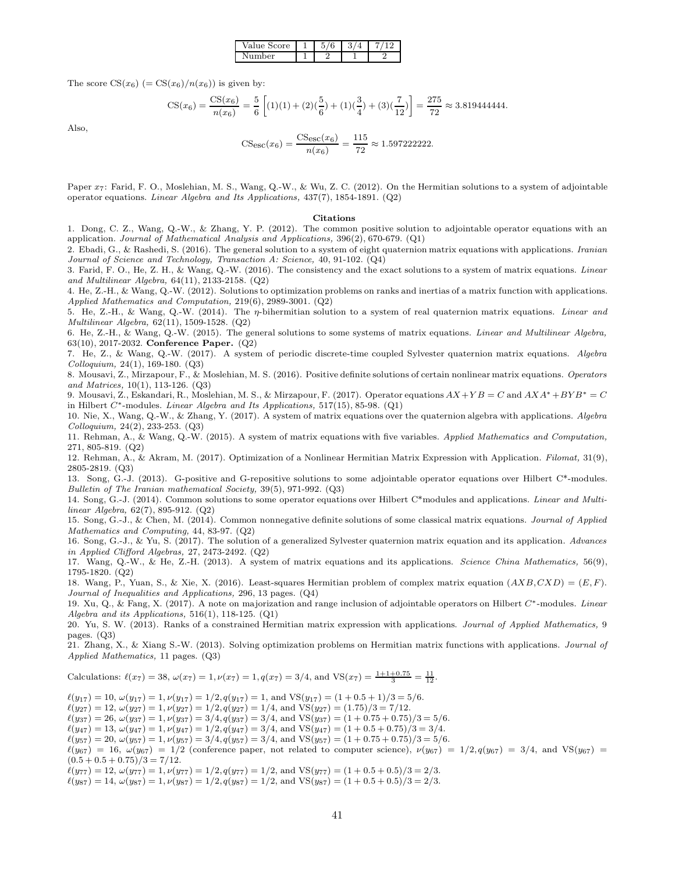| Value Score | ∽ |  |
|-------------|---|--|
| \umber      |   |  |

The score  $CS(x_6)$  (=  $CS(x_6)/n(x_6)$ ) is given by:

$$
\text{CS}(x_6) = \frac{\text{CS}(x_6)}{n(x_6)} = \frac{5}{6} \left[ (1)(1) + (2)(\frac{5}{6}) + (1)(\frac{3}{4}) + (3)(\frac{7}{12}) \right] = \frac{275}{72} \approx 3.819444444.
$$

Also,

$$
\text{CSec}(x_6) = \frac{\text{CSec}(x_6)}{n(x_6)} = \frac{115}{72} \approx 1.5972222222.
$$

Paper  $x_7$ : Farid, F. O., Moslehian, M. S., Wang, Q.-W., & Wu, Z. C. (2012). On the Hermitian solutions to a system of adjointable operator equations. Linear Algebra and Its Applications, 437(7), 1854-1891. (Q2)

#### Citations

1. Dong, C. Z., Wang, Q.-W., & Zhang, Y. P. (2012). The common positive solution to adjointable operator equations with an application. Journal of Mathematical Analysis and Applications, 396(2), 670-679. (Q1)

2. Ebadi, G., & Rashedi, S. (2016). The general solution to a system of eight quaternion matrix equations with applications. Iranian Journal of Science and Technology, Transaction A: Science, 40, 91-102. (Q4)

3. Farid, F. O., He, Z. H., & Wang, Q.-W. (2016). The consistency and the exact solutions to a system of matrix equations. Linear and Multilinear Algebra, 64(11), 2133-2158. (Q2)

4. He, Z.-H., & Wang, Q.-W. (2012). Solutions to optimization problems on ranks and inertias of a matrix function with applications. Applied Mathematics and Computation, 219(6), 2989-3001. (Q2)

5. He, Z.-H., & Wang, Q.-W. (2014). The η-bihermitian solution to a system of real quaternion matrix equations. Linear and Multilinear Algebra, 62(11), 1509-1528. (Q2)

6. He, Z.-H., & Wang, Q.-W. (2015). The general solutions to some systems of matrix equations. Linear and Multilinear Algebra, 63(10), 2017-2032. Conference Paper. (Q2)

7. He, Z., & Wang, Q.-W. (2017). A system of periodic discrete-time coupled Sylvester quaternion matrix equations. Algebra Colloquium, 24(1), 169-180. (Q3)

8. Mousavi, Z., Mirzapour, F., & Moslehian, M. S. (2016). Positive definite solutions of certain nonlinear matrix equations. Operators and Matrices, 10(1), 113-126. (Q3)

9. Mousavi, Z., Eskandari, R., Moslehian, M. S., & Mirzapour, F. (2017). Operator equations  $AX+YB=C$  and  $AXA^*+BYB^*=C$ in Hilbert  $C^*$ -modules. *Linear Algebra and Its Applications*, 517(15), 85-98. (Q1)

10. Nie, X., Wang, Q.-W., & Zhang, Y. (2017). A system of matrix equations over the quaternion algebra with applications. Algebra Colloquium, 24(2), 233-253. (Q3)

11. Rehman, A., & Wang, Q.-W. (2015). A system of matrix equations with five variables. Applied Mathematics and Computation, 271, 805-819. (Q2)

12. Rehman, A., & Akram, M. (2017). Optimization of a Nonlinear Hermitian Matrix Expression with Application. Filomat, 31(9), 2805-2819. (Q3)

13. Song, G.-J. (2013). G-positive and G-repositive solutions to some adjointable operator equations over Hilbert C\*-modules. Bulletin of The Iranian mathematical Society, 39(5), 971-992. (Q3)

14. Song, G.-J. (2014). Common solutions to some operator equations over Hilbert C\*modules and applications. Linear and Multilinear Algebra, 62(7), 895-912. (Q2)

15. Song, G.-J., & Chen, M. (2014). Common nonnegative definite solutions of some classical matrix equations. Journal of Applied Mathematics and Computing, 44, 83-97. (Q2)

16. Song, G.-J., & Yu, S. (2017). The solution of a generalized Sylvester quaternion matrix equation and its application. Advances in Applied Clifford Algebras, 27, 2473-2492. (Q2)

17. Wang, Q.-W., & He, Z.-H. (2013). A system of matrix equations and its applications. Science China Mathematics, 56(9), 1795-1820. (Q2)

18. Wang, P., Yuan, S., & Xie, X. (2016). Least-squares Hermitian problem of complex matrix equation  $(AXB,CXD) = (E, F)$ . Journal of Inequalities and Applications, 296, 13 pages. (Q4)

19. Xu, Q., & Fang, X. (2017). A note on majorization and range inclusion of adjointable operators on Hilbert C<sup>∗</sup>-modules. Linear Algebra and its Applications,  $516(1)$ ,  $118-125$ . (Q1)

20. Yu, S. W. (2013). Ranks of a constrained Hermitian matrix expression with applications. Journal of Applied Mathematics, 9 pages. (Q3)

21. Zhang, X., & Xiang S.-W. (2013). Solving optimization problems on Hermitian matrix functions with applications. Journal of Applied Mathematics, 11 pages. (Q3)

Calculations:  $\ell(x_7) = 38$ ,  $\omega(x_7) = 1$ ,  $\nu(x_7) = 1$ ,  $q(x_7) = 3/4$ , and  $\text{VS}(x_7) = \frac{1+1+0.75}{3} = \frac{11}{12}$ .

 $\ell(y_{17}) = 10$ ,  $\omega(y_{17}) = 1$ ,  $\nu(y_{17}) = 1/2$ ,  $q(y_{17}) = 1$ , and  $VS(y_{17}) = (1 + 0.5 + 1)/3 = 5/6$ .

 $\ell(y_{27}) = 12, \, \omega(y_{27}) = 1, \, \nu(y_{27}) = 1/2, \, q(y_{27}) = 1/4, \, \text{and } \text{VS}(y_{27}) = (1.75)/3 = 7/12.$ 

- $\ell(y_{37}) = 26$ ,  $\omega(y_{37}) = 1$ ,  $\nu(y_{37}) = 3/4$ ,  $q(y_{37}) = 3/4$ , and VS( $y_{37}) = (1 + 0.75 + 0.75)/3 = 5/6$ .
- $\ell(y_{47}) = 13, \omega(y_{47}) = 1, \nu(y_{47}) = 1/2, q(y_{47}) = 3/4$ , and VS $(y_{47}) = (1 + 0.5 + 0.75)/3 = 3/4$ .
- $\ell(y_{57}) = 20, \ \omega(y_{57}) = 1, \nu(y_{57}) = 3/4, q(y_{57}) = 3/4, \text{ and } \text{VS}(y_{57}) = (1 + 0.75 + 0.75)/3 = 5/6.$

 $\ell(y_{67}) = 16$ ,  $\omega(y_{67}) = 1/2$  (conference paper, not related to computer science),  $\nu(y_{67}) = 1/2$ ,  $q(y_{67}) = 3/4$ , and VS( $y_{67}) =$  $(0.5 + 0.5 + 0.75)/3 = 7/12.$ 

 $\ell(y_{77}) = 12, \ \omega(y_{77}) = 1, \nu(y_{77}) = 1/2, q(y_{77}) = 1/2, \text{ and } \text{VS}(y_{77}) = (1 + 0.5 + 0.5)/3 = 2/3.$  $\ell(y_{87}) = 14, \omega(y_{87}) = 1, \nu(y_{87}) = 1/2, q(y_{87}) = 1/2, \text{ and } \text{VS}(y_{87}) = (1 + 0.5 + 0.5)/3 = 2/3.$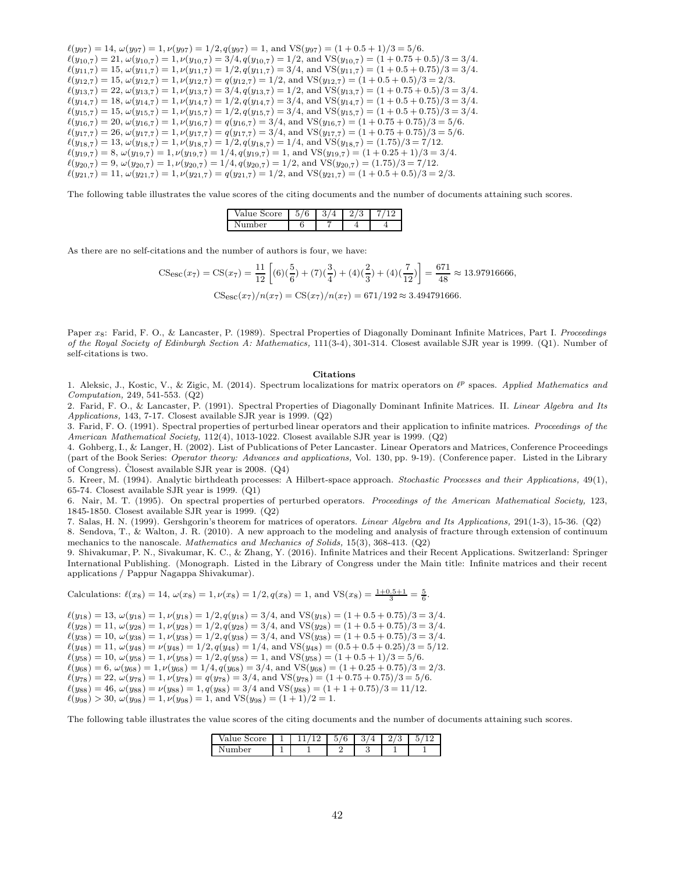$\ell(y_{97}) = 14, \omega(y_{97}) = 1, \nu(y_{97}) = 1/2, q(y_{97}) = 1, \text{ and } \text{VS}(y_{97}) = (1 + 0.5 + 1)/3 = 5/6.$  $\ell(y_{10,7}) = 21, \ \omega(y_{10,7}) = 1, \nu(y_{10,7}) = 3/4, q(y_{10,7}) = 1/2, \text{ and } \text{VS}(y_{10,7}) = (1 + 0.75 + 0.5)/3 = 3/4.$  $\ell(y_{11,7}) = 15$ ,  $\omega(y_{11,7}) = 1$ ,  $\nu(y_{11,7}) = 1/2$ ,  $q(y_{11,7}) = 3/4$ , and VS $(y_{11,7}) = (1 + 0.5 + 0.75)/3 = 3/4$ .  $\ell(y_{12,7}) = 15$ ,  $\omega(y_{12,7}) = 1$ ,  $\nu(y_{12,7}) = q(y_{12,7}) = 1/2$ , and  $VS(y_{12,7}) = (1 + 0.5 + 0.5)/3 = 2/3$ .  $\ell(y_{13,7}) = 22$ ,  $\omega(y_{13,7}) = 1$ ,  $\nu(y_{13,7}) = 3/4$ ,  $q(y_{13,7}) = 1/2$ , and VS( $y_{13,7}) = (1 + 0.75 + 0.5)/3 = 3/4$ .  $\ell(y_{14,7}) = 18$ ,  $\omega(y_{14,7}) = 1$ ,  $\nu(y_{14,7}) = 1/2$ ,  $q(y_{14,7}) = 3/4$ , and  $VS(y_{14,7}) = (1 + 0.5 + 0.75)/3 = 3/4$ .  $\ell(y_{15,7}) = 15$ ,  $\omega(y_{15,7}) = 1$ ,  $\nu(y_{15,7}) = 1/2$ ,  $q(y_{15,7}) = 3/4$ , and VS( $y_{15,7}) = (1 + 0.5 + 0.75)/3 = 3/4$ .  $\ell(y_{16,7}) = 20, \omega(y_{16,7}) = 1, \nu(y_{16,7}) = q(y_{16,7}) = 3/4$ , and VS $(y_{16,7}) = (1 + 0.75 + 0.75)/3 = 5/6$ .  $\ell(y_{17,7}) = 26$ ,  $\omega(y_{17,7}) = 1$ ,  $\nu(y_{17,7}) = q(y_{17,7}) = 3/4$ , and  $VS(y_{17,7}) = (1 + 0.75 + 0.75)/3 = 5/6$ .  $\ell(y_{18,7}) = 13, \omega(y_{18,7}) = 1, \nu(y_{18,7}) = 1/2, q(y_{18,7}) = 1/4$ , and VS $(y_{18,7}) = (1.75)/3 = 7/12$ .  $\ell(y_{19,7}) = 8$ ,  $\omega(y_{19,7}) = 1$ ,  $\nu(y_{19,7}) = 1/4$ ,  $q(y_{19,7}) = 1$ , and VS( $y_{19,7}) = (1 + 0.25 + 1)/3 = 3/4$ .  $\ell(y_{20,7}) = 9, \omega(y_{20,7}) = 1, \nu(y_{20,7}) = 1/4, q(y_{20,7}) = 1/2, \text{ and } \text{VS}(y_{20,7}) = (1.75)/3 = 7/12.$  $\ell(y_{21,7}) = 11, \omega(y_{21,7}) = 1, \nu(y_{21,7}) = q(y_{21,7}) = 1/2$ , and  $\text{VS}(y_{21,7}) = (1 + 0.5 + 0.5)/3 = 2/3$ .

The following table illustrates the value scores of the citing documents and the number of documents attaining such scores.

| <b>pre</b> | ⌒<br>U<br>ັ | . . | u |  |
|------------|-------------|-----|---|--|
|            | U           |     |   |  |

As there are no self-citations and the number of authors is four, we have:

$$
\text{CSesc}(x_7) = \text{CS}(x_7) = \frac{11}{12} \left[ (6)(\frac{5}{6}) + (7)(\frac{3}{4}) + (4)(\frac{2}{3}) + (4)(\frac{7}{12}) \right] = \frac{671}{48} \approx 13.97916666,
$$
  

$$
\text{CSesc}(x_7)/n(x_7) = \text{CS}(x_7)/n(x_7) = 671/192 \approx 3.494791666.
$$

Paper x<sub>8</sub>: Farid, F. O., & Lancaster, P. (1989). Spectral Properties of Diagonally Dominant Infinite Matrices, Part I. Proceedings of the Royal Society of Edinburgh Section A: Mathematics, 111(3-4), 301-314. Closest available SJR year is 1999. (Q1). Number of self-citations is two.

#### Citations

1. Aleksic, J., Kostic, V., & Zigic, M. (2014). Spectrum localizations for matrix operators on  $\ell^p$  spaces. Applied Mathematics and Computation, 249, 541-553. (Q2)

2. Farid, F. O., & Lancaster, P. (1991). Spectral Properties of Diagonally Dominant Infinite Matrices. II. Linear Algebra and Its Applications, 143, 7-17. Closest available SJR year is 1999. (Q2)

3. Farid, F. O. (1991). Spectral properties of perturbed linear operators and their application to infinite matrices. Proceedings of the American Mathematical Society, 112(4), 1013-1022. Closest available SJR year is 1999. (Q2)

4. Gohberg, I., & Langer, H. (2002). List of Publications of Peter Lancaster. Linear Operators and Matrices, Conference Proceedings (part of the Book Series: Operator theory: Advances and applications, Vol. 130, pp. 9-19). (Conference paper. Listed in the Library of Congress). Closest available SJR year is  $2008.$  (Q4)

5. Kreer, M. (1994). Analytic birthdeath processes: A Hilbert-space approach. Stochastic Processes and their Applications, 49(1), 65-74. Closest available SJR year is 1999. (Q1)

6. Nair, M. T. (1995). On spectral properties of perturbed operators. Proceedings of the American Mathematical Society, 123, 1845-1850. Closest available SJR year is 1999. (Q2)

7. Salas, H. N. (1999). Gershgorin's theorem for matrices of operators. Linear Algebra and Its Applications, 291(1-3), 15-36. (Q2)

8. Sendova, T., & Walton, J. R. (2010). A new approach to the modeling and analysis of fracture through extension of continuum mechanics to the nanoscale. Mathematics and Mechanics of Solids, 15(3), 368-413. (Q2)

9. Shivakumar, P. N., Sivakumar, K. C., & Zhang, Y. (2016). Infinite Matrices and their Recent Applications. Switzerland: Springer International Publishing. (Monograph. Listed in the Library of Congress under the Main title: Infinite matrices and their recent applications / Pappur Nagappa Shivakumar).

Calculations: 
$$
\ell(x_8) = 14
$$
,  $\omega(x_8) = 1$ ,  $\nu(x_8) = 1/2$ ,  $q(x_8) = 1$ , and  $VS(x_8) = \frac{1+0.5+1}{3} = \frac{5}{6}$ .

 $\ell(y_{18}) = 13, \omega(y_{18}) = 1, \nu(y_{18}) = 1/2, q(y_{18}) = 3/4, \text{ and } \text{VS}(y_{18}) = (1 + 0.5 + 0.75)/3 = 3/4.$  $\ell(y_{28}) = 11, \omega(y_{28}) = 1, \nu(y_{28}) = 1/2, q(y_{28}) = 3/4, \text{ and } \text{VS}(y_{28}) = (1 + 0.5 + 0.75)/3 = 3/4.$  $\ell(y_{38}) = 10, \, \omega(y_{38}) = 1, \, \nu(y_{38}) = 1/2, \, q(y_{38}) = 3/4, \, \text{and } \, \text{VS}(y_{38}) = (1 + 0.5 + 0.75)/3 = 3/4.$  $\ell(y_{48}) = 11, \, \omega(y_{48}) = \nu(y_{48}) = 1/2, q(y_{48}) = 1/4, \, \text{and } \text{VS}(y_{48}) = (0.5 + 0.5 + 0.25)/3 = 5/12.$  $\ell(y_{58}) = 10, \omega(y_{58}) = 1, \nu(y_{58}) = 1/2, q(y_{58}) = 1, \text{ and } \text{VS}(y_{58}) = (1 + 0.5 + 1)/3 = 5/6.$  $\ell(y_{68}) = 6, \omega(y_{68}) = 1, \nu(y_{68}) = 1/4, q(y_{68}) = 3/4, \text{ and VS}(y_{68}) = (1 + 0.25 + 0.75)/3 = 2/3.$  $\ell(y_{78}) = 22, \omega(y_{78}) = 1, \nu(y_{78}) = q(y_{78}) = 3/4, \text{ and } \text{VS}(y_{78}) = (1 + 0.75 + 0.75)/3 = 5/6.$  $\ell(y_{88}) = 46, \omega(y_{88}) = \nu(y_{88}) = 1, q(y_{88}) = 3/4$  and VS( $y_{88}) = (1 + 1 + 0.75)/3 = 11/12$ .  $\ell(y_{98}) > 30, \omega(y_{98}) = 1, \nu(y_{98}) = 1, \text{ and } \text{VS}(y_{98}) = (1 + 1)/2 = 1.$ 

The following table illustrates the value scores of the citing documents and the number of documents attaining such scores.

| ore<br>alue<br>◡<br>ີ | $\Omega$ | $\overline{\phantom{a}}$<br>◡<br>v | o<br>ູ | ບ<br>- | -<br>ı. |
|-----------------------|----------|------------------------------------|--------|--------|---------|
| $n\rho r$<br>ິ        |          |                                    |        |        |         |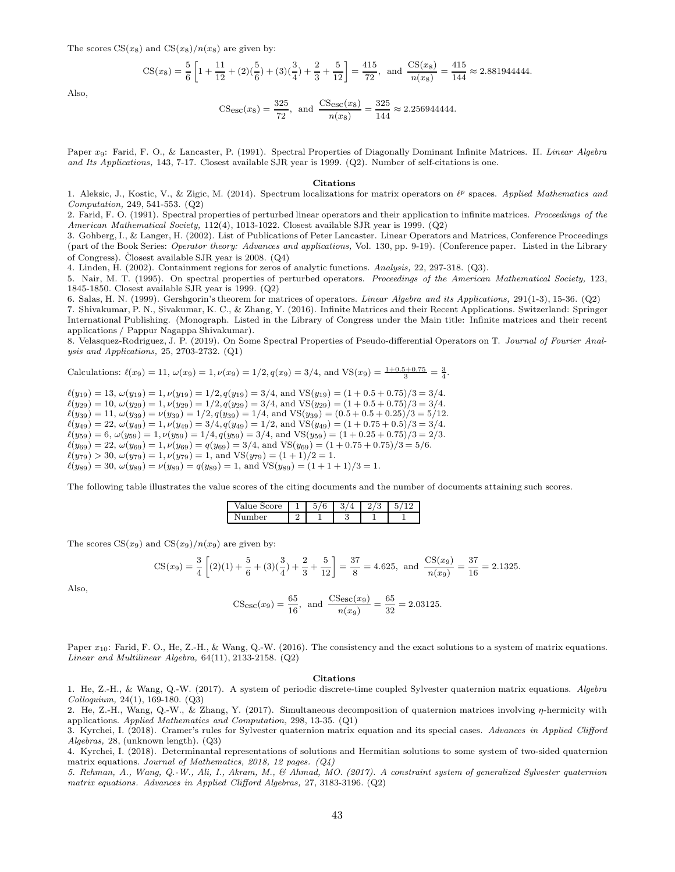The scores  $CS(x_8)$  and  $CS(x_8)/n(x_8)$  are given by:

$$
\text{CS}(x_8) = \frac{5}{6} \left[ 1 + \frac{11}{12} + (2)\left(\frac{5}{6}\right) + (3)\left(\frac{3}{4}\right) + \frac{2}{3} + \frac{5}{12} \right] = \frac{415}{72}, \text{ and } \frac{\text{CS}(x_8)}{n(x_8)} = \frac{415}{144} \approx 2.881944444.
$$

Also,

$$
\text{CS}_{\text{esc}}(x_8) = \frac{325}{72}, \text{ and } \frac{\text{CS}_{\text{esc}}(x_8)}{n(x_8)} = \frac{325}{144} \approx 2.256944444.
$$

Paper  $x_9$ : Farid, F. O., & Lancaster, P. (1991). Spectral Properties of Diagonally Dominant Infinite Matrices. II. Linear Algebra and Its Applications, 143, 7-17. Closest available SJR year is 1999. (Q2). Number of self-citations is one.

#### Citations

1. Aleksic, J., Kostic, V., & Zigic, M. (2014). Spectrum localizations for matrix operators on  $\ell^p$  spaces. Applied Mathematics and Computation, 249, 541-553. (Q2)

2. Farid, F. O. (1991). Spectral properties of perturbed linear operators and their application to infinite matrices. Proceedings of the American Mathematical Society, 112(4), 1013-1022. Closest available SJR year is 1999. (Q2)

3. Gohberg, I., & Langer, H. (2002). List of Publications of Peter Lancaster. Linear Operators and Matrices, Conference Proceedings (part of the Book Series: Operator theory: Advances and applications, Vol. 130, pp. 9-19). (Conference paper. Listed in the Library of Congress). Closest available SJR year is  $2008.$  (Q4)

4. Linden, H. (2002). Containment regions for zeros of analytic functions. Analysis, 22, 297-318. (Q3).

5. Nair, M. T. (1995). On spectral properties of perturbed operators. Proceedings of the American Mathematical Society, 123, 1845-1850. Closest available SJR year is 1999. (Q2)

6. Salas, H. N. (1999). Gershgorin's theorem for matrices of operators. Linear Algebra and its Applications, 291(1-3), 15-36. (Q2) 7. Shivakumar, P. N., Sivakumar, K. C., & Zhang, Y. (2016). Infinite Matrices and their Recent Applications. Switzerland: Springer International Publishing. (Monograph. Listed in the Library of Congress under the Main title: Infinite matrices and their recent applications / Pappur Nagappa Shivakumar).

8. Velasquez-Rodriguez, J. P. (2019). On Some Spectral Properties of Pseudo-differential Operators on T. Journal of Fourier Analysis and Applications, 25, 2703-2732. (Q1)

Calculations: 
$$
\ell(x_9) = 11
$$
,  $\omega(x_9) = 1$ ,  $\nu(x_9) = 1/2$ ,  $q(x_9) = 3/4$ , and  $VS(x_9) = \frac{1+0.5+0.75}{3} = \frac{3}{4}$ .

 $\ell(y_{19}) = 13, \omega(y_{19}) = 1, \nu(y_{19}) = 1/2, q(y_{19}) = 3/4, \text{ and } \text{VS}(y_{19}) = (1 + 0.5 + 0.75)/3 = 3/4.$  $\ell(y_{29}) = 10, \omega(y_{29}) = 1, \nu(y_{29}) = 1/2, q(y_{29}) = 3/4$ , and VS $(y_{29}) = (1 + 0.5 + 0.75)/3 = 3/4$ .  $\ell(y_{39}) = 11, \, \omega(y_{39}) = \nu(y_{39}) = 1/2, \, q(y_{39}) = 1/4, \, \text{and } \text{VS}(y_{39}) = (0.5 + 0.5 + 0.25)/3 = 5/12.$  $\ell(y_{49}) = 22, \omega(y_{49}) = 1, \nu(y_{49}) = 3/4, q(y_{49}) = 1/2, \text{ and } \text{VS}(y_{49}) = (1 + 0.75 + 0.5)/3 = 3/4.$  $\ell(y_{59}) = 6, \omega(y_{59}) = 1, \nu(y_{59}) = 1/4, q(y_{59}) = 3/4, \text{ and VS}(y_{59}) = (1 + 0.25 + 0.75)/3 = 2/3.$  $\ell(y_{69}) = 22, \omega(y_{69}) = 1, \nu(y_{69}) = q(y_{69}) = 3/4, \text{ and } \text{VS}(y_{69}) = (1 + 0.75 + 0.75)/3 = 5/6.$  $\ell(y_{79}) > 30, \ \omega(y_{79}) = 1, \ \nu(y_{79}) = 1, \text{ and } \text{VS}(y_{79}) = (1 + 1)/2 = 1.$  $\ell(y_{89}) = 30, \, \omega(y_{89}) = \nu(y_{89}) = q(y_{89}) = 1, \text{ and } \text{VS}(y_{89}) = (1 + 1 + 1)/3 = 1.$ 

The following table illustrates the value scores of the citing documents and the number of documents attaining such scores.

| 'ore<br>alue | $\sim$<br>r.<br>U | $\Omega$<br>ಀ | £.<br>υ<br>_ | c<br>ь<br>v |
|--------------|-------------------|---------------|--------------|-------------|
| her<br>\ 11  |                   |               |              |             |

The scores  $CS(x_9)$  and  $CS(x_9)/n(x_9)$  are given by:

$$
\text{CS}(x_9) = \frac{3}{4} \left[ (2)(1) + \frac{5}{6} + (3)(\frac{3}{4}) + \frac{2}{3} + \frac{5}{12} \right] = \frac{37}{8} = 4.625, \text{ and } \frac{\text{CS}(x_9)}{n(x_9)} = \frac{37}{16} = 2.1325.
$$

Also,

$$
\text{CSesc}(x_9) = \frac{65}{16}, \text{ and } \frac{\text{CSesc}(x_9)}{n(x_9)} = \frac{65}{32} = 2.03125.
$$

Paper  $x_{10}$ : Farid, F. O., He, Z.-H., & Wang, Q.-W. (2016). The consistency and the exact solutions to a system of matrix equations. Linear and Multilinear Algebra, 64(11), 2133-2158. (Q2)

#### Citations

1. He, Z.-H., & Wang, Q.-W. (2017). A system of periodic discrete-time coupled Sylvester quaternion matrix equations. Algebra Colloquium, 24(1), 169-180. (Q3)

2. He, Z.-H., Wang, Q.-W., & Zhang, Y. (2017). Simultaneous decomposition of quaternion matrices involving  $\eta$ -hermicity with applications. Applied Mathematics and Computation, 298, 13-35. (Q1)

3. Kyrchei, I. (2018). Cramer's rules for Sylvester quaternion matrix equation and its special cases. Advances in Applied Clifford Algebras, 28, (unknown length). (Q3)

4. Kyrchei, I. (2018). Determinantal representations of solutions and Hermitian solutions to some system of two-sided quaternion matrix equations. Journal of Mathematics, 2018, 12 pages.  $(Q_4)$ 

5. Rehman, A., Wang, Q.-W., Ali, I., Akram, M., & Ahmad, MO. (2017). A constraint system of generalized Sylvester quaternion matrix equations. Advances in Applied Clifford Algebras, 27, 3183-3196. (Q2)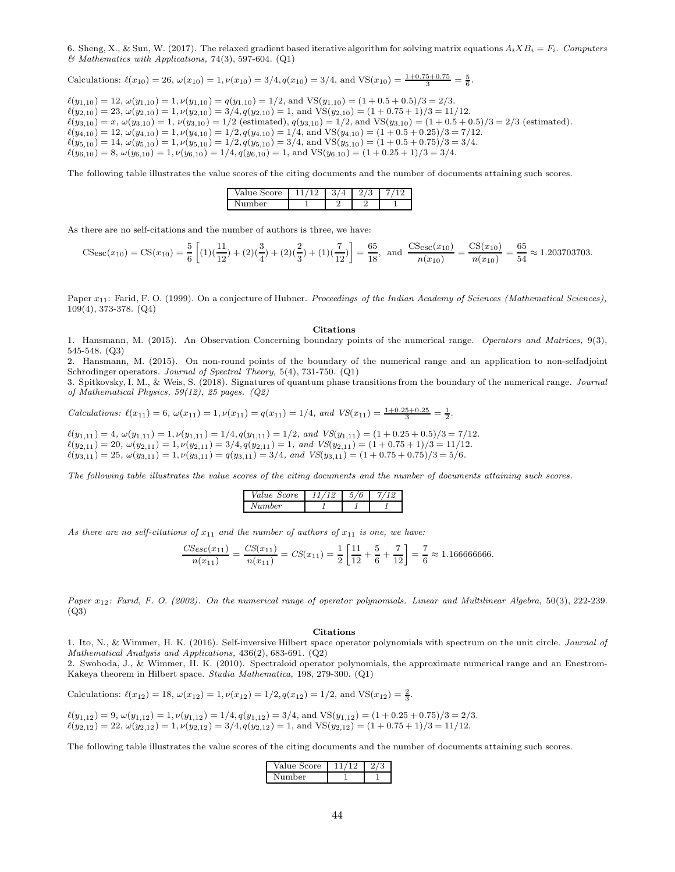6. Sheng, X., & Sun, W. (2017). The relaxed gradient based iterative algorithm for solving matrix equations  $A_i X B_i = F_i$ . Computers & Mathematics with Applications, 74(3), 597-604. (Q1)

Calculations: 
$$
\ell(x_{10}) = 26
$$
,  $\omega(x_{10}) = 1$ ,  $\nu(x_{10}) = 3/4$ ,  $q(x_{10}) = 3/4$ , and  $VS(x_{10}) = \frac{1+0.75+0.75}{3} = \frac{5}{6}$ .

 $\ell(y_{1,10}) = 12, \omega(y_{1,10}) = 1, \nu(y_{1,10}) = q(y_{1,10}) = 1/2$ , and  $\text{VS}(y_{1,10}) = (1 + 0.5 + 0.5)/3 = 2/3$ .  $\ell(y_{2,10}) = 23, \, \omega(y_{2,10}) = 1, \, \nu(y_{2,10}) = 3/4, \, q(y_{2,10}) = 1, \, \text{and } \text{VS}(y_{2,10}) = (1 + 0.75 + 1)/3 = 11/12.$  $\ell(y_{3,10}) = x, \omega(y_{3,10}) = 1, \nu(y_{3,10}) = 1/2$  (estimated),  $q(y_{3,10}) = 1/2$ , and VS $(y_{3,10}) = (1 + 0.5 + 0.5)/3 = 2/3$  (estimated).  $\ell(y_{4,10}) = 12, \omega(y_{4,10}) = 1, \nu(y_{4,10}) = 1/2, q(y_{4,10}) = 1/4, \text{ and } \text{VS}(y_{4,10}) = (1 + 0.5 + 0.25)/3 = 7/12.$  $\ell(y_{5,10}) = 14, \omega(y_{5,10}) = 1, \nu(y_{5,10}) = 1/2, q(y_{5,10}) = 3/4$ , and VS $(y_{5,10}) = (1 + 0.5 + 0.75)/3 = 3/4$ .  $\ell(y_{6,10}) = 8$ ,  $\omega(y_{6,10}) = 1$ ,  $\nu(y_{6,10}) = 1/4$ ,  $q(y_{6,10}) = 1$ , and  $VS(y_{6,10}) = (1 + 0.25 + 1)/3 = 3/4$ .

The following table illustrates the value scores of the citing documents and the number of documents attaining such scores.

| Value<br>core | - | c<br>↩ | U |  |
|---------------|---|--------|---|--|
| Number        |   | ٠      |   |  |

As there are no self-citations and the number of authors is three, we have:

$$
\text{CS}_{\text{esc}}(x_{10}) = \text{CS}(x_{10}) = \frac{5}{6} \left[ (1)(\frac{11}{12}) + (2)(\frac{3}{4}) + (2)(\frac{2}{3}) + (1)(\frac{7}{12}) \right] = \frac{65}{18}, \text{ and } \frac{\text{CS}_{\text{esc}}(x_{10})}{n(x_{10})} = \frac{\text{CS}(x_{10})}{n(x_{10})} = \frac{65}{54} \approx 1.203703703.
$$

Paper  $x_{11}$ : Farid, F. O. (1999). On a conjecture of Hubner. Proceedings of the Indian Academy of Sciences (Mathematical Sciences), 109(4), 373-378. (Q4)

#### Citations

1. Hansmann, M. (2015). An Observation Concerning boundary points of the numerical range. Operators and Matrices, 9(3), 545-548. (Q3)

2. Hansmann, M. (2015). On non-round points of the boundary of the numerical range and an application to non-selfadjoint Schrodinger operators. Journal of Spectral Theory, 5(4), 731-750. (Q1)

3. Spitkovsky, I. M., & Weis, S. (2018). Signatures of quantum phase transitions from the boundary of the numerical range. Journal of Mathematical Physics, 59(12), 25 pages. (Q2)

Calculations:  $\ell(x_{11}) = 6$ ,  $\omega(x_{11}) = 1$ ,  $\nu(x_{11}) = q(x_{11}) = 1/4$ , and  $VS(x_{11}) = \frac{1+0.25+0.25}{3} = \frac{1}{2}$ .

 $\ell(y_{1,11}) = 4$ ,  $\omega(y_{1,11}) = 1$ ,  $\nu(y_{1,11}) = 1/4$ ,  $q(y_{1,11}) = 1/2$ , and  $VS(y_{1,11}) = (1 + 0.25 + 0.5)/3 = 7/12$ .  $\ell(y_{2,11}) = 20, \ \omega(y_{2,11}) = 1, \nu(y_{2,11}) = 3/4, q(y_{2,11}) = 1, \ and \ VS(y_{2,11}) = (1 + 0.75 + 1)/3 = 11/12.$  $\ell(y_{3,11}) = 25, \, \omega(y_{3,11}) = 1, \, \nu(y_{3,11}) = q(y_{3,11}) = 3/4, \, \text{and } \, VS(y_{3,11}) = (1 + 0.75 + 0.75)/3 = 5/6.$ 

The following table illustrates the value scores of the citing documents and the number of documents attaining such scores.

| <i>Value Score</i> | ÷ | 6 |
|--------------------|---|---|
| $_{Number}$        |   |   |

As there are no self-citations of  $x_{11}$  and the number of authors of  $x_{11}$  is one, we have:

$$
\frac{CS_{esc}(x_{11})}{n(x_{11})} = \frac{CS(x_{11})}{n(x_{11})} = CS(x_{11}) = \frac{1}{2} \left[ \frac{11}{12} + \frac{5}{6} + \frac{7}{12} \right] = \frac{7}{6} \approx 1.166666666.
$$

Paper  $x_{12}$ : Farid, F. O. (2002). On the numerical range of operator polynomials. Linear and Multilinear Algebra, 50(3), 222-239. (Q3)

#### Citations

1. Ito, N., & Wimmer, H. K. (2016). Self-inversive Hilbert space operator polynomials with spectrum on the unit circle. Journal of Mathematical Analysis and Applications, 436(2), 683-691. (Q2)

2. Swoboda, J., & Wimmer, H. K. (2010). Spectraloid operator polynomials, the approximate numerical range and an Enestrom-Kakeya theorem in Hilbert space. Studia Mathematica, 198, 279-300. (Q1)

Calculations: 
$$
\ell(x_{12}) = 18
$$
,  $\omega(x_{12}) = 1$ ,  $\nu(x_{12}) = 1/2$ ,  $q(x_{12}) = 1/2$ , and  $VS(x_{12}) = \frac{2}{3}$ .

$$
\ell(y_{1,12}) = 9, \omega(y_{1,12}) = 1, \nu(y_{1,12}) = 1/4, q(y_{1,12}) = 3/4, \text{ and } \text{VS}(y_{1,12}) = (1 + 0.25 + 0.75)/3 = 2/3.
$$
  

$$
\ell(y_{2,12}) = 22, \omega(y_{2,12}) = 1, \nu(y_{2,12}) = 3/4, q(y_{2,12}) = 1, \text{ and } \text{VS}(y_{2,12}) = (1 + 0.75 + 1)/3 = 11/12.
$$

The following table illustrates the value scores of the citing documents and the number of documents attaining such scores.

| Value Score |  |
|-------------|--|
| mher        |  |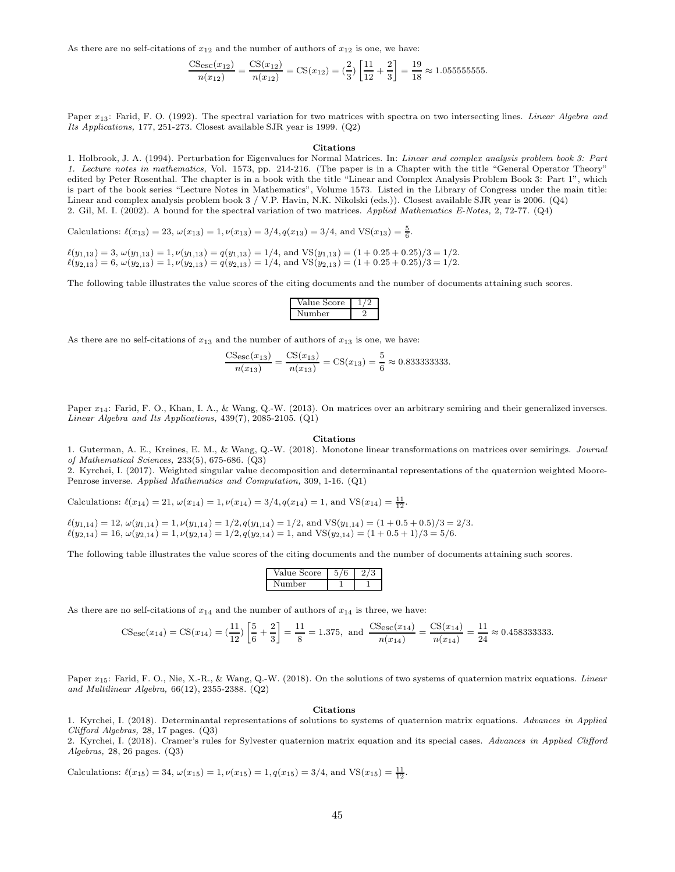As there are no self-citations of  $x_{12}$  and the number of authors of  $x_{12}$  is one, we have:

$$
\frac{\text{CSec}(x_{12})}{n(x_{12})} = \frac{\text{CS}(x_{12})}{n(x_{12})} = \text{CS}(x_{12}) = \left(\frac{2}{3}\right) \left[\frac{11}{12} + \frac{2}{3}\right] = \frac{19}{18} \approx 1.0555555555.
$$

Paper x<sub>13</sub>: Farid, F. O. (1992). The spectral variation for two matrices with spectra on two intersecting lines. *Linear Algebra and* Its Applications, 177, 251-273. Closest available SJR year is 1999. (Q2)

#### Citations

1. Holbrook, J. A. (1994). Perturbation for Eigenvalues for Normal Matrices. In: Linear and complex analysis problem book 3: Part 1. Lecture notes in mathematics, Vol. 1573, pp. 214-216. (The paper is in a Chapter with the title "General Operator Theory" edited by Peter Rosenthal. The chapter is in a book with the title "Linear and Complex Analysis Problem Book 3: Part 1", which is part of the book series "Lecture Notes in Mathematics", Volume 1573. Listed in the Library of Congress under the main title: Linear and complex analysis problem book 3 / V.P. Havin, N.K. Nikolski (eds.)). Closest available SJR year is 2006. (Q4) 2. Gil, M. I. (2002). A bound for the spectral variation of two matrices. Applied Mathematics E-Notes, 2, 72-77. (Q4)

Calculations:  $\ell(x_{13}) = 23$ ,  $\omega(x_{13}) = 1$ ,  $\nu(x_{13}) = 3/4$ ,  $q(x_{13}) = 3/4$ , and VS( $x_{13}$ ) =  $\frac{5}{6}$ .

 $\ell(y_{1,13}) = 3, \omega(y_{1,13}) = 1, \nu(y_{1,13}) = q(y_{1,13}) = 1/4$ , and  $\text{VS}(y_{1,13}) = (1 + 0.25 + 0.25)/3 = 1/2$ .  $\ell(y_{2,13}) = 6, \ \omega(y_{2,13}) = 1, \nu(y_{2,13}) = q(y_{2,13}) = 1/4, \text{ and } \text{VS}(y_{2,13}) = (1 + 0.25 + 0.25)/3 = 1/2.$ 

The following table illustrates the value scores of the citing documents and the number of documents attaining such scores.

| /alue Score |  |
|-------------|--|
| umber       |  |

As there are no self-citations of  $x_{13}$  and the number of authors of  $x_{13}$  is one, we have:

$$
\frac{\text{CSec}(x_{13})}{n(x_{13})} = \frac{\text{CS}(x_{13})}{n(x_{13})} = \text{CS}(x_{13}) = \frac{5}{6} \approx 0.8333333333.
$$

Paper  $x_{14}$ : Farid, F. O., Khan, I. A., & Wang, Q.-W. (2013). On matrices over an arbitrary semiring and their generalized inverses. Linear Algebra and Its Applications, 439(7), 2085-2105. (Q1)

#### Citations

1. Guterman, A. E., Kreines, E. M., & Wang, Q.-W. (2018). Monotone linear transformations on matrices over semirings. Journal of Mathematical Sciences, 233(5), 675-686. (Q3)

2. Kyrchei, I. (2017). Weighted singular value decomposition and determinantal representations of the quaternion weighted Moore-Penrose inverse. Applied Mathematics and Computation, 309, 1-16. (Q1)

Calculations: 
$$
\ell(x_{14}) = 21
$$
,  $\omega(x_{14}) = 1$ ,  $\nu(x_{14}) = 3/4$ ,  $q(x_{14}) = 1$ , and  $VS(x_{14}) = \frac{11}{12}$ .

$$
\ell(y_{1,14}) = 12, \omega(y_{1,14}) = 1, \nu(y_{1,14}) = 1/2, q(y_{1,14}) = 1/2, \text{ and } \text{VS}(y_{1,14}) = (1 + 0.5 + 0.5)/3 = 2/3.
$$
  

$$
\ell(y_{2,14}) = 16, \omega(y_{2,14}) = 1, \nu(y_{2,14}) = 1/2, q(y_{2,14}) = 1, \text{ and } \text{VS}(y_{2,14}) = (1 + 0.5 + 1)/3 = 5/6.
$$

The following table illustrates the value scores of the citing documents and the number of documents attaining such scores.

| Value Score |  |
|-------------|--|
| Number      |  |

As there are no self-citations of  $x_{14}$  and the number of authors of  $x_{14}$  is three, we have:

$$
\text{CSesc}(x_{14}) = \text{CS}(x_{14}) = \left(\frac{11}{12}\right) \left[\frac{5}{6} + \frac{2}{3}\right] = \frac{11}{8} = 1.375, \text{ and } \frac{\text{CSesc}(x_{14})}{n(x_{14})} = \frac{\text{CS}(x_{14})}{n(x_{14})} = \frac{11}{24} \approx 0.458333333.
$$

Paper  $x_{15}$ : Farid, F. O., Nie, X.-R., & Wang, Q.-W. (2018). On the solutions of two systems of quaternion matrix equations. Linear and Multilinear Algebra, 66(12), 2355-2388. (Q2)

#### Citations

1. Kyrchei, I. (2018). Determinantal representations of solutions to systems of quaternion matrix equations. Advances in Applied Clifford Algebras, 28, 17 pages. (Q3)

2. Kyrchei, I. (2018). Cramer's rules for Sylvester quaternion matrix equation and its special cases. Advances in Applied Clifford Algebras, 28, 26 pages. (Q3)

Calculations: 
$$
\ell(x_{15}) = 34
$$
,  $\omega(x_{15}) = 1$ ,  $\nu(x_{15}) = 1$ ,  $q(x_{15}) = 3/4$ , and  $VS(x_{15}) = \frac{11}{12}$ .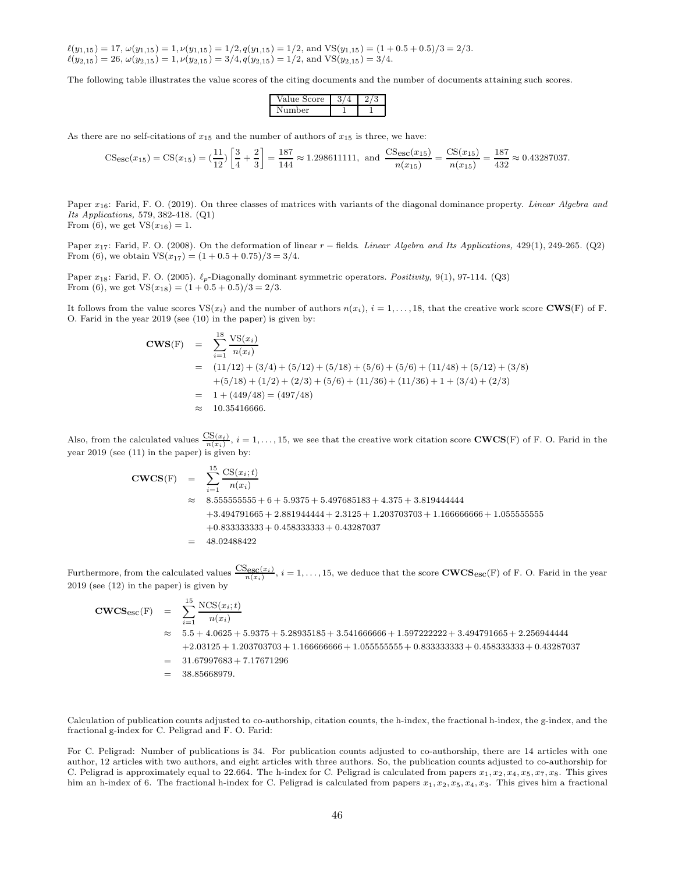$\ell(y_{1,15}) = 17, \, \omega(y_{1,15}) = 1, \, \nu(y_{1,15}) = 1/2, \, q(y_{1,15}) = 1/2, \, \text{and } \text{VS}(y_{1,15}) = (1 + 0.5 + 0.5)/3 = 2/3.$  $\ell(y_{2,15}) = 26, \ \omega(y_{2,15}) = 1, \nu(y_{2,15}) = 3/4, q(y_{2,15}) = 1/2, \text{ and } \text{VS}(y_{2,15}) = 3/4.$ 

The following table illustrates the value scores of the citing documents and the number of documents attaining such scores.

| 'alue Score |  |
|-------------|--|
| ımher       |  |

As there are no self-citations of  $x_{15}$  and the number of authors of  $x_{15}$  is three, we have:

$$
\text{CS}_{\text{esc}}(x_{15}) = \text{CS}(x_{15}) = \left(\frac{11}{12}\right) \left[\frac{3}{4} + \frac{2}{3}\right] = \frac{187}{144} \approx 1.298611111, \text{ and } \frac{\text{CS}_{\text{esc}}(x_{15})}{n(x_{15})} = \frac{\text{CS}(x_{15})}{n(x_{15})} = \frac{187}{432} \approx 0.43287037.
$$

Paper  $x_{16}$ : Farid, F. O. (2019). On three classes of matrices with variants of the diagonal dominance property. Linear Algebra and Its Applications, 579, 382-418. (Q1)

From (6), we get  $VS(x_{16}) = 1$ .

Paper  $x_{17}$ : Farid, F. O. (2008). On the deformation of linear  $r$  – fields. Linear Algebra and Its Applications, 429(1), 249-265. (Q2) From (6), we obtain  $VS(x_{17}) = (1 + 0.5 + 0.75)/3 = 3/4$ .

Paper  $x_{18}$ : Farid, F. O. (2005).  $\ell_p$ -Diagonally dominant symmetric operators. Positivity, 9(1), 97-114. (Q3) From (6), we get  $VS(x_{18}) = (1 + 0.5 + 0.5)/3 = 2/3$ .

It follows from the value scores  $VS(x_i)$  and the number of authors  $n(x_i)$ ,  $i = 1, \ldots, 18$ , that the creative work score **CWS**(F) of F. O. Farid in the year 2019 (see (10) in the paper) is given by:

$$
\begin{aligned}\n\text{CWS(F)} &= \sum_{i=1}^{18} \frac{\text{VS}(x_i)}{n(x_i)} \\
&= (11/12) + (3/4) + (5/12) + (5/18) + (5/6) + (5/6) + (11/48) + (5/12) + (3/8) \\
&\quad + (5/18) + (1/2) + (2/3) + (5/6) + (11/36) + (11/36) + 1 + (3/4) + (2/3) \\
&= 1 + (449/48) = (497/48) \\
&\approx 10.35416666.\n\end{aligned}
$$

Also, from the calculated values  $\frac{CS(x_i)}{n(x_i)}$ ,  $i = 1, \ldots, 15$ , we see that the creative work citation score **CWCS**(F) of F. O. Farid in the year 2019 (see (11) in the paper) is given by:

$$
\begin{aligned}\n\text{CWCS}(F) &= \sum_{i=1}^{15} \frac{\text{CS}(x_i; t)}{n(x_i)} \\
&\approx 8.555555555 + 6 + 5.9375 + 5.497685183 + 4.375 + 3.819444444 \\
&\quad + 3.494791665 + 2.881944444 + 2.3125 + 1.203703703 + 1.166666666 + 1.055555555 \\
&\quad + 0.833333333 + 0.458333333 + 0.43287037 \\
&= 48.02488422\n\end{aligned}
$$

Furthermore, from the calculated values  $\frac{\text{CS}_{\text{esc}}(x_i)}{n(x_i)}$ ,  $i = 1, \ldots, 15$ , we deduce that the score  $\text{CWCS}_{\text{esc}}(F)$  of F. O. Farid in the year 2019 (see (12) in the paper) is given by

$$
\begin{aligned}\n\text{CWCS}_{\text{esc}}(F) &= \sum_{i=1}^{15} \frac{\text{NCS}(x_i; t)}{n(x_i)} \\
&\approx 5.5 + 4.0625 + 5.9375 + 5.28935185 + 3.541666666 + 1.597222222 + 3.494791665 + 2.256944444 \\
&\quad + 2.03125 + 1.203703703 + 1.166666666 + 1.05555555 + 0.83333333 + 0.458333333 + 0.43287037 \\
&= 31.67997683 + 7.17671296 \\
&= 38.85668979.\n\end{aligned}
$$

Calculation of publication counts adjusted to co-authorship, citation counts, the h-index, the fractional h-index, the g-index, and the fractional g-index for C. Peligrad and F. O. Farid:

For C. Peligrad: Number of publications is 34. For publication counts adjusted to co-authorship, there are 14 articles with one author, 12 articles with two authors, and eight articles with three authors. So, the publication counts adjusted to co-authorship for C. Peligrad is approximately equal to 22.664. The h-index for C. Peligrad is calculated from papers  $x_1, x_2, x_4, x_5, x_7, x_8$ . This gives him an h-index of 6. The fractional h-index for C. Peligrad is calculated from papers  $x_1, x_2, x_5, x_4, x_3$ . This gives him a fractional